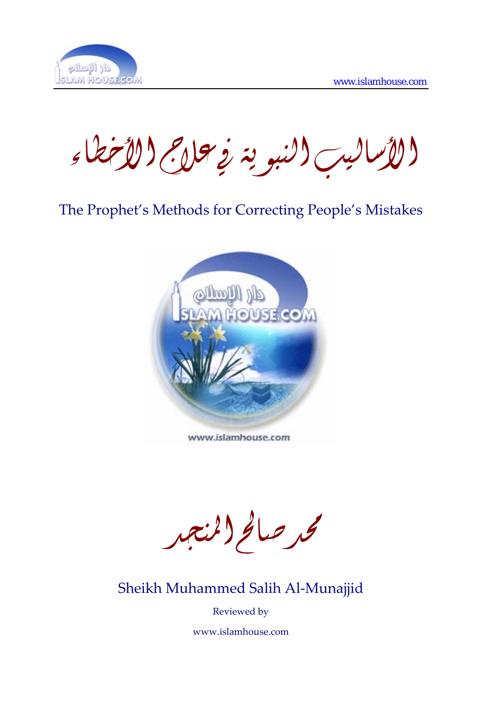

الأساليبالنبويةفيعلاج الأخطاء

### The Prophet's Methods for Correcting People's Mistakes



محر صالح (لمنجر

#### Sheikh Muhammed Salih Al‐Munajjid

Reviewed by

www.islamhouse.com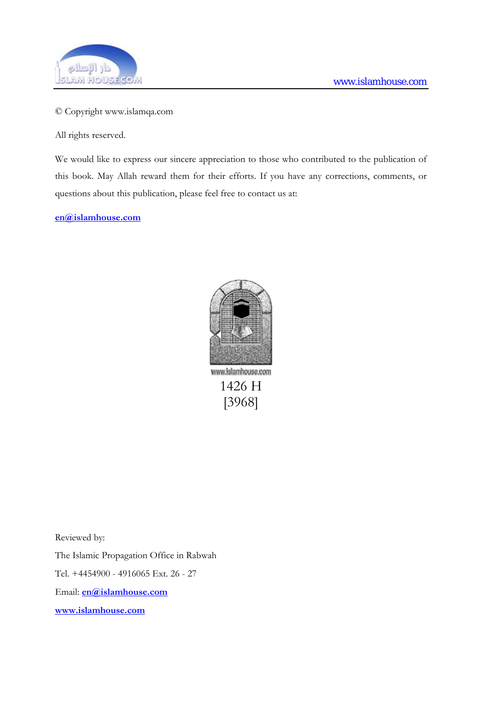

#### © Copyright www.islamqa.com

All rights reserved.

We would like to express our sincere appreciation to those who contributed to the publication of this book. May Allah reward them for their efforts. If you have any corrections, comments, or questions about this publication, please feel free to contact us at:

**[en@islamhouse.com](mailto:en@islamhouse.com?subject=Comments%20about%20book%20%22en3968%22)**



Reviewed by:

The Islamic Propagation Office in Rabwah

Tel. +4454900 - 4916065 Ext. 26 - 27

Email: **[en@islamhouse.com](mailto:en@islamhouse.com?subject=Comments%20about%20book%20%22en3968%22)**

**www.islamhouse.com**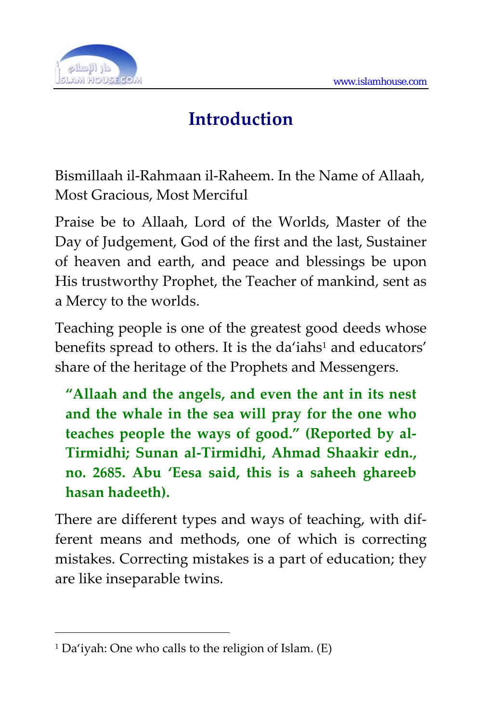

# **Introduction**

Bismillaah il‐Rahmaan il‐Raheem. In the Name of Allaah, Most Gracious, Most Merciful

Praise be to Allaah, Lord of the Worlds, Master of the Day of Judgement, God of the first and the last, Sustainer of heaven and earth, and peace and blessings be upon His trustworthy Prophet, the Teacher of mankind, sent as a Mercy to the worlds.

Teaching people is one of the greatest good deeds whose benefits spread to others. It is the da'iahs<sup>1</sup> and educators' share of the heritage of the Prophets and Messengers.

**"Allaah and the angels, and even the ant in its nest and the whale in the sea will pray for the one who teaches people the ways of good." (Reported by al‐ Tirmidhi; Sunan al‐Tirmidhi, Ahmad Shaakir edn., no. 2685. Abu 'Eesa said, this is a saheeh ghareeb hasan hadeeth).** 

There are different types and ways of teaching, with dif‐ ferent means and methods, one of which is correcting mistakes. Correcting mistakes is a part of education; they are like inseparable twins.

 $\overline{a}$ 

 $1$  Da'iyah: One who calls to the religion of Islam. (E)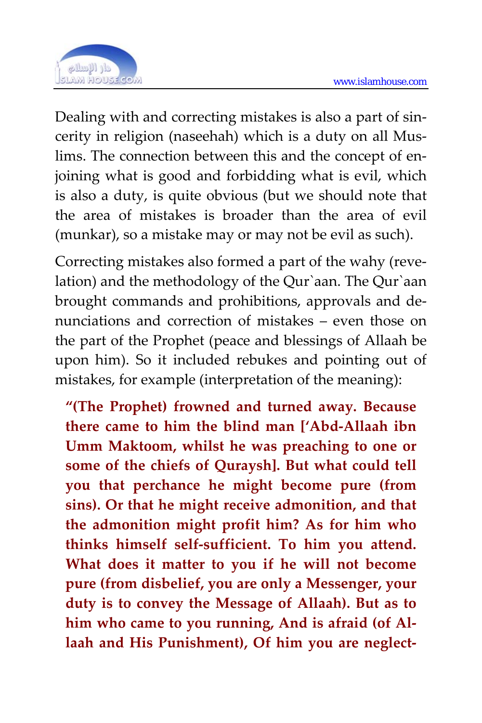

Dealing with and correcting mistakes is also a part of sincerity in religion (naseehah) which is a duty on all Mus‐ lims. The connection between this and the concept of enjoining what is good and forbidding what is evil, which is also a duty, is quite obvious (but we should note that the area of mistakes is broader than the area of evil (munkar), so a mistake may or may not be evil as such).

Correcting mistakes also formed a part of the wahy (reve‐ lation) and the methodology of the Qur`aan. The Qur`aan brought commands and prohibitions, approvals and de‐ nunciations and correction of mistakes – even those on the part of the Prophet (peace and blessings of Allaah be upon him). So it included rebukes and pointing out of mistakes, for example (interpretation of the meaning):

**"(The Prophet) frowned and turned away. Because there came to him the blind man ['Abd‐Allaah ibn Umm Maktoom, whilst he was preaching to one or some of the chiefs of Quraysh]. But what could tell you that perchance he might become pure (from sins). Or that he might receive admonition, and that the admonition might profit him? As for him who thinks himself self‐sufficient. To him you attend. What does it matter to you if he will not become pure (from disbelief, you are only a Messenger, your duty is to convey the Message of Allaah). But as to him who came to you running, And is afraid (of Al‐ laah and His Punishment), Of him you are neglect‐**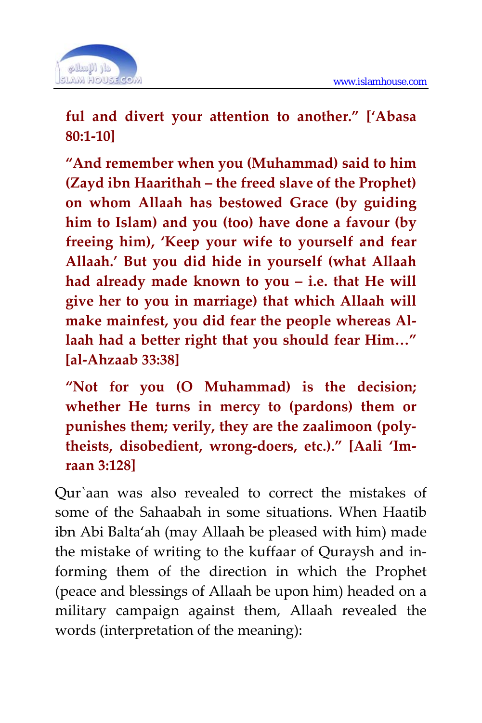

**ful and divert your attention to another." ['Abasa 80:1‐10]**

**"And remember when you (Muhammad) said to him (Zayd ibn Haarithah – the freed slave of the Prophet) on whom Allaah has bestowed Grace (by guiding him to Islam) and you (too) have done a favour (by freeing him), 'Keep your wife to yourself and fear Allaah.' But you did hide in yourself (what Allaah had already made known to you – i.e. that He will give her to you in marriage) that which Allaah will make mainfest, you did fear the people whereas Al‐ laah had a better right that you should fear Him…" [al‐Ahzaab 33:38]**

**"Not for you (O Muhammad) is the decision; whether He turns in mercy to (pardons) them or punishes them; verily, they are the zaalimoon (poly‐ theists, disobedient, wrong‐doers, etc.)." [Aali 'Im‐ raan 3:128]**

Qur`aan was also revealed to correct the mistakes of some of the Sahaabah in some situations. When Haatib ibn Abi Balta'ah (may Allaah be pleased with him) made the mistake of writing to the kuffaar of Quraysh and in‐ forming them of the direction in which the Prophet (peace and blessings of Allaah be upon him) headed on a military campaign against them, Allaah revealed the words (interpretation of the meaning):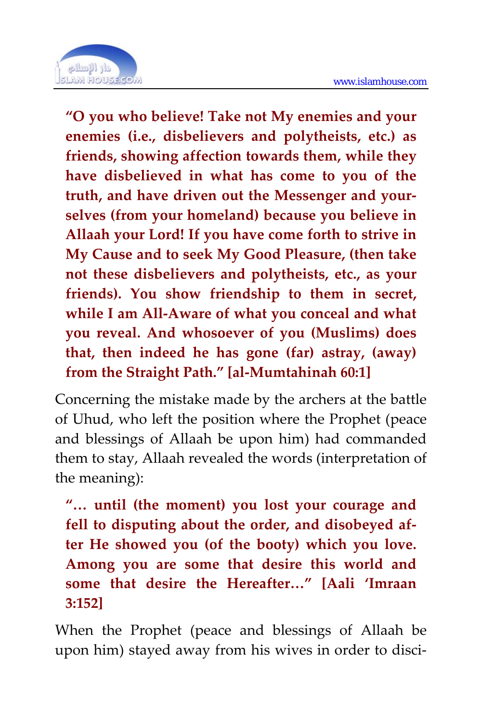

**"O you who believe! Take not My enemies and your enemies (i.e., disbelievers and polytheists, etc.) as friends, showing affection towards them, while they have disbelieved in what has come to you of the truth, and have driven out the Messenger and your‐ selves (from your homeland) because you believe in Allaah your Lord! If you have come forth to strive in My Cause and to seek My Good Pleasure, (then take not these disbelievers and polytheists, etc., as your friends). You show friendship to them in secret, while I am All‐Aware of what you conceal and what you reveal. And whosoever of you (Muslims) does that, then indeed he has gone (far) astray, (away) from the Straight Path." [al‐Mumtahinah 60:1]**

Concerning the mistake made by the archers at the battle of Uhud, who left the position where the Prophet (peace and blessings of Allaah be upon him) had commanded them to stay, Allaah revealed the words (interpretation of the meaning):

**"… until (the moment) you lost your courage and fell to disputing about the order, and disobeyed af‐ ter He showed you (of the booty) which you love. Among you are some that desire this world and some that desire the Hereafter…" [Aali 'Imraan 3:152]**

When the Prophet (peace and blessings of Allaah be upon him) stayed away from his wives in order to disci-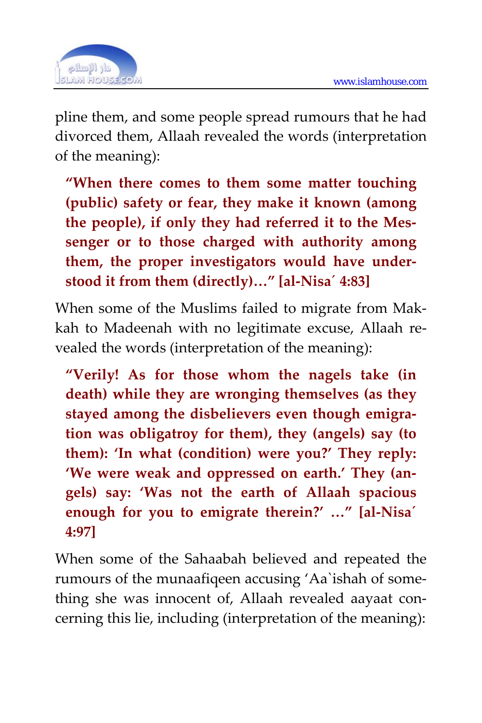

pline them, and some people spread rumours that he had divorced them, Allaah revealed the words (interpretation of the meaning):

**"When there comes to them some matter touching (public) safety or fear, they make it known (among the people), if only they had referred it to the Mes‐ senger or to those charged with authority among them, the proper investigators would have under‐ stood it from them (directly)…" [al‐Nisa´ 4:83]**

When some of the Muslims failed to migrate from Makkah to Madeenah with no legitimate excuse, Allaah re‐ vealed the words (interpretation of the meaning):

**"Verily! As for those whom the nagels take (in death) while they are wronging themselves (as they stayed among the disbelievers even though emigra‐ tion was obligatroy for them), they (angels) say (to them): 'In what (condition) were you?' They reply: 'We were weak and oppressed on earth.' They (an‐ gels) say: 'Was not the earth of Allaah spacious enough for you to emigrate therein?' …" [al‐Nisa´ 4:97]**

When some of the Sahaabah believed and repeated the rumours of the munaafiqeen accusing 'Aa`ishah of some‐ thing she was innocent of, Allaah revealed aayaat con‐ cerning this lie, including (interpretation of the meaning):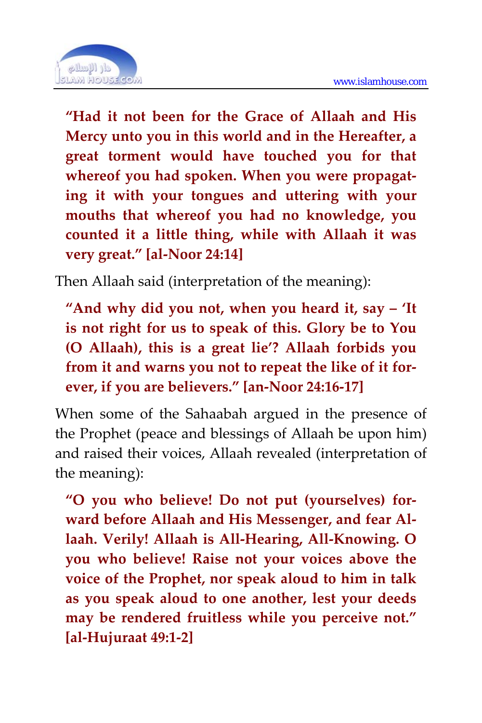

**"Had it not been for the Grace of Allaah and His Mercy unto you in this world and in the Hereafter, a great torment would have touched you for that whereof you had spoken. When you were propagat‐ ing it with your tongues and uttering with your mouths that whereof you had no knowledge, you counted it a little thing, while with Allaah it was very great." [al‐Noor 24:14]**

Then Allaah said (interpretation of the meaning):

**"And why did you not, when you heard it, say – 'It is not right for us to speak of this. Glory be to You (O Allaah), this is a great lie'? Allaah forbids you from it and warns you not to repeat the like of it for‐ ever, if you are believers." [an‐Noor 24:16‐17]**

When some of the Sahaabah argued in the presence of the Prophet (peace and blessings of Allaah be upon him) and raised their voices, Allaah revealed (interpretation of the meaning):

**"O you who believe! Do not put (yourselves) for‐ ward before Allaah and His Messenger, and fear Al‐ laah. Verily! Allaah is All‐Hearing, All‐Knowing. O you who believe! Raise not your voices above the voice of the Prophet, nor speak aloud to him in talk as you speak aloud to one another, lest your deeds may be rendered fruitless while you perceive not." [al‐Hujuraat 49:1‐2]**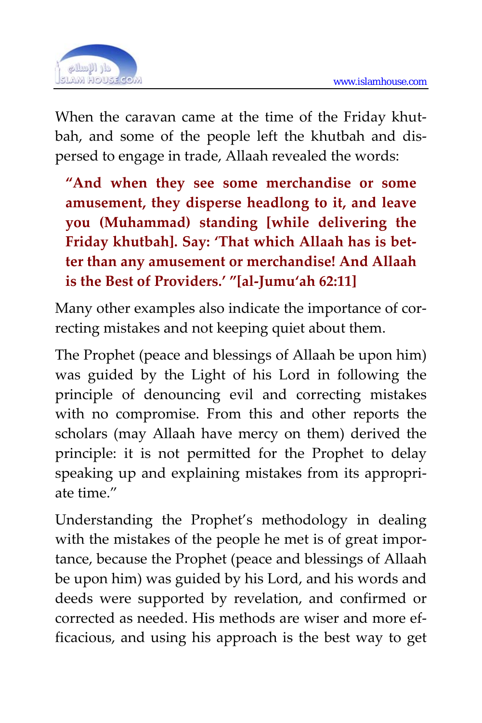

When the caravan came at the time of the Friday khutbah, and some of the people left the khutbah and dis‐ persed to engage in trade, Allaah revealed the words:

**"And when they see some merchandise or some amusement, they disperse headlong to it, and leave you (Muhammad) standing [while delivering the Friday khutbah]. Say: 'That which Allaah has is bet‐ ter than any amusement or merchandise! And Allaah is the Best of Providers.' "[al‐Jumu'ah 62:11]**

Many other examples also indicate the importance of correcting mistakes and not keeping quiet about them.

The Prophet (peace and blessings of Allaah be upon him) was guided by the Light of his Lord in following the principle of denouncing evil and correcting mistakes with no compromise. From this and other reports the scholars (may Allaah have mercy on them) derived the principle: it is not permitted for the Prophet to delay speaking up and explaining mistakes from its appropri‐ ate time."

Understanding the Prophet's methodology in dealing with the mistakes of the people he met is of great importance, because the Prophet (peace and blessings of Allaah be upon him) was guided by his Lord, and his words and deeds were supported by revelation, and confirmed or corrected as needed. His methods are wiser and more ef‐ ficacious, and using his approach is the best way to get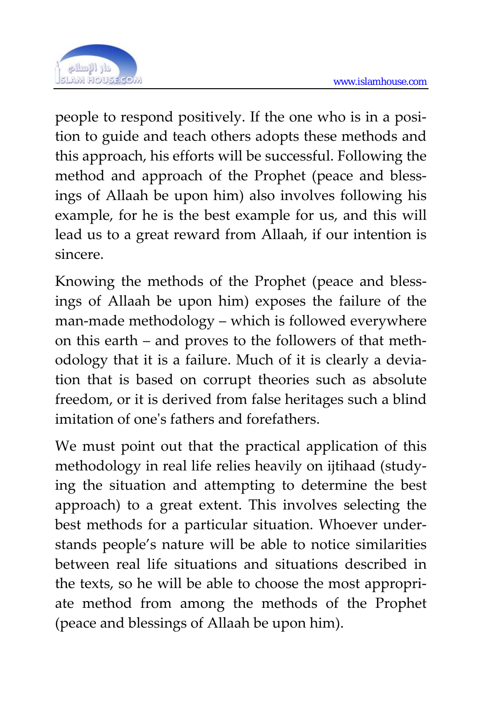

people to respond positively. If the one who is in a position to guide and teach others adopts these methods and this approach, his efforts will be successful. Following the method and approach of the Prophet (peace and blessings of Allaah be upon him) also involves following his example, for he is the best example for us, and this will lead us to a great reward from Allaah, if our intention is sincere.

Knowing the methods of the Prophet (peace and bless‐ ings of Allaah be upon him) exposes the failure of the man-made methodology – which is followed everywhere on this earth – and proves to the followers of that meth‐ odology that it is a failure. Much of it is clearly a devia‐ tion that is based on corrupt theories such as absolute freedom, or it is derived from false heritages such a blind imitation of one's fathers and forefathers.

We must point out that the practical application of this methodology in real life relies heavily on ijtihaad (study‐ ing the situation and attempting to determine the best approach) to a great extent. This involves selecting the best methods for a particular situation. Whoever under‐ stands people's nature will be able to notice similarities between real life situations and situations described in the texts, so he will be able to choose the most appropri‐ ate method from among the methods of the Prophet (peace and blessings of Allaah be upon him).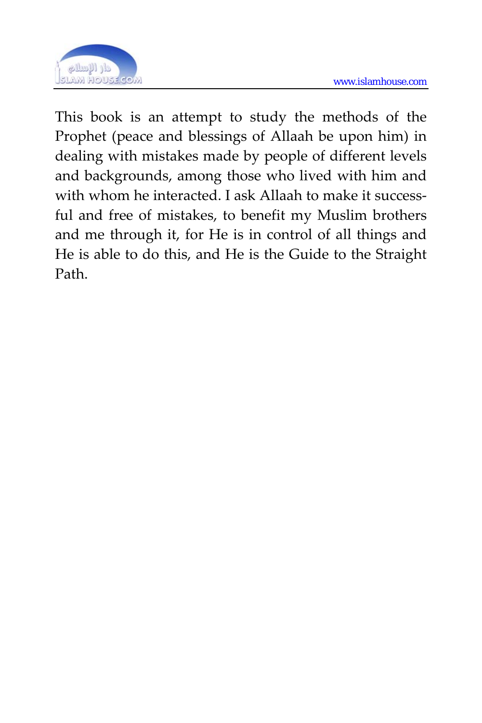

This book is an attempt to study the methods of the Prophet (peace and blessings of Allaah be upon him) in dealing with mistakes made by people of different levels and backgrounds, among those who lived with him and with whom he interacted. I ask Allaah to make it successful and free of mistakes, to benefit my Muslim brothers and me through it, for He is in control of all things and He is able to do this, and He is the Guide to the Straight Path.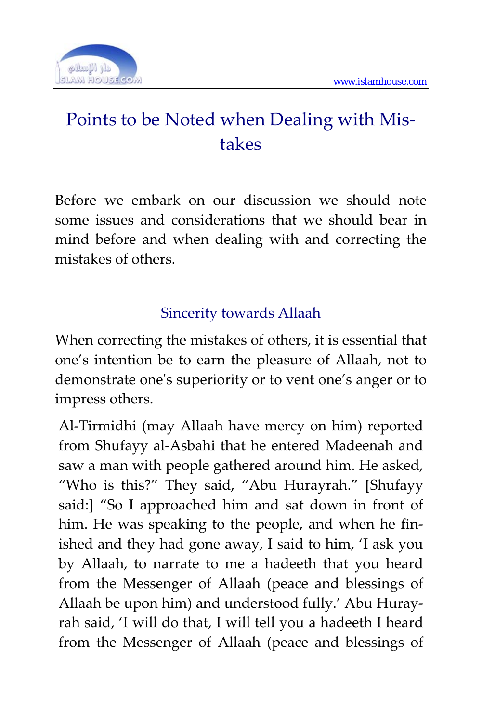

# Points to be Noted when Dealing with Mis‐ takes

Before we embark on our discussion we should note some issues and considerations that we should bear in mind before and when dealing with and correcting the mistakes of others.

#### Sincerity towards Allaah

When correcting the mistakes of others, it is essential that one's intention be to earn the pleasure of Allaah, not to demonstrate oneʹs superiority or to vent one's anger or to impress others.

Al‐Tirmidhi (may Allaah have mercy on him) reported from Shufayy al‐Asbahi that he entered Madeenah and saw a man with people gathered around him. He asked, "Who is this?" They said, "Abu Hurayrah." [Shufayy said:] "So I approached him and sat down in front of him. He was speaking to the people, and when he finished and they had gone away, I said to him, 'I ask you by Allaah, to narrate to me a hadeeth that you heard from the Messenger of Allaah (peace and blessings of Allaah be upon him) and understood fully.' Abu Huray‐ rah said, 'I will do that, I will tell you a hadeeth I heard from the Messenger of Allaah (peace and blessings of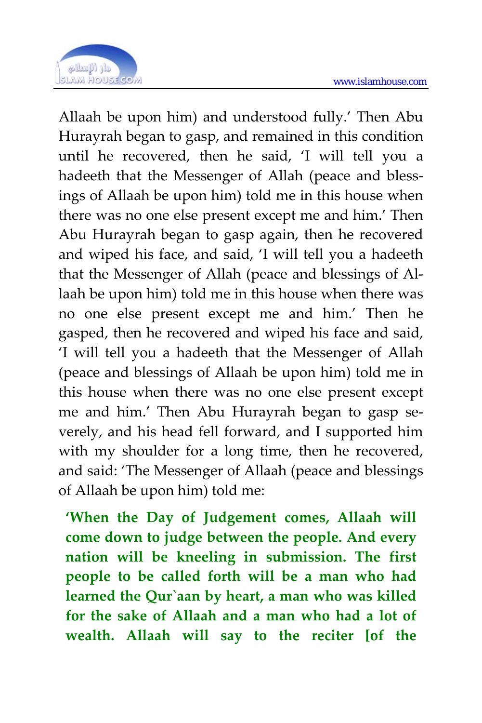

Allaah be upon him) and understood fully.' Then Abu Hurayrah began to gasp, and remained in this condition until he recovered, then he said, 'I will tell you a hadeeth that the Messenger of Allah (peace and blessings of Allaah be upon him) told me in this house when there was no one else present except me and him.' Then Abu Hurayrah began to gasp again, then he recovered and wiped his face, and said, 'I will tell you a hadeeth that the Messenger of Allah (peace and blessings of Al‐ laah be upon him) told me in this house when there was no one else present except me and him.' Then he gasped, then he recovered and wiped his face and said, 'I will tell you a hadeeth that the Messenger of Allah (peace and blessings of Allaah be upon him) told me in this house when there was no one else present except me and him.' Then Abu Hurayrah began to gasp se‐ verely, and his head fell forward, and I supported him with my shoulder for a long time, then he recovered, and said: 'The Messenger of Allaah (peace and blessings of Allaah be upon him) told me:

**'When the Day of Judgement comes, Allaah will come down to judge between the people. And every nation will be kneeling in submission. The first people to be called forth will be a man who had learned the Qur`aan by heart, a man who was killed for the sake of Allaah and a man who had a lot of wealth. Allaah will say to the reciter [of the**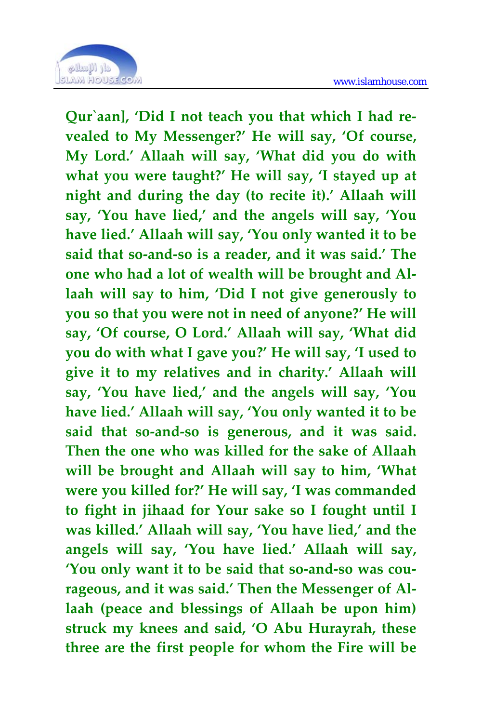

**Qur`aan], 'Did I not teach you that which I had re‐ vealed to My Messenger?' He will say, 'Of course, My Lord.' Allaah will say, 'What did you do with what you were taught?' He will say, 'I stayed up at night and during the day (to recite it).' Allaah will say, 'You have lied,' and the angels will say, 'You have lied.' Allaah will say, 'You only wanted it to be said that so‐and‐so is a reader, and it was said.' The one who had a lot of wealth will be brought and Al‐ laah will say to him, 'Did I not give generously to you so that you were not in need of anyone?' He will say, 'Of course, O Lord.' Allaah will say, 'What did you do with what I gave you?' He will say, 'I used to give it to my relatives and in charity.' Allaah will say, 'You have lied,' and the angels will say, 'You have lied.' Allaah will say, 'You only wanted it to be said that so‐and‐so is generous, and it was said. Then the one who was killed for the sake of Allaah will be brought and Allaah will say to him, 'What were you killed for?' He will say, 'I was commanded to fight in jihaad for Your sake so I fought until I was killed.' Allaah will say, 'You have lied,' and the angels will say, 'You have lied.' Allaah will say, 'You only want it to be said that so‐and‐so was cou‐ rageous, and it was said.' Then the Messenger of Al‐ laah (peace and blessings of Allaah be upon him) struck my knees and said, 'O Abu Hurayrah, these three are the first people for whom the Fire will be**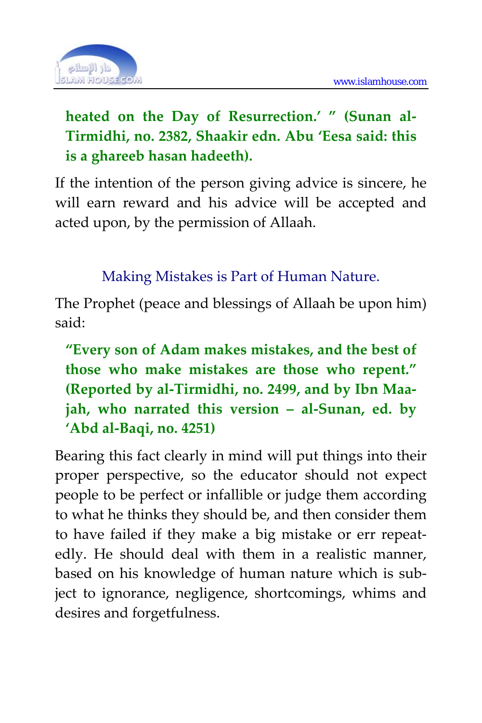

# **heated on the Day of Resurrection.' " (Sunan al‐ Tirmidhi, no. 2382, Shaakir edn. Abu 'Eesa said: this is a ghareeb hasan hadeeth).**

If the intention of the person giving advice is sincere, he will earn reward and his advice will be accepted and acted upon, by the permission of Allaah.

Making Mistakes is Part of Human Nature.

The Prophet (peace and blessings of Allaah be upon him) said:

**"Every son of Adam makes mistakes, and the best of those who make mistakes are those who repent." (Reported by al‐Tirmidhi, no. 2499, and by Ibn Maa‐ jah, who narrated this version – al‐Sunan, ed. by 'Abd al‐Baqi, no. 4251)**

Bearing this fact clearly in mind will put things into their proper perspective, so the educator should not expect people to be perfect or infallible or judge them according to what he thinks they should be, and then consider them to have failed if they make a big mistake or err repeat‐ edly. He should deal with them in a realistic manner, based on his knowledge of human nature which is sub‐ ject to ignorance, negligence, shortcomings, whims and desires and forgetfulness.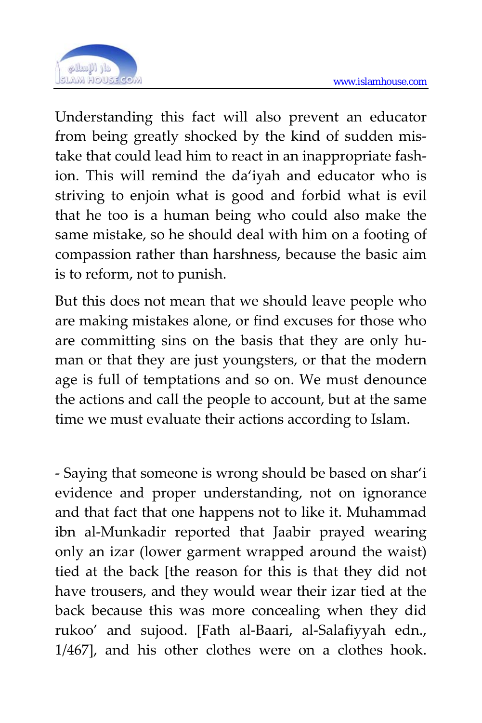

Understanding this fact will also prevent an educator from being greatly shocked by the kind of sudden mis‐ take that could lead him to react in an inappropriate fashion. This will remind the da'iyah and educator who is striving to enjoin what is good and forbid what is evil that he too is a human being who could also make the same mistake, so he should deal with him on a footing of compassion rather than harshness, because the basic aim is to reform, not to punish.

But this does not mean that we should leave people who are making mistakes alone, or find excuses for those who are committing sins on the basis that they are only human or that they are just youngsters, or that the modern age is full of temptations and so on. We must denounce the actions and call the people to account, but at the same time we must evaluate their actions according to Islam.

‐ Saying that someone is wrong should be based on shar'i evidence and proper understanding, not on ignorance and that fact that one happens not to like it. Muhammad ibn al‐Munkadir reported that Jaabir prayed wearing only an izar (lower garment wrapped around the waist) tied at the back [the reason for this is that they did not have trousers, and they would wear their izar tied at the back because this was more concealing when they did rukoo' and sujood. [Fath al‐Baari, al‐Salafiyyah edn., 1/467], and his other clothes were on a clothes hook.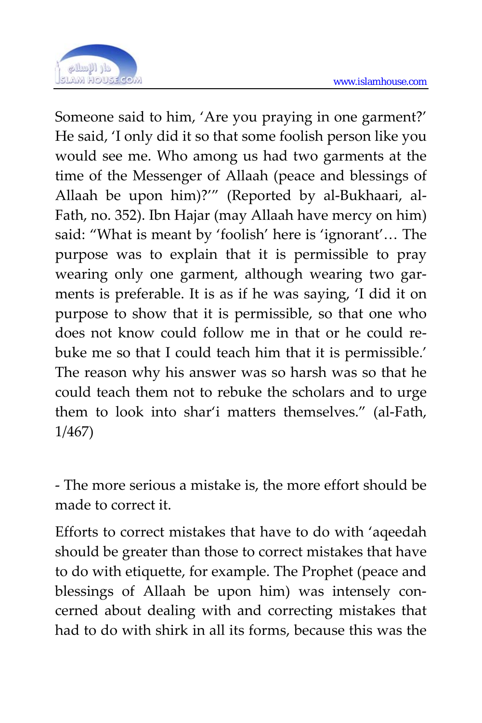

Someone said to him, 'Are you praying in one garment?' He said, 'I only did it so that some foolish person like you would see me. Who among us had two garments at the time of the Messenger of Allaah (peace and blessings of Allaah be upon him)?'" (Reported by al‐Bukhaari, al‐ Fath, no. 352). Ibn Hajar (may Allaah have mercy on him) said: "What is meant by 'foolish' here is 'ignorant'… The purpose was to explain that it is permissible to pray wearing only one garment, although wearing two garments is preferable. It is as if he was saying, 'I did it on purpose to show that it is permissible, so that one who does not know could follow me in that or he could re‐ buke me so that I could teach him that it is permissible.' The reason why his answer was so harsh was so that he could teach them not to rebuke the scholars and to urge them to look into shar'i matters themselves." (al‐Fath, 1/467)

‐ The more serious a mistake is, the more effort should be made to correct it.

Efforts to correct mistakes that have to do with 'aqeedah should be greater than those to correct mistakes that have to do with etiquette, for example. The Prophet (peace and blessings of Allaah be upon him) was intensely con‐ cerned about dealing with and correcting mistakes that had to do with shirk in all its forms, because this was the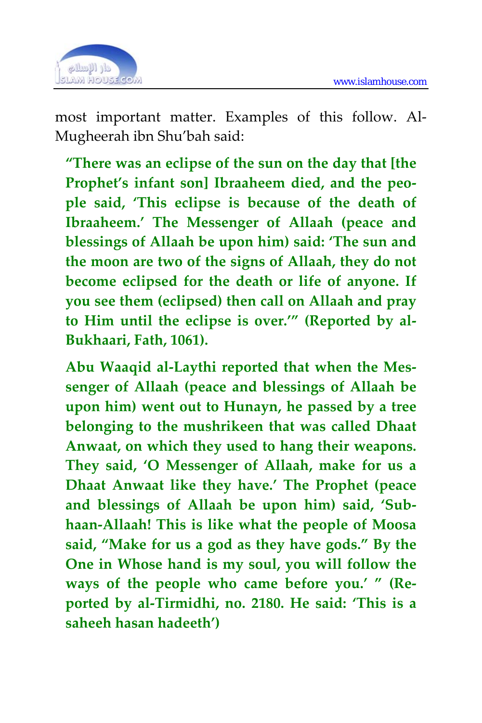

most important matter. Examples of this follow. Al‐ Mugheerah ibn Shu'bah said:

**"There was an eclipse of the sun on the day that [the Prophet's infant son] Ibraaheem died, and the peo‐ ple said, 'This eclipse is because of the death of Ibraaheem.' The Messenger of Allaah (peace and blessings of Allaah be upon him) said: 'The sun and the moon are two of the signs of Allaah, they do not become eclipsed for the death or life of anyone. If you see them (eclipsed) then call on Allaah and pray to Him until the eclipse is over.'" (Reported by al‐ Bukhaari, Fath, 1061).**

**Abu Waaqid al‐Laythi reported that when the Mes‐ senger of Allaah (peace and blessings of Allaah be upon him) went out to Hunayn, he passed by a tree belonging to the mushrikeen that was called Dhaat Anwaat, on which they used to hang their weapons. They said, 'O Messenger of Allaah, make for us a Dhaat Anwaat like they have.' The Prophet (peace and blessings of Allaah be upon him) said, 'Sub‐ haan‐Allaah! This is like what the people of Moosa said, "Make for us a god as they have gods." By the One in Whose hand is my soul, you will follow the ways of the people who came before you.' " (Re‐ ported by al‐Tirmidhi, no. 2180. He said: 'This is a saheeh hasan hadeeth')**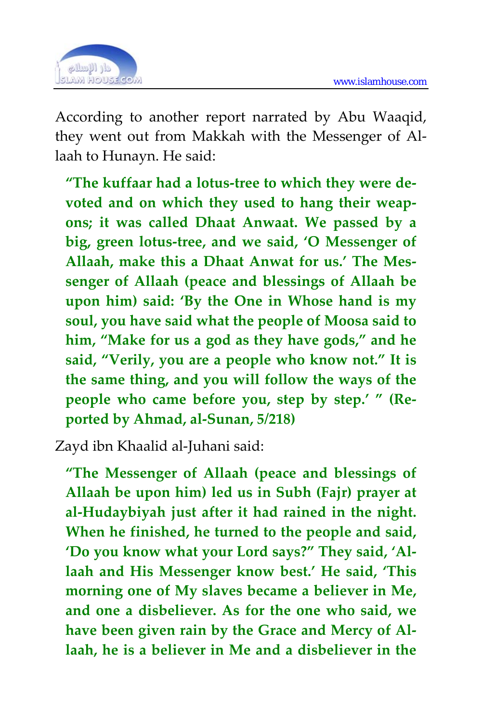

According to another report narrated by Abu Waaqid, they went out from Makkah with the Messenger of Al‐ laah to Hunayn. He said:

**"The kuffaar had a lotus‐tree to which they were de‐ voted and on which they used to hang their weap‐ ons; it was called Dhaat Anwaat. We passed by a big, green lotus‐tree, and we said, 'O Messenger of Allaah, make this a Dhaat Anwat for us.' The Mes‐ senger of Allaah (peace and blessings of Allaah be upon him) said: 'By the One in Whose hand is my soul, you have said what the people of Moosa said to him, "Make for us a god as they have gods," and he said, "Verily, you are a people who know not." It is the same thing, and you will follow the ways of the people who came before you, step by step.' " (Re‐ ported by Ahmad, al‐Sunan, 5/218)**

Zayd ibn Khaalid al‐Juhani said:

**"The Messenger of Allaah (peace and blessings of Allaah be upon him) led us in Subh (Fajr) prayer at al‐Hudaybiyah just after it had rained in the night. When he finished, he turned to the people and said, 'Do you know what your Lord says?" They said, 'Al‐ laah and His Messenger know best.' He said, 'This morning one of My slaves became a believer in Me, and one a disbeliever. As for the one who said, we have been given rain by the Grace and Mercy of Al‐ laah, he is a believer in Me and a disbeliever in the**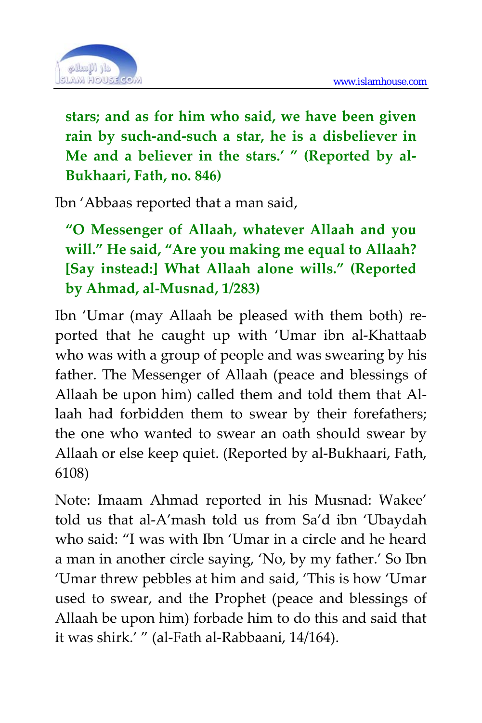

**stars; and as for him who said, we have been given rain by such‐and‐such a star, he is a disbeliever in Me and a believer in the stars.' " (Reported by al‐ Bukhaari, Fath, no. 846)**

Ibn 'Abbaas reported that a man said,

**"O Messenger of Allaah, whatever Allaah and you will." He said, "Are you making me equal to Allaah? [Say instead:] What Allaah alone wills." (Reported by Ahmad, al‐Musnad, 1/283)**

Ibn 'Umar (may Allaah be pleased with them both) re‐ ported that he caught up with 'Umar ibn al‐Khattaab who was with a group of people and was swearing by his father. The Messenger of Allaah (peace and blessings of Allaah be upon him) called them and told them that Al‐ laah had forbidden them to swear by their forefathers; the one who wanted to swear an oath should swear by Allaah or else keep quiet. (Reported by al‐Bukhaari, Fath, 6108)

Note: Imaam Ahmad reported in his Musnad: Wakee' told us that al‐A'mash told us from Sa'd ibn 'Ubaydah who said: "I was with Ibn 'Umar in a circle and he heard a man in another circle saying, 'No, by my father.' So Ibn 'Umar threw pebbles at him and said, 'This is how 'Umar used to swear, and the Prophet (peace and blessings of Allaah be upon him) forbade him to do this and said that it was shirk.' " (al‐Fath al‐Rabbaani, 14/164).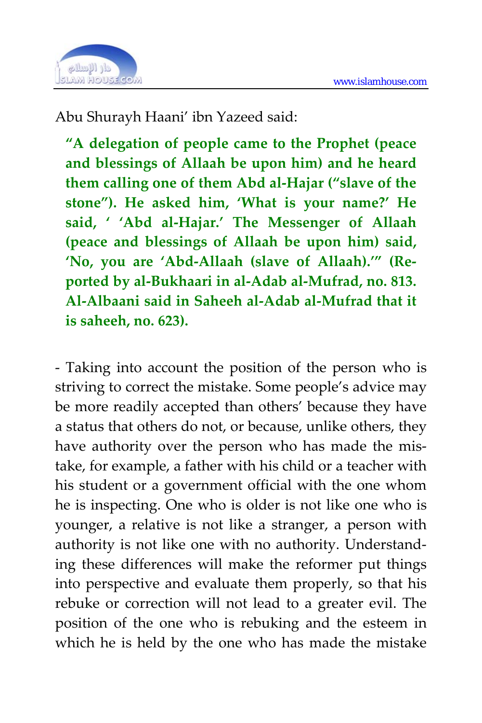

Abu Shurayh Haani' ibn Yazeed said:

**"A delegation of people came to the Prophet (peace and blessings of Allaah be upon him) and he heard them calling one of them Abd al‐Hajar ("slave of the stone"). He asked him, 'What is your name?' He said, ' 'Abd al‐Hajar.' The Messenger of Allaah (peace and blessings of Allaah be upon him) said, 'No, you are 'Abd‐Allaah (slave of Allaah).'" (Re‐ ported by al‐Bukhaari in al‐Adab al‐Mufrad, no. 813. Al‐Albaani said in Saheeh al‐Adab al‐Mufrad that it is saheeh, no. 623).**

‐ Taking into account the position of the person who is striving to correct the mistake. Some people's advice may be more readily accepted than others' because they have a status that others do not, or because, unlike others, they have authority over the person who has made the mistake, for example, a father with his child or a teacher with his student or a government official with the one whom he is inspecting. One who is older is not like one who is younger, a relative is not like a stranger, a person with authority is not like one with no authority. Understand‐ ing these differences will make the reformer put things into perspective and evaluate them properly, so that his rebuke or correction will not lead to a greater evil. The position of the one who is rebuking and the esteem in which he is held by the one who has made the mistake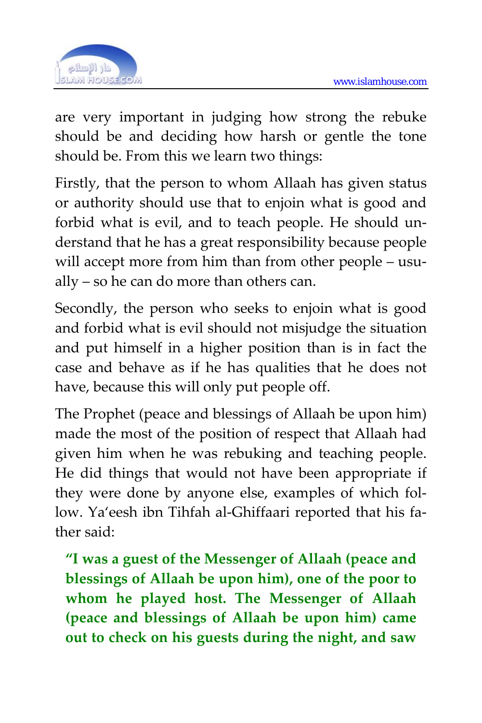

are very important in judging how strong the rebuke should be and deciding how harsh or gentle the tone should be. From this we learn two things:

Firstly, that the person to whom Allaah has given status or authority should use that to enjoin what is good and forbid what is evil, and to teach people. He should un‐ derstand that he has a great responsibility because people will accept more from him than from other people – usually – so he can do more than others can.

Secondly, the person who seeks to enjoin what is good and forbid what is evil should not misjudge the situation and put himself in a higher position than is in fact the case and behave as if he has qualities that he does not have, because this will only put people off.

The Prophet (peace and blessings of Allaah be upon him) made the most of the position of respect that Allaah had given him when he was rebuking and teaching people. He did things that would not have been appropriate if they were done by anyone else, examples of which fol‐ low. Ya'eesh ibn Tihfah al‐Ghiffaari reported that his fa‐ ther said:

**"I was a guest of the Messenger of Allaah (peace and blessings of Allaah be upon him), one of the poor to whom he played host. The Messenger of Allaah (peace and blessings of Allaah be upon him) came out to check on his guests during the night, and saw**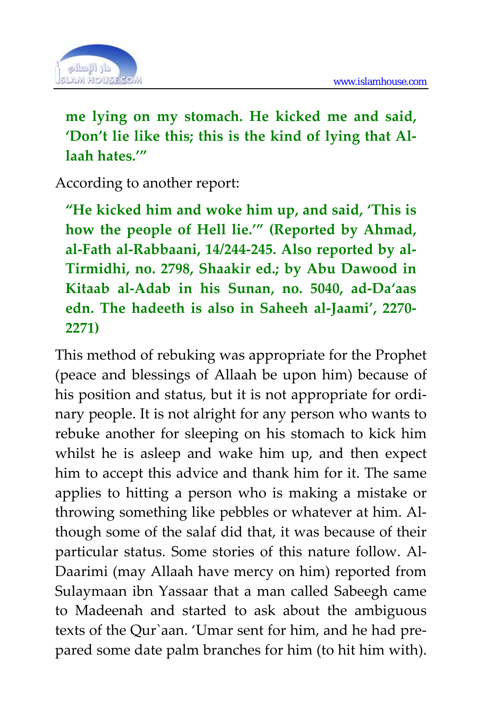

**me lying on my stomach. He kicked me and said, 'Don't lie like this; this is the kind of lying that Al‐ laah hates.'"** 

According to another report:

**"He kicked him and woke him up, and said, 'This is how the people of Hell lie.'" (Reported by Ahmad, al‐Fath al‐Rabbaani, 14/244‐245. Also reported by al‐ Tirmidhi, no. 2798, Shaakir ed.; by Abu Dawood in Kitaab al‐Adab in his Sunan, no. 5040, ad‐Da'aas edn. The hadeeth is also in Saheeh al‐Jaami', 2270‐ 2271)**

This method of rebuking was appropriate for the Prophet (peace and blessings of Allaah be upon him) because of his position and status, but it is not appropriate for ordinary people. It is not alright for any person who wants to rebuke another for sleeping on his stomach to kick him whilst he is asleep and wake him up, and then expect him to accept this advice and thank him for it. The same applies to hitting a person who is making a mistake or throwing something like pebbles or whatever at him. Al‐ though some of the salaf did that, it was because of their particular status. Some stories of this nature follow. Al‐ Daarimi (may Allaah have mercy on him) reported from Sulaymaan ibn Yassaar that a man called Sabeegh came to Madeenah and started to ask about the ambiguous texts of the Qur`aan. 'Umar sent for him, and he had pre‐ pared some date palm branches for him (to hit him with).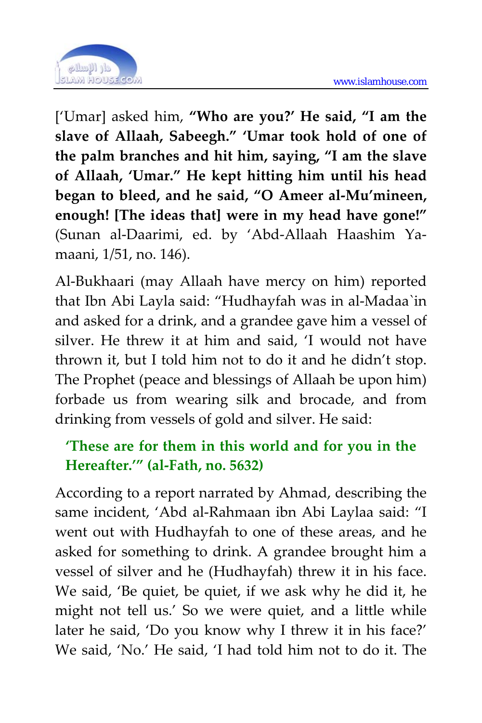

['Umar] asked him, **"Who are you?' He said, "I am the slave of Allaah, Sabeegh." 'Umar took hold of one of the palm branches and hit him, saying, "I am the slave of Allaah, 'Umar." He kept hitting him until his head began to bleed, and he said, "O Ameer al‐Mu'mineen, enough! [The ideas that] were in my head have gone!"** (Sunan al‐Daarimi, ed. by 'Abd‐Allaah Haashim Ya‐ maani, 1/51, no. 146).

Al‐Bukhaari (may Allaah have mercy on him) reported that Ibn Abi Layla said: "Hudhayfah was in al‐Madaa`in and asked for a drink, and a grandee gave him a vessel of silver. He threw it at him and said, 'I would not have thrown it, but I told him not to do it and he didn't stop. The Prophet (peace and blessings of Allaah be upon him) forbade us from wearing silk and brocade, and from drinking from vessels of gold and silver. He said:

### **'These are for them in this world and for you in the Hereafter.'" (al‐Fath, no. 5632)**

According to a report narrated by Ahmad, describing the same incident, 'Abd al‐Rahmaan ibn Abi Laylaa said: "I went out with Hudhayfah to one of these areas, and he asked for something to drink. A grandee brought him a vessel of silver and he (Hudhayfah) threw it in his face. We said, 'Be quiet, be quiet, if we ask why he did it, he might not tell us.' So we were quiet, and a little while later he said, 'Do you know why I threw it in his face?' We said, 'No.' He said, 'I had told him not to do it. The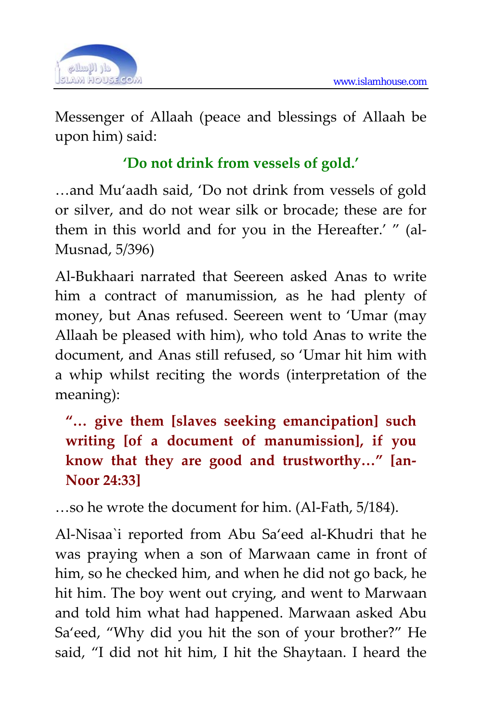

Messenger of Allaah (peace and blessings of Allaah be upon him) said:

# **'Do not drink from vessels of gold.'**

…and Mu'aadh said, 'Do not drink from vessels of gold or silver, and do not wear silk or brocade; these are for them in this world and for you in the Hereafter.' " (al‐ Musnad, 5/396)

Al‐Bukhaari narrated that Seereen asked Anas to write him a contract of manumission, as he had plenty of money, but Anas refused. Seereen went to 'Umar (may Allaah be pleased with him), who told Anas to write the document, and Anas still refused, so 'Umar hit him with a whip whilst reciting the words (interpretation of the meaning):

**"… give them [slaves seeking emancipation] such writing [of a document of manumission], if you know that they are good and trustworthy…" [an‐ Noor 24:33]** 

…so he wrote the document for him. (Al‐Fath, 5/184).

Al‐Nisaa`i reported from Abu Sa'eed al‐Khudri that he was praying when a son of Marwaan came in front of him, so he checked him, and when he did not go back, he hit him. The boy went out crying, and went to Marwaan and told him what had happened. Marwaan asked Abu Sa'eed, "Why did you hit the son of your brother?" He said, "I did not hit him, I hit the Shaytaan. I heard the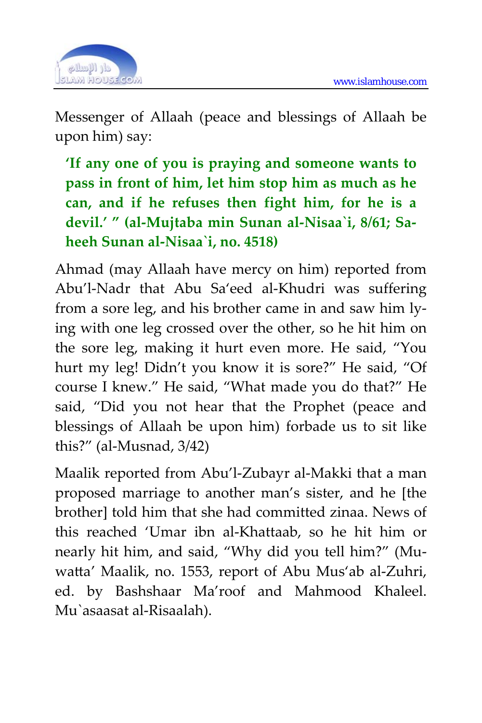

Messenger of Allaah (peace and blessings of Allaah be upon him) say:

**'If any one of you is praying and someone wants to pass in front of him, let him stop him as much as he can, and if he refuses then fight him, for he is a devil.' " (al‐Mujtaba min Sunan al‐Nisaa`i, 8/61; Sa‐ heeh Sunan al‐Nisaa`i, no. 4518)**

Ahmad (may Allaah have mercy on him) reported from Abu'l‐Nadr that Abu Sa'eed al‐Khudri was suffering from a sore leg, and his brother came in and saw him ly‐ ing with one leg crossed over the other, so he hit him on the sore leg, making it hurt even more. He said, "You hurt my leg! Didn't you know it is sore?" He said, "Of course I knew." He said, "What made you do that?" He said, "Did you not hear that the Prophet (peace and blessings of Allaah be upon him) forbade us to sit like this?" (al‐Musnad, 3/42)

Maalik reported from Abu'l‐Zubayr al‐Makki that a man proposed marriage to another man's sister, and he [the brother] told him that she had committed zinaa. News of this reached 'Umar ibn al‐Khattaab, so he hit him or nearly hit him, and said, "Why did you tell him?" (Mu‐ watta' Maalik, no. 1553, report of Abu Mus'ab al-Zuhri, ed. by Bashshaar Ma'roof and Mahmood Khaleel. Mu`asaasat al‐Risaalah).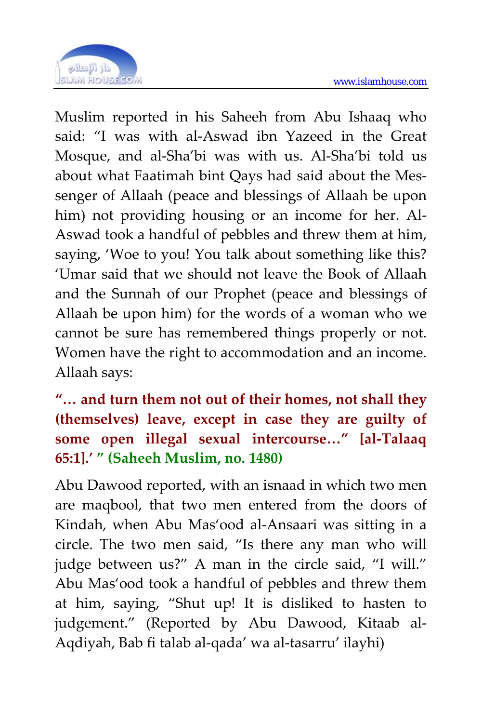

Muslim reported in his Saheeh from Abu Ishaaq who said: "I was with al-Aswad ibn Yazeed in the Great Mosque, and al‐Sha'bi was with us. Al‐Sha'bi told us about what Faatimah bint Qays had said about the Mes‐ senger of Allaah (peace and blessings of Allaah be upon him) not providing housing or an income for her. Al-Aswad took a handful of pebbles and threw them at him, saying, 'Woe to you! You talk about something like this? 'Umar said that we should not leave the Book of Allaah and the Sunnah of our Prophet (peace and blessings of Allaah be upon him) for the words of a woman who we cannot be sure has remembered things properly or not. Women have the right to accommodation and an income. Allaah says:

## **"… and turn them not out of their homes, not shall they (themselves) leave, except in case they are guilty of some open illegal sexual intercourse…" [al‐Talaaq 65:1].' " (Saheeh Muslim, no. 1480)**

Abu Dawood reported, with an isnaad in which two men are maqbool, that two men entered from the doors of Kindah, when Abu Mas'ood al‐Ansaari was sitting in a circle. The two men said, "Is there any man who will judge between us?" A man in the circle said, "I will." Abu Mas'ood took a handful of pebbles and threw them at him, saying, "Shut up! It is disliked to hasten to judgement." (Reported by Abu Dawood, Kitaab al-Aqdiyah, Bab fi talab al‐qada' wa al‐tasarru' ilayhi)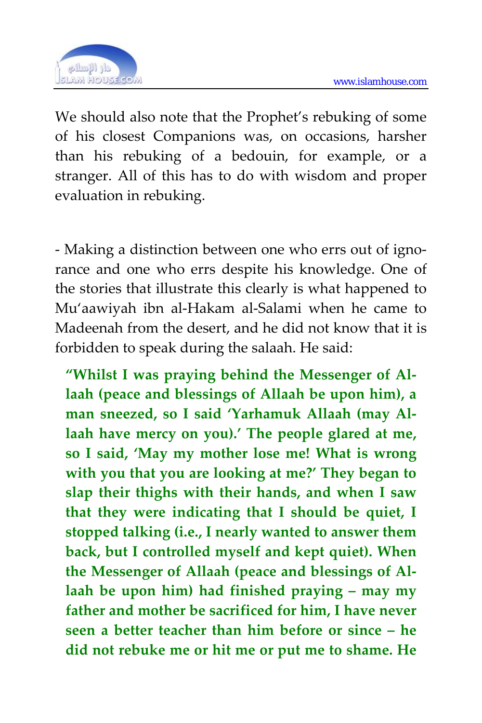

We should also note that the Prophet's rebuking of some of his closest Companions was, on occasions, harsher than his rebuking of a bedouin, for example, or a stranger. All of this has to do with wisdom and proper evaluation in rebuking.

‐ Making a distinction between one who errs out of igno‐ rance and one who errs despite his knowledge. One of the stories that illustrate this clearly is what happened to Mu'aawiyah ibn al‐Hakam al‐Salami when he came to Madeenah from the desert, and he did not know that it is forbidden to speak during the salaah. He said:

**"Whilst I was praying behind the Messenger of Al‐ laah (peace and blessings of Allaah be upon him), a man sneezed, so I said 'Yarhamuk Allaah (may Al‐ laah have mercy on you).' The people glared at me, so I said, 'May my mother lose me! What is wrong with you that you are looking at me?' They began to slap their thighs with their hands, and when I saw that they were indicating that I should be quiet, I stopped talking (i.e., I nearly wanted to answer them back, but I controlled myself and kept quiet). When the Messenger of Allaah (peace and blessings of Al‐ laah be upon him) had finished praying – may my father and mother be sacrificed for him, I have never seen a better teacher than him before or since – he did not rebuke me or hit me or put me to shame. He**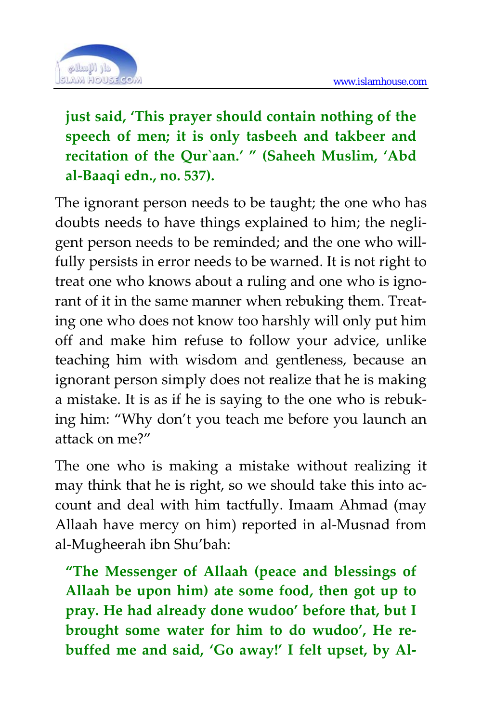

**just said, 'This prayer should contain nothing of the speech of men; it is only tasbeeh and takbeer and recitation of the Qur`aan.' " (Saheeh Muslim, 'Abd al‐Baaqi edn., no. 537).**

The ignorant person needs to be taught; the one who has doubts needs to have things explained to him; the negli‐ gent person needs to be reminded; and the one who willfully persists in error needs to be warned. It is not right to treat one who knows about a ruling and one who is ignorant of it in the same manner when rebuking them. Treating one who does not know too harshly will only put him off and make him refuse to follow your advice, unlike teaching him with wisdom and gentleness, because an ignorant person simply does not realize that he is making a mistake. It is as if he is saying to the one who is rebuk‐ ing him: "Why don't you teach me before you launch an attack on me?"

The one who is making a mistake without realizing it may think that he is right, so we should take this into account and deal with him tactfully. Imaam Ahmad (may Allaah have mercy on him) reported in al‐Musnad from al‐Mugheerah ibn Shu'bah:

**"The Messenger of Allaah (peace and blessings of Allaah be upon him) ate some food, then got up to pray. He had already done wudoo' before that, but I brought some water for him to do wudoo', He re‐ buffed me and said, 'Go away!' I felt upset, by Al‐**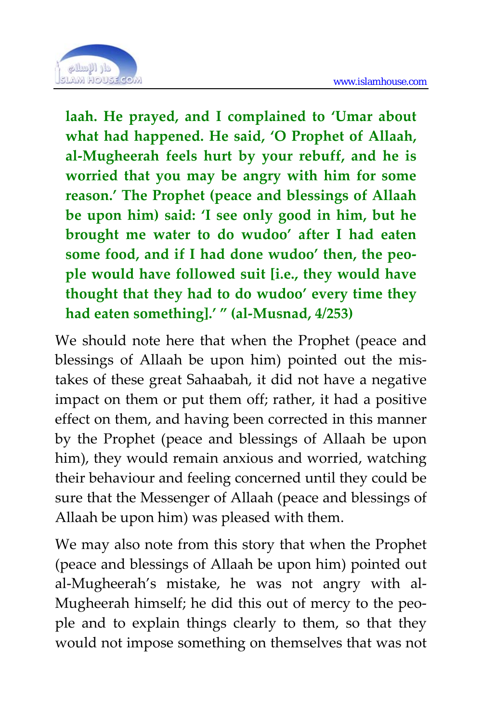

**laah. He prayed, and I complained to 'Umar about what had happened. He said, 'O Prophet of Allaah, al‐Mugheerah feels hurt by your rebuff, and he is worried that you may be angry with him for some reason.' The Prophet (peace and blessings of Allaah be upon him) said: 'I see only good in him, but he brought me water to do wudoo' after I had eaten some food, and if I had done wudoo' then, the peo‐ ple would have followed suit [i.e., they would have thought that they had to do wudoo' every time they had eaten something].' " (al‐Musnad, 4/253)**

We should note here that when the Prophet (peace and blessings of Allaah be upon him) pointed out the mis‐ takes of these great Sahaabah, it did not have a negative impact on them or put them off; rather, it had a positive effect on them, and having been corrected in this manner by the Prophet (peace and blessings of Allaah be upon him), they would remain anxious and worried, watching their behaviour and feeling concerned until they could be sure that the Messenger of Allaah (peace and blessings of Allaah be upon him) was pleased with them.

We may also note from this story that when the Prophet (peace and blessings of Allaah be upon him) pointed out al‐Mugheerah's mistake, he was not angry with al‐ Mugheerah himself; he did this out of mercy to the people and to explain things clearly to them, so that they would not impose something on themselves that was not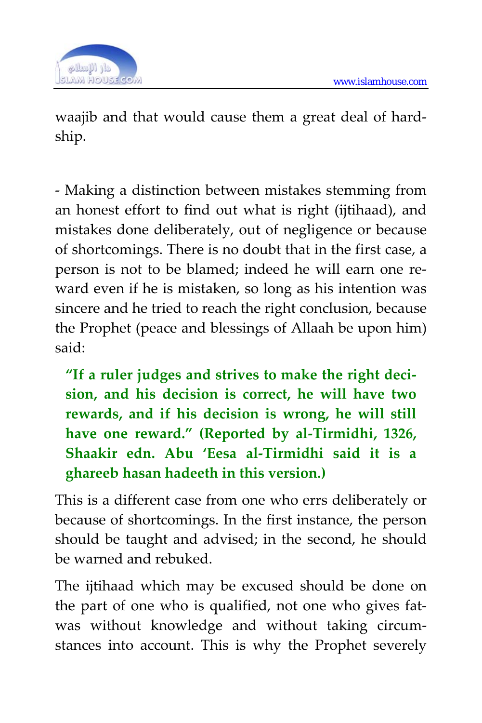

waajib and that would cause them a great deal of hardship.

‐ Making a distinction between mistakes stemming from an honest effort to find out what is right (ijtihaad), and mistakes done deliberately, out of negligence or because of shortcomings. There is no doubt that in the first case, a person is not to be blamed; indeed he will earn one re‐ ward even if he is mistaken, so long as his intention was sincere and he tried to reach the right conclusion, because the Prophet (peace and blessings of Allaah be upon him) said:

**"If a ruler judges and strives to make the right deci‐ sion, and his decision is correct, he will have two rewards, and if his decision is wrong, he will still have one reward." (Reported by al‐Tirmidhi, 1326, Shaakir edn. Abu 'Eesa al‐Tirmidhi said it is a ghareeb hasan hadeeth in this version.)**

This is a different case from one who errs deliberately or because of shortcomings. In the first instance, the person should be taught and advised; in the second, he should be warned and rebuked.

The ijtihaad which may be excused should be done on the part of one who is qualified, not one who gives fatwas without knowledge and without taking circum‐ stances into account. This is why the Prophet severely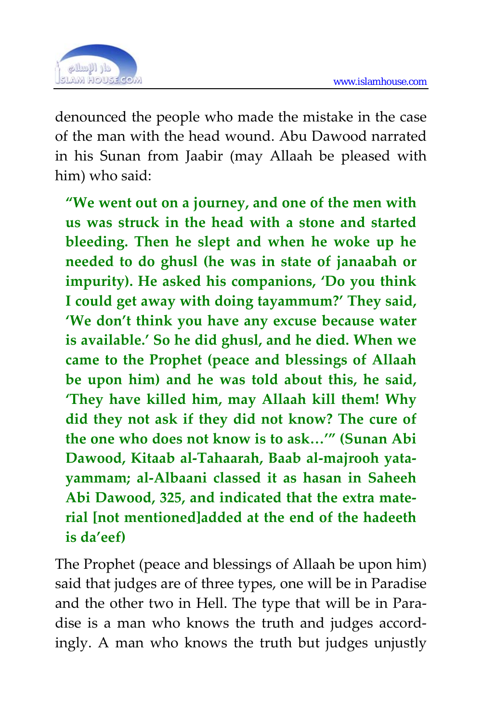

denounced the people who made the mistake in the case of the man with the head wound. Abu Dawood narrated in his Sunan from Jaabir (may Allaah be pleased with him) who said:

**"We went out on a journey, and one of the men with us was struck in the head with a stone and started bleeding. Then he slept and when he woke up he needed to do ghusl (he was in state of janaabah or impurity). He asked his companions, 'Do you think I could get away with doing tayammum?' They said, 'We don't think you have any excuse because water is available.' So he did ghusl, and he died. When we came to the Prophet (peace and blessings of Allaah be upon him) and he was told about this, he said, 'They have killed him, may Allaah kill them! Why did they not ask if they did not know? The cure of the one who does not know is to ask…'" (Sunan Abi Dawood, Kitaab al‐Tahaarah, Baab al‐majrooh yata‐ yammam; al‐Albaani classed it as hasan in Saheeh Abi Dawood, 325, and indicated that the extra mate‐ rial [not mentioned]added at the end of the hadeeth is da'eef)**

The Prophet (peace and blessings of Allaah be upon him) said that judges are of three types, one will be in Paradise and the other two in Hell. The type that will be in Para‐ dise is a man who knows the truth and judges accord‐ ingly. A man who knows the truth but judges unjustly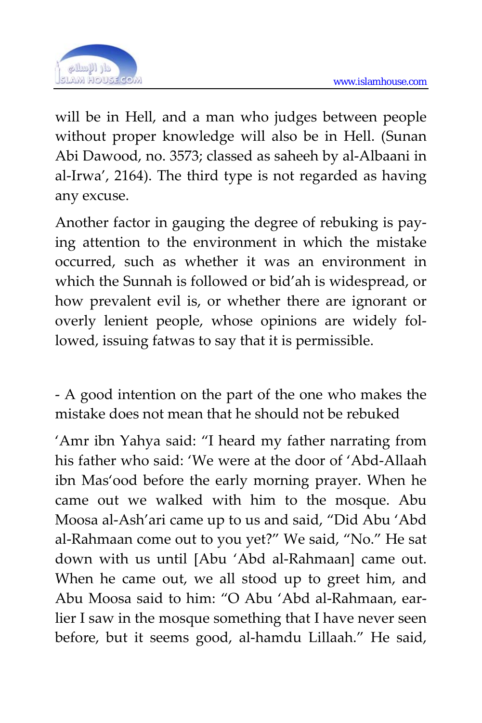

will be in Hell, and a man who judges between people without proper knowledge will also be in Hell. (Sunan Abi Dawood, no. 3573; classed as saheeh by al‐Albaani in al‐Irwa', 2164). The third type is not regarded as having any excuse.

Another factor in gauging the degree of rebuking is pay‐ ing attention to the environment in which the mistake occurred, such as whether it was an environment in which the Sunnah is followed or bid'ah is widespread, or how prevalent evil is, or whether there are ignorant or overly lenient people, whose opinions are widely fol‐ lowed, issuing fatwas to say that it is permissible.

‐ A good intention on the part of the one who makes the mistake does not mean that he should not be rebuked

'Amr ibn Yahya said: "I heard my father narrating from his father who said: 'We were at the door of 'Abd‐Allaah ibn Mas'ood before the early morning prayer. When he came out we walked with him to the mosque. Abu Moosa al‐Ash'ari came up to us and said, "Did Abu 'Abd al‐Rahmaan come out to you yet?" We said, "No." He sat down with us until [Abu 'Abd al‐Rahmaan] came out. When he came out, we all stood up to greet him, and Abu Moosa said to him: "O Abu 'Abd al‐Rahmaan, ear‐ lier I saw in the mosque something that I have never seen before, but it seems good, al‐hamdu Lillaah." He said,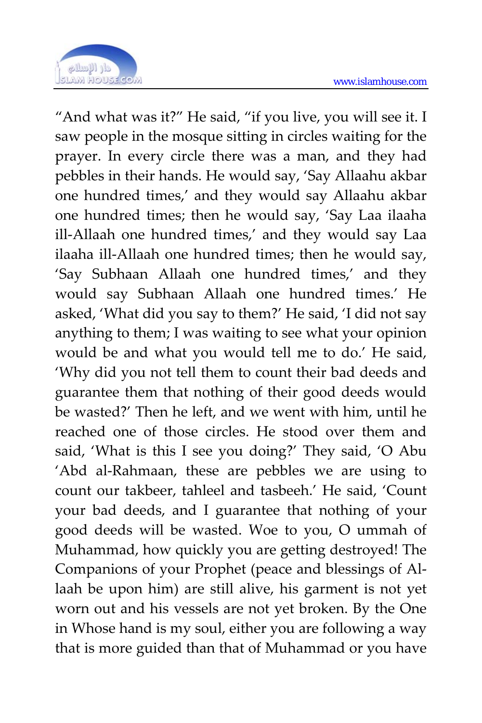

"And what was it?" He said, "if you live, you will see it. I saw people in the mosque sitting in circles waiting for the prayer. In every circle there was a man, and they had pebbles in their hands. He would say, 'Say Allaahu akbar one hundred times,' and they would say Allaahu akbar one hundred times; then he would say, 'Say Laa ilaaha ill‐Allaah one hundred times,' and they would say Laa ilaaha ill‐Allaah one hundred times; then he would say, 'Say Subhaan Allaah one hundred times,' and they would say Subhaan Allaah one hundred times.' He asked, 'What did you say to them?' He said, 'I did not say anything to them; I was waiting to see what your opinion would be and what you would tell me to do.' He said, 'Why did you not tell them to count their bad deeds and guarantee them that nothing of their good deeds would be wasted?' Then he left, and we went with him, until he reached one of those circles. He stood over them and said, 'What is this I see you doing?' They said, 'O Abu 'Abd al‐Rahmaan, these are pebbles we are using to count our takbeer, tahleel and tasbeeh.' He said, 'Count your bad deeds, and I guarantee that nothing of your good deeds will be wasted. Woe to you, O ummah of Muhammad, how quickly you are getting destroyed! The Companions of your Prophet (peace and blessings of Al‐ laah be upon him) are still alive, his garment is not yet worn out and his vessels are not yet broken. By the One in Whose hand is my soul, either you are following a way that is more guided than that of Muhammad or you have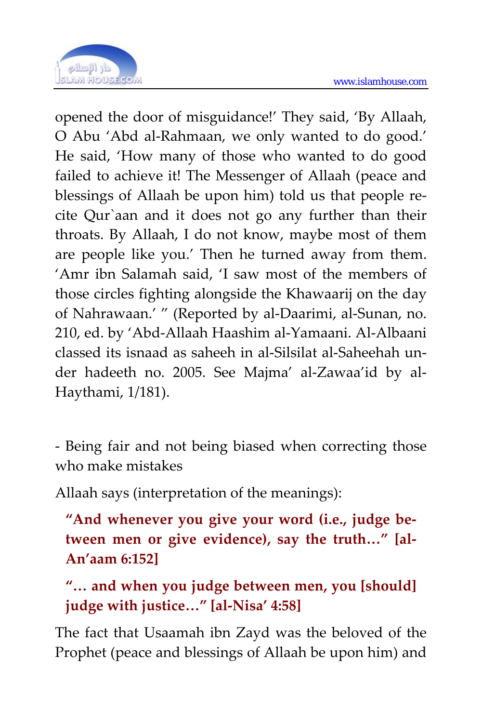

opened the door of misguidance!' They said, 'By Allaah, O Abu 'Abd al‐Rahmaan, we only wanted to do good.' He said, 'How many of those who wanted to do good failed to achieve it! The Messenger of Allaah (peace and blessings of Allaah be upon him) told us that people re‐ cite Qur`aan and it does not go any further than their throats. By Allaah, I do not know, maybe most of them are people like you.' Then he turned away from them. 'Amr ibn Salamah said, 'I saw most of the members of those circles fighting alongside the Khawaarij on the day of Nahrawaan.' " (Reported by al‐Daarimi, al‐Sunan, no. 210, ed. by 'Abd‐Allaah Haashim al‐Yamaani. Al‐Albaani classed its isnaad as saheeh in al‐Silsilat al‐Saheehah un‐ der hadeeth no. 2005. See Majma' al‐Zawaa'id by al‐ Haythami, 1/181).

‐ Being fair and not being biased when correcting those who make mistakes

Allaah says (interpretation of the meanings):

**"And whenever you give your word (i.e., judge be‐ tween men or give evidence), say the truth…" [al‐ An'aam 6:152]**

**"… and when you judge between men, you [should] judge with justice…" [al‐Nisa' 4:58]**

The fact that Usaamah ibn Zayd was the beloved of the Prophet (peace and blessings of Allaah be upon him) and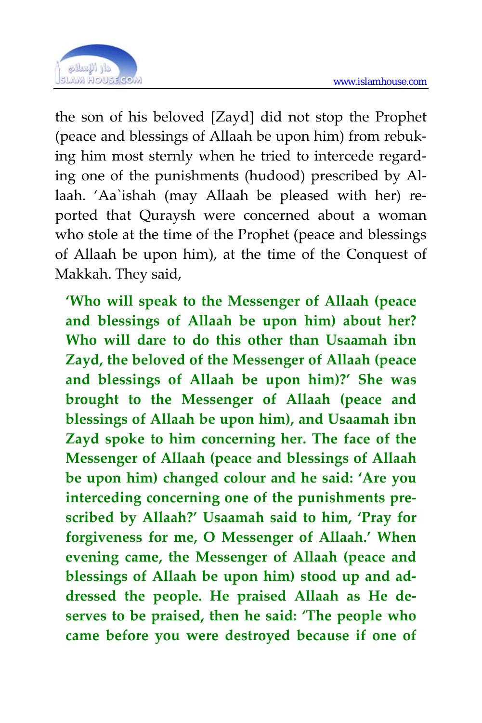

the son of his beloved [Zayd] did not stop the Prophet (peace and blessings of Allaah be upon him) from rebuk‐ ing him most sternly when he tried to intercede regard‐ ing one of the punishments (hudood) prescribed by Al‐ laah. 'Aa`ishah (may Allaah be pleased with her) re‐ ported that Quraysh were concerned about a woman who stole at the time of the Prophet (peace and blessings of Allaah be upon him), at the time of the Conquest of Makkah. They said,

**'Who will speak to the Messenger of Allaah (peace and blessings of Allaah be upon him) about her? Who will dare to do this other than Usaamah ibn Zayd, the beloved of the Messenger of Allaah (peace and blessings of Allaah be upon him)?' She was brought to the Messenger of Allaah (peace and blessings of Allaah be upon him), and Usaamah ibn Zayd spoke to him concerning her. The face of the Messenger of Allaah (peace and blessings of Allaah be upon him) changed colour and he said: 'Are you interceding concerning one of the punishments pre‐ scribed by Allaah?' Usaamah said to him, 'Pray for forgiveness for me, O Messenger of Allaah.' When evening came, the Messenger of Allaah (peace and blessings of Allaah be upon him) stood up and ad‐ dressed the people. He praised Allaah as He de‐ serves to be praised, then he said: 'The people who came before you were destroyed because if one of**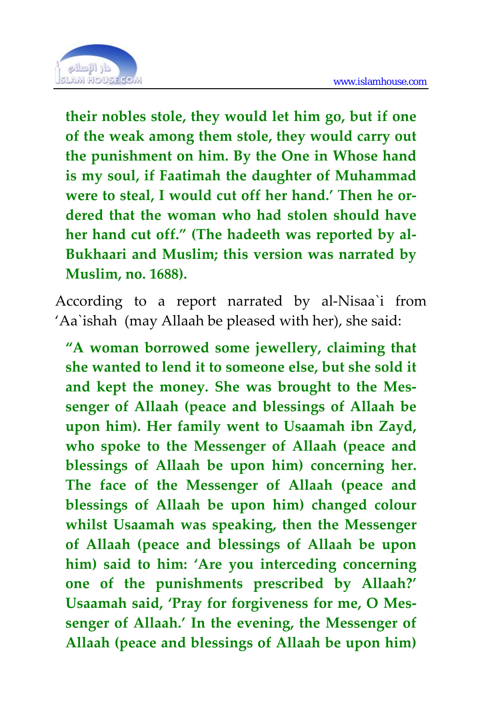

**their nobles stole, they would let him go, but if one of the weak among them stole, they would carry out the punishment on him. By the One in Whose hand is my soul, if Faatimah the daughter of Muhammad were to steal, I would cut off her hand.' Then he or‐ dered that the woman who had stolen should have her hand cut off." (The hadeeth was reported by al‐ Bukhaari and Muslim; this version was narrated by Muslim, no. 1688).**

According to a report narrated by al‐Nisaa`i from 'Aa`ishah (may Allaah be pleased with her), she said:

**"A woman borrowed some jewellery, claiming that she wanted to lend it to someone else, but she sold it and kept the money. She was brought to the Mes‐ senger of Allaah (peace and blessings of Allaah be upon him). Her family went to Usaamah ibn Zayd, who spoke to the Messenger of Allaah (peace and blessings of Allaah be upon him) concerning her. The face of the Messenger of Allaah (peace and blessings of Allaah be upon him) changed colour whilst Usaamah was speaking, then the Messenger of Allaah (peace and blessings of Allaah be upon him) said to him: 'Are you interceding concerning one of the punishments prescribed by Allaah?' Usaamah said, 'Pray for forgiveness for me, O Mes‐ senger of Allaah.' In the evening, the Messenger of Allaah (peace and blessings of Allaah be upon him)**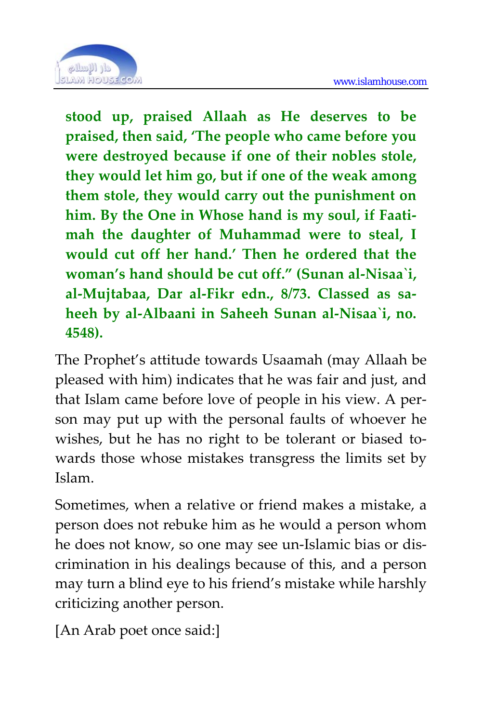

**stood up, praised Allaah as He deserves to be praised, then said, 'The people who came before you were destroyed because if one of their nobles stole, they would let him go, but if one of the weak among them stole, they would carry out the punishment on him. By the One in Whose hand is my soul, if Faati‐ mah the daughter of Muhammad were to steal, I would cut off her hand.' Then he ordered that the woman's hand should be cut off." (Sunan al‐Nisaa`i, al‐Mujtabaa, Dar al‐Fikr edn., 8/73. Classed as sa‐ heeh by al‐Albaani in Saheeh Sunan al‐Nisaa`i, no. 4548).**

The Prophet's attitude towards Usaamah (may Allaah be pleased with him) indicates that he was fair and just, and that Islam came before love of people in his view. A per‐ son may put up with the personal faults of whoever he wishes, but he has no right to be tolerant or biased towards those whose mistakes transgress the limits set by Islam.

Sometimes, when a relative or friend makes a mistake, a person does not rebuke him as he would a person whom he does not know, so one may see un-Islamic bias or discrimination in his dealings because of this, and a person may turn a blind eye to his friend's mistake while harshly criticizing another person.

[An Arab poet once said:]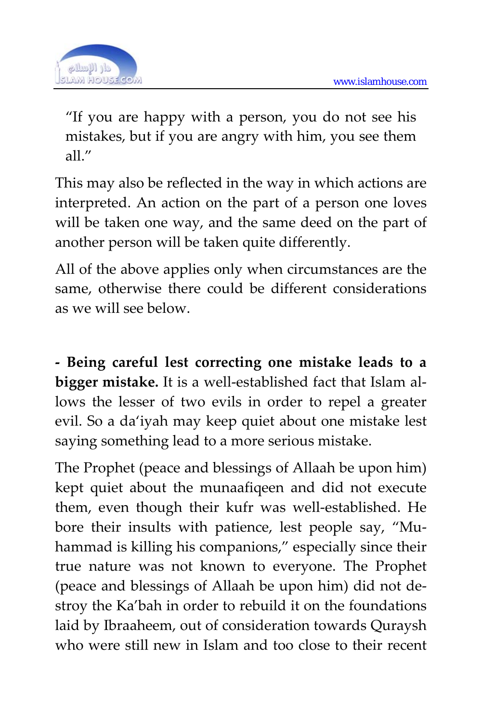

"If you are happy with a person, you do not see his mistakes, but if you are angry with him, you see them all."

This may also be reflected in the way in which actions are interpreted. An action on the part of a person one loves will be taken one way, and the same deed on the part of another person will be taken quite differently.

All of the above applies only when circumstances are the same, otherwise there could be different considerations as we will see below.

**‐ Being careful lest correcting one mistake leads to a bigger mistake.** It is a well‐established fact that Islam al‐ lows the lesser of two evils in order to repel a greater evil. So a da'iyah may keep quiet about one mistake lest saying something lead to a more serious mistake.

The Prophet (peace and blessings of Allaah be upon him) kept quiet about the munaafiqeen and did not execute them, even though their kufr was well-established. He bore their insults with patience, lest people say, "Mu‐ hammad is killing his companions," especially since their true nature was not known to everyone. The Prophet (peace and blessings of Allaah be upon him) did not de‐ stroy the Ka'bah in order to rebuild it on the foundations laid by Ibraaheem, out of consideration towards Quraysh who were still new in Islam and too close to their recent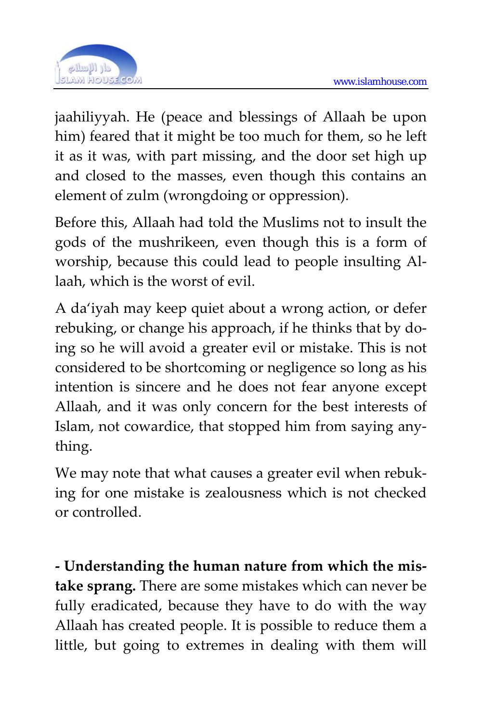

jaahiliyyah. He (peace and blessings of Allaah be upon him) feared that it might be too much for them, so he left it as it was, with part missing, and the door set high up and closed to the masses, even though this contains an element of zulm (wrongdoing or oppression).

Before this, Allaah had told the Muslims not to insult the gods of the mushrikeen, even though this is a form of worship, because this could lead to people insulting Allaah, which is the worst of evil.

A da'iyah may keep quiet about a wrong action, or defer rebuking, or change his approach, if he thinks that by doing so he will avoid a greater evil or mistake. This is not considered to be shortcoming or negligence so long as his intention is sincere and he does not fear anyone except Allaah, and it was only concern for the best interests of Islam, not cowardice, that stopped him from saying any‐ thing.

We may note that what causes a greater evil when rebuking for one mistake is zealousness which is not checked or controlled.

**‐ Understanding the human nature from which the mis‐ take sprang.** There are some mistakes which can never be fully eradicated, because they have to do with the way Allaah has created people. It is possible to reduce them a little, but going to extremes in dealing with them will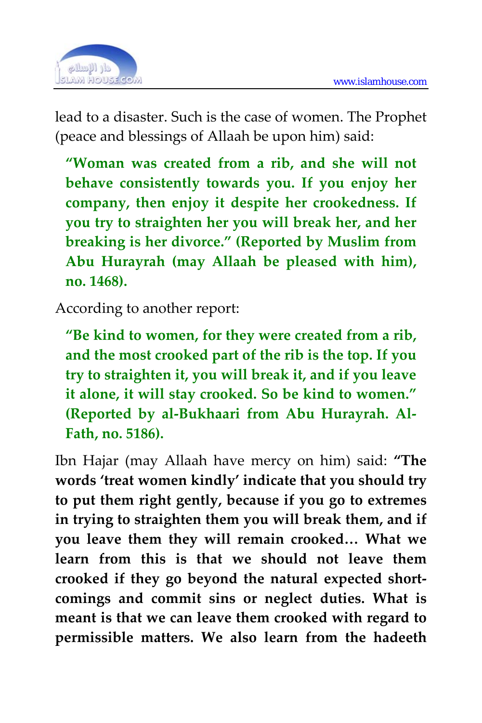

lead to a disaster. Such is the case of women. The Prophet (peace and blessings of Allaah be upon him) said:

**"Woman was created from a rib, and she will not behave consistently towards you. If you enjoy her company, then enjoy it despite her crookedness. If you try to straighten her you will break her, and her breaking is her divorce." (Reported by Muslim from Abu Hurayrah (may Allaah be pleased with him), no. 1468).**

According to another report:

**"Be kind to women, for they were created from a rib, and the most crooked part of the rib is the top. If you try to straighten it, you will break it, and if you leave it alone, it will stay crooked. So be kind to women." (Reported by al‐Bukhaari from Abu Hurayrah. Al‐ Fath, no. 5186).**

Ibn Hajar (may Allaah have mercy on him) said: **"The words 'treat women kindly' indicate that you should try to put them right gently, because if you go to extremes in trying to straighten them you will break them, and if you leave them they will remain crooked… What we learn from this is that we should not leave them crooked if they go beyond the natural expected short‐ comings and commit sins or neglect duties. What is meant is that we can leave them crooked with regard to permissible matters. We also learn from the hadeeth**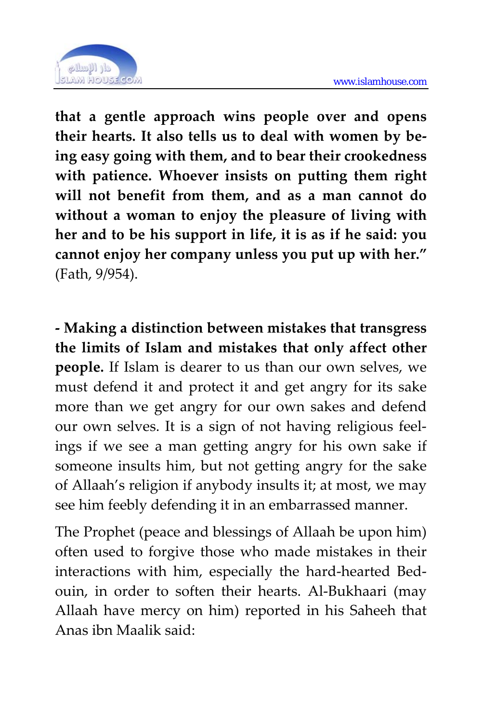

**that a gentle approach wins people over and opens their hearts. It also tells us to deal with women by be‐ ing easy going with them, and to bear their crookedness with patience. Whoever insists on putting them right will not benefit from them, and as a man cannot do without a woman to enjoy the pleasure of living with her and to be his support in life, it is as if he said: you cannot enjoy her company unless you put up with her."** (Fath, 9/954).

**‐ Making a distinction between mistakes that transgress the limits of Islam and mistakes that only affect other people.** If Islam is dearer to us than our own selves, we must defend it and protect it and get angry for its sake more than we get angry for our own sakes and defend our own selves. It is a sign of not having religious feel‐ ings if we see a man getting angry for his own sake if someone insults him, but not getting angry for the sake of Allaah's religion if anybody insults it; at most, we may see him feebly defending it in an embarrassed manner.

The Prophet (peace and blessings of Allaah be upon him) often used to forgive those who made mistakes in their interactions with him, especially the hard‐hearted Bed‐ ouin, in order to soften their hearts. Al‐Bukhaari (may Allaah have mercy on him) reported in his Saheeh that Anas ibn Maalik said: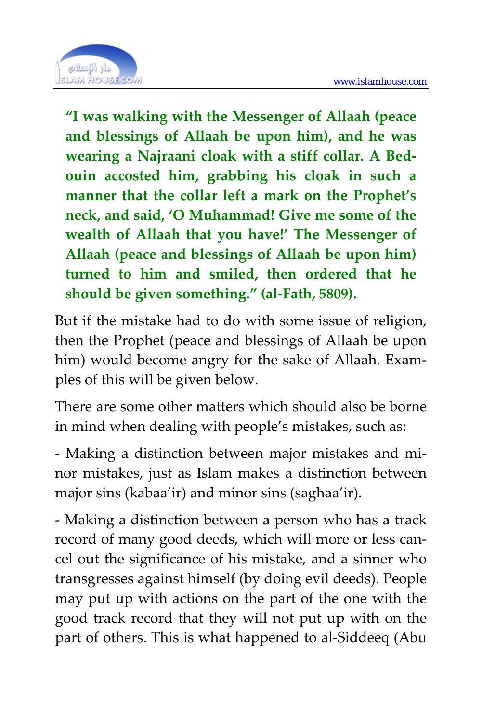

**"I was walking with the Messenger of Allaah (peace and blessings of Allaah be upon him), and he was wearing a Najraani cloak with a stiff collar. A Bed‐ ouin accosted him, grabbing his cloak in such a manner that the collar left a mark on the Prophet's neck, and said, 'O Muhammad! Give me some of the wealth of Allaah that you have!' The Messenger of Allaah (peace and blessings of Allaah be upon him) turned to him and smiled, then ordered that he should be given something." (al‐Fath, 5809).**

But if the mistake had to do with some issue of religion, then the Prophet (peace and blessings of Allaah be upon him) would become angry for the sake of Allaah. Examples of this will be given below.

There are some other matters which should also be borne in mind when dealing with people's mistakes, such as:

‐ Making a distinction between major mistakes and mi‐ nor mistakes, just as Islam makes a distinction between major sins (kabaa'ir) and minor sins (saghaa'ir).

‐ Making a distinction between a person who has a track record of many good deeds, which will more or less cancel out the significance of his mistake, and a sinner who transgresses against himself (by doing evil deeds). People may put up with actions on the part of the one with the good track record that they will not put up with on the part of others. This is what happened to al‐Siddeeq (Abu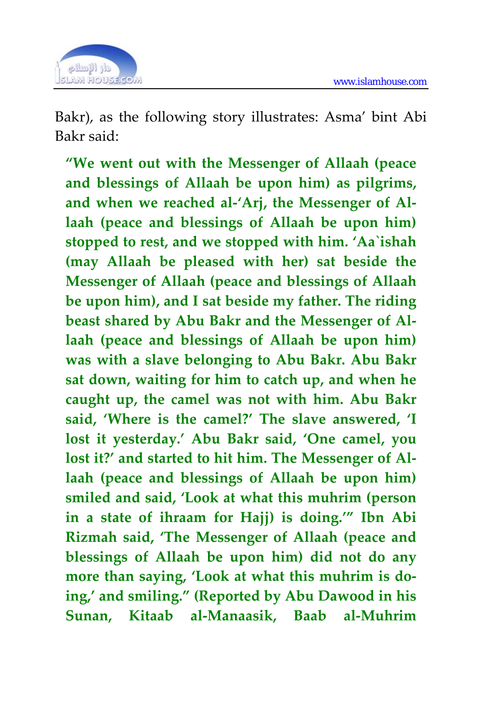

Bakr), as the following story illustrates: Asma' bint Abi Bakr said:

**"We went out with the Messenger of Allaah (peace and blessings of Allaah be upon him) as pilgrims, and when we reached al‐'Arj, the Messenger of Al‐ laah (peace and blessings of Allaah be upon him) stopped to rest, and we stopped with him. 'Aa`ishah (may Allaah be pleased with her) sat beside the Messenger of Allaah (peace and blessings of Allaah be upon him), and I sat beside my father. The riding beast shared by Abu Bakr and the Messenger of Al‐ laah (peace and blessings of Allaah be upon him) was with a slave belonging to Abu Bakr. Abu Bakr sat down, waiting for him to catch up, and when he caught up, the camel was not with him. Abu Bakr said, 'Where is the camel?' The slave answered, 'I lost it yesterday.' Abu Bakr said, 'One camel, you lost it?' and started to hit him. The Messenger of Al‐ laah (peace and blessings of Allaah be upon him) smiled and said, 'Look at what this muhrim (person in a state of ihraam for Hajj) is doing.'" Ibn Abi Rizmah said, 'The Messenger of Allaah (peace and blessings of Allaah be upon him) did not do any more than saying, 'Look at what this muhrim is do‐ ing,' and smiling." (Reported by Abu Dawood in his Sunan, Kitaab al‐Manaasik, Baab al‐Muhrim**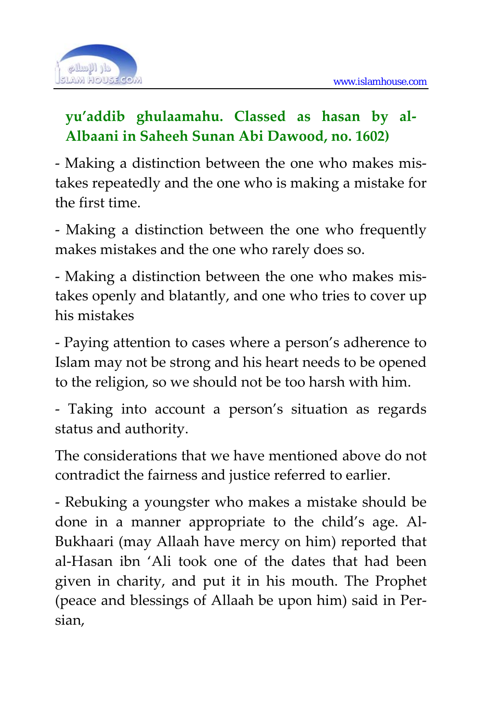

## **yu'addib ghulaamahu. Classed as hasan by al‐ Albaani in Saheeh Sunan Abi Dawood, no. 1602)**

‐ Making a distinction between the one who makes mis‐ takes repeatedly and the one who is making a mistake for the first time.

‐ Making a distinction between the one who frequently makes mistakes and the one who rarely does so.

‐ Making a distinction between the one who makes mis‐ takes openly and blatantly, and one who tries to cover up his mistakes

‐ Paying attention to cases where a person's adherence to Islam may not be strong and his heart needs to be opened to the religion, so we should not be too harsh with him.

‐ Taking into account a person's situation as regards status and authority.

The considerations that we have mentioned above do not contradict the fairness and justice referred to earlier.

‐ Rebuking a youngster who makes a mistake should be done in a manner appropriate to the child's age. Al‐ Bukhaari (may Allaah have mercy on him) reported that al‐Hasan ibn 'Ali took one of the dates that had been given in charity, and put it in his mouth. The Prophet (peace and blessings of Allaah be upon him) said in Per‐ sian,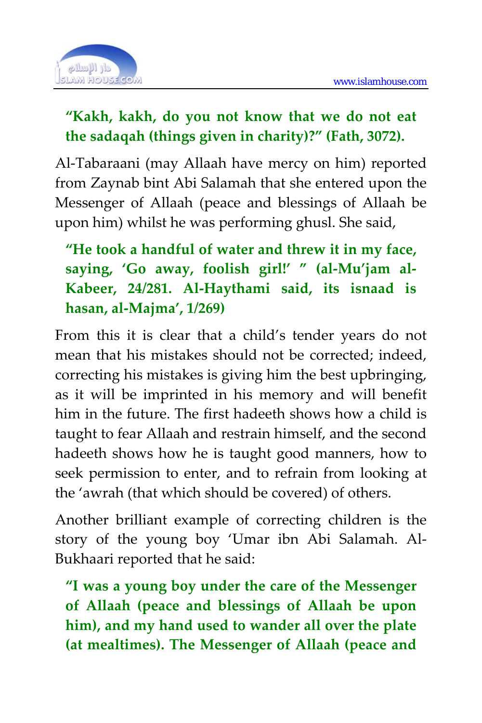

## **"Kakh, kakh, do you not know that we do not eat the sadaqah (things given in charity)?" (Fath, 3072).**

Al‐Tabaraani (may Allaah have mercy on him) reported from Zaynab bint Abi Salamah that she entered upon the Messenger of Allaah (peace and blessings of Allaah be upon him) whilst he was performing ghusl. She said,

**"He took a handful of water and threw it in my face, saying, 'Go away, foolish girl!' " (al‐Mu'jam al‐ Kabeer, 24/281. Al‐Haythami said, its isnaad is hasan, al‐Majma', 1/269)**

From this it is clear that a child's tender years do not mean that his mistakes should not be corrected; indeed, correcting his mistakes is giving him the best upbringing, as it will be imprinted in his memory and will benefit him in the future. The first hadeeth shows how a child is taught to fear Allaah and restrain himself, and the second hadeeth shows how he is taught good manners, how to seek permission to enter, and to refrain from looking at the 'awrah (that which should be covered) of others.

Another brilliant example of correcting children is the story of the young boy 'Umar ibn Abi Salamah. Al‐ Bukhaari reported that he said:

**"I was a young boy under the care of the Messenger of Allaah (peace and blessings of Allaah be upon him), and my hand used to wander all over the plate (at mealtimes). The Messenger of Allaah (peace and**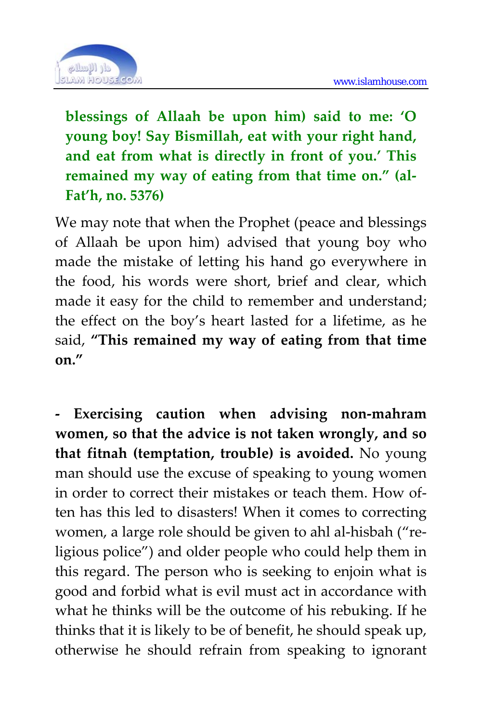

**blessings of Allaah be upon him) said to me: 'O young boy! Say Bismillah, eat with your right hand, and eat from what is directly in front of you.' This remained my way of eating from that time on." (al‐ Fat'h, no. 5376)**

We may note that when the Prophet (peace and blessings of Allaah be upon him) advised that young boy who made the mistake of letting his hand go everywhere in the food, his words were short, brief and clear, which made it easy for the child to remember and understand; the effect on the boy's heart lasted for a lifetime, as he said, **"This remained my way of eating from that time on."**

**‐ Exercising caution when advising non‐mahram women, so that the advice is not taken wrongly, and so that fitnah (temptation, trouble) is avoided.** No young man should use the excuse of speaking to young women in order to correct their mistakes or teach them. How often has this led to disasters! When it comes to correcting women, a large role should be given to ahl al-hisbah ("religious police") and older people who could help them in this regard. The person who is seeking to enjoin what is good and forbid what is evil must act in accordance with what he thinks will be the outcome of his rebuking. If he thinks that it is likely to be of benefit, he should speak up, otherwise he should refrain from speaking to ignorant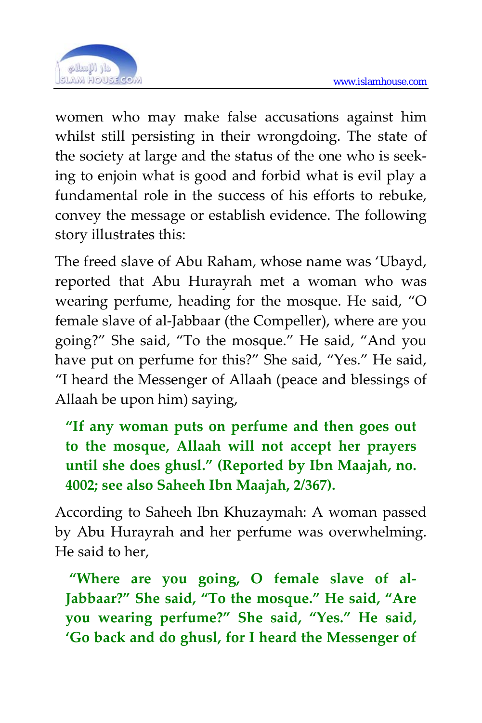

women who may make false accusations against him whilst still persisting in their wrongdoing. The state of the society at large and the status of the one who is seek‐ ing to enjoin what is good and forbid what is evil play a fundamental role in the success of his efforts to rebuke, convey the message or establish evidence. The following story illustrates this:

The freed slave of Abu Raham, whose name was 'Ubayd, reported that Abu Hurayrah met a woman who was wearing perfume, heading for the mosque. He said, "O female slave of al‐Jabbaar (the Compeller), where are you going?" She said, "To the mosque." He said, "And you have put on perfume for this?" She said, "Yes." He said, "I heard the Messenger of Allaah (peace and blessings of Allaah be upon him) saying,

**"If any woman puts on perfume and then goes out to the mosque, Allaah will not accept her prayers until she does ghusl." (Reported by Ibn Maajah, no. 4002; see also Saheeh Ibn Maajah, 2/367).**

According to Saheeh Ibn Khuzaymah: A woman passed by Abu Hurayrah and her perfume was overwhelming. He said to her,

**"Where are you going, O female slave of al‐ Jabbaar?" She said, "To the mosque." He said, "Are you wearing perfume?" She said, "Yes." He said, 'Go back and do ghusl, for I heard the Messenger of**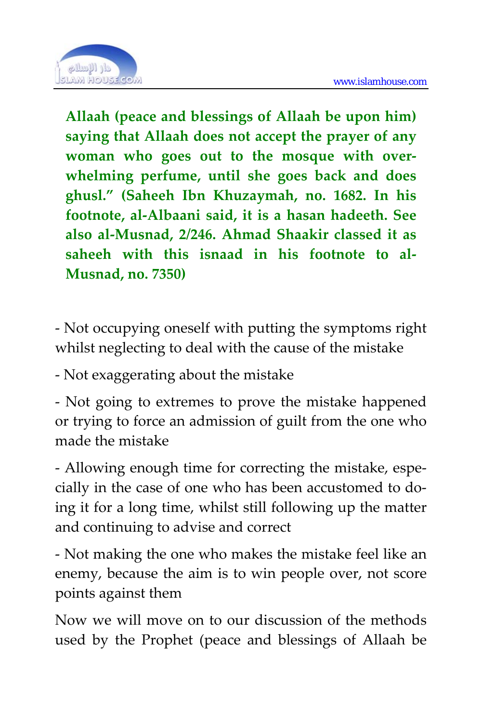

**Allaah (peace and blessings of Allaah be upon him) saying that Allaah does not accept the prayer of any woman who goes out to the mosque with over‐ whelming perfume, until she goes back and does ghusl." (Saheeh Ibn Khuzaymah, no. 1682. In his footnote, al‐Albaani said, it is a hasan hadeeth. See also al‐Musnad, 2/246. Ahmad Shaakir classed it as saheeh with this isnaad in his footnote to al‐ Musnad, no. 7350)**

‐ Not occupying oneself with putting the symptoms right whilst neglecting to deal with the cause of the mistake

‐ Not exaggerating about the mistake

‐ Not going to extremes to prove the mistake happened or trying to force an admission of guilt from the one who made the mistake

‐ Allowing enough time for correcting the mistake, espe‐ cially in the case of one who has been accustomed to do‐ ing it for a long time, whilst still following up the matter and continuing to advise and correct

‐ Not making the one who makes the mistake feel like an enemy, because the aim is to win people over, not score points against them

Now we will move on to our discussion of the methods used by the Prophet (peace and blessings of Allaah be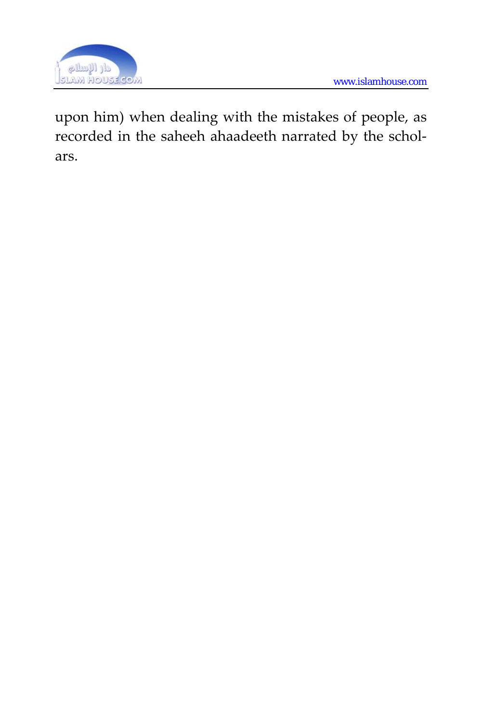

upon him) when dealing with the mistakes of people, as recorded in the saheeh ahaadeeth narrated by the scholars.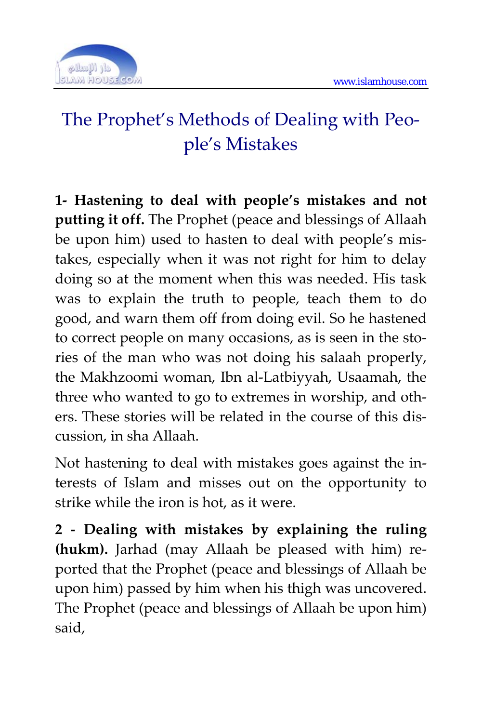

# The Prophet's Methods of Dealing with Peo‐ ple's Mistakes

**1‐ Hastening to deal with people's mistakes and not putting it off.** The Prophet (peace and blessings of Allaah be upon him) used to hasten to deal with people's mis‐ takes, especially when it was not right for him to delay doing so at the moment when this was needed. His task was to explain the truth to people, teach them to do good, and warn them off from doing evil. So he hastened to correct people on many occasions, as is seen in the stories of the man who was not doing his salaah properly, the Makhzoomi woman, Ibn al‐Latbiyyah, Usaamah, the three who wanted to go to extremes in worship, and oth‐ ers. These stories will be related in the course of this dis‐ cussion, in sha Allaah.

Not hastening to deal with mistakes goes against the in‐ terests of Islam and misses out on the opportunity to strike while the iron is hot, as it were.

**2 ‐ Dealing with mistakes by explaining the ruling (hukm).** Jarhad (may Allaah be pleased with him) re‐ ported that the Prophet (peace and blessings of Allaah be upon him) passed by him when his thigh was uncovered. The Prophet (peace and blessings of Allaah be upon him) said,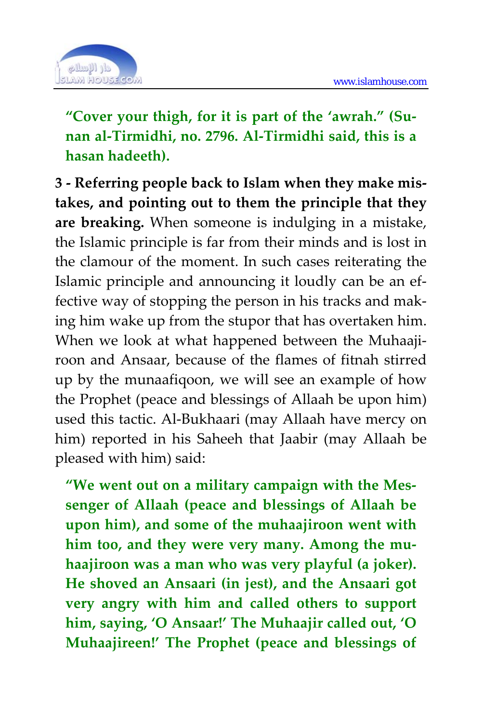

**"Cover your thigh, for it is part of the 'awrah." (Su‐ nan al‐Tirmidhi, no. 2796. Al‐Tirmidhi said, this is a hasan hadeeth).**

**3 ‐ Referring people back to Islam when they make mis‐ takes, and pointing out to them the principle that they are breaking.** When someone is indulging in a mistake, the Islamic principle is far from their minds and is lost in the clamour of the moment. In such cases reiterating the Islamic principle and announcing it loudly can be an ef‐ fective way of stopping the person in his tracks and mak‐ ing him wake up from the stupor that has overtaken him. When we look at what happened between the Muhaajiroon and Ansaar, because of the flames of fitnah stirred up by the munaafiqoon, we will see an example of how the Prophet (peace and blessings of Allaah be upon him) used this tactic. Al‐Bukhaari (may Allaah have mercy on him) reported in his Saheeh that Jaabir (may Allaah be pleased with him) said:

**"We went out on a military campaign with the Mes‐ senger of Allaah (peace and blessings of Allaah be upon him), and some of the muhaajiroon went with him too, and they were very many. Among the mu‐ haajiroon was a man who was very playful (a joker). He shoved an Ansaari (in jest), and the Ansaari got very angry with him and called others to support him, saying, 'O Ansaar!' The Muhaajir called out, 'O Muhaajireen!' The Prophet (peace and blessings of**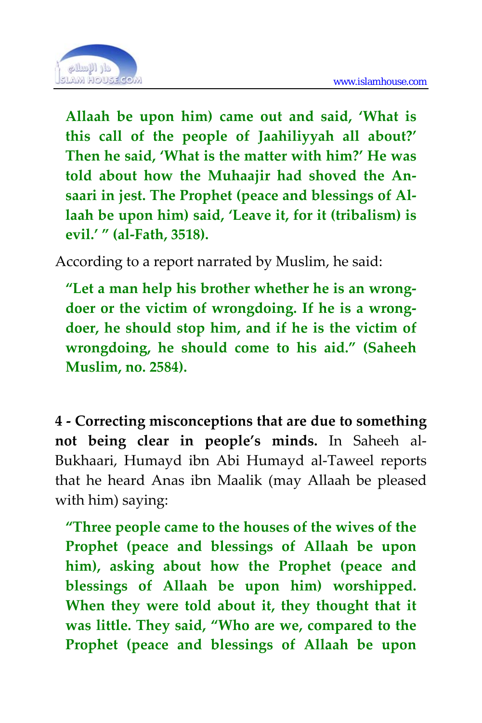

**Allaah be upon him) came out and said, 'What is this call of the people of Jaahiliyyah all about?' Then he said, 'What is the matter with him?' He was told about how the Muhaajir had shoved the An‐ saari in jest. The Prophet (peace and blessings of Al‐ laah be upon him) said, 'Leave it, for it (tribalism) is evil.' " (al‐Fath, 3518).** 

According to a report narrated by Muslim, he said:

**"Let a man help his brother whether he is an wrong‐ doer or the victim of wrongdoing. If he is a wrong‐ doer, he should stop him, and if he is the victim of wrongdoing, he should come to his aid." (Saheeh Muslim, no. 2584).**

**4 ‐ Correcting misconceptions that are due to something not being clear in people's minds.** In Saheeh al‐ Bukhaari, Humayd ibn Abi Humayd al‐Taweel reports that he heard Anas ibn Maalik (may Allaah be pleased with him) saying:

**"Three people came to the houses of the wives of the Prophet (peace and blessings of Allaah be upon him), asking about how the Prophet (peace and blessings of Allaah be upon him) worshipped. When they were told about it, they thought that it was little. They said, "Who are we, compared to the Prophet (peace and blessings of Allaah be upon**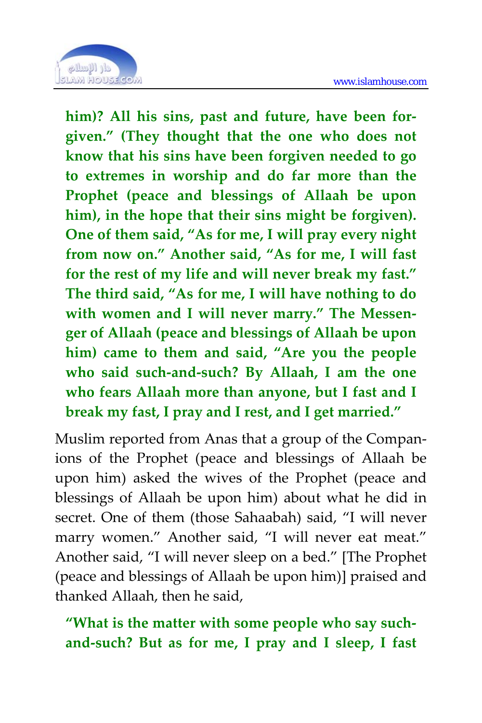

**him)? All his sins, past and future, have been for‐ given." (They thought that the one who does not know that his sins have been forgiven needed to go to extremes in worship and do far more than the Prophet (peace and blessings of Allaah be upon him), in the hope that their sins might be forgiven). One of them said, "As for me, I will pray every night from now on." Another said, "As for me, I will fast for the rest of my life and will never break my fast." The third said, "As for me, I will have nothing to do with women and I will never marry." The Messen‐ ger of Allaah (peace and blessings of Allaah be upon him) came to them and said, "Are you the people who said such‐and‐such? By Allaah, I am the one who fears Allaah more than anyone, but I fast and I break my fast, I pray and I rest, and I get married."**

Muslim reported from Anas that a group of the Compan‐ ions of the Prophet (peace and blessings of Allaah be upon him) asked the wives of the Prophet (peace and blessings of Allaah be upon him) about what he did in secret. One of them (those Sahaabah) said, "I will never marry women." Another said, "I will never eat meat." Another said, "I will never sleep on a bed." [The Prophet (peace and blessings of Allaah be upon him)] praised and thanked Allaah, then he said,

**"What is the matter with some people who say such‐ and‐such? But as for me, I pray and I sleep, I fast**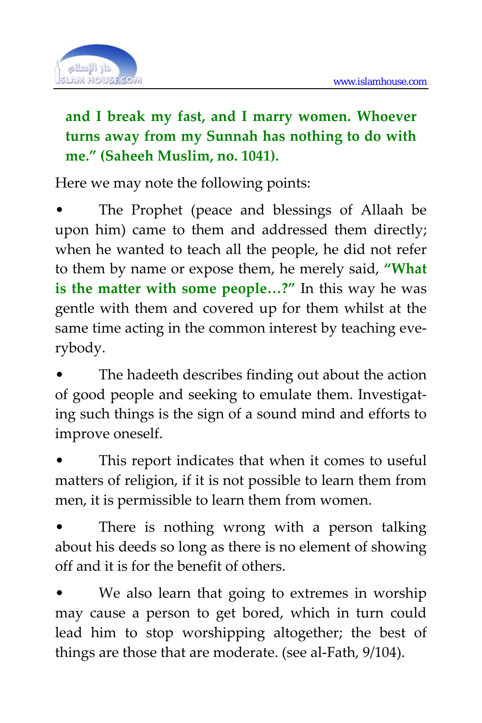

## **and I break my fast, and I marry women. Whoever turns away from my Sunnah has nothing to do with me." (Saheeh Muslim, no. 1041).**

Here we may note the following points:

• The Prophet (peace and blessings of Allaah be upon him) came to them and addressed them directly; when he wanted to teach all the people, he did not refer to them by name or expose them, he merely said, **"What is the matter with some people…?"** In this way he was gentle with them and covered up for them whilst at the same time acting in the common interest by teaching everybody.

The hadeeth describes finding out about the action of good people and seeking to emulate them. Investigat‐ ing such things is the sign of a sound mind and efforts to improve oneself.

This report indicates that when it comes to useful matters of religion, if it is not possible to learn them from men, it is permissible to learn them from women.

There is nothing wrong with a person talking about his deeds so long as there is no element of showing off and it is for the benefit of others.

We also learn that going to extremes in worship may cause a person to get bored, which in turn could lead him to stop worshipping altogether; the best of things are those that are moderate. (see al‐Fath, 9/104).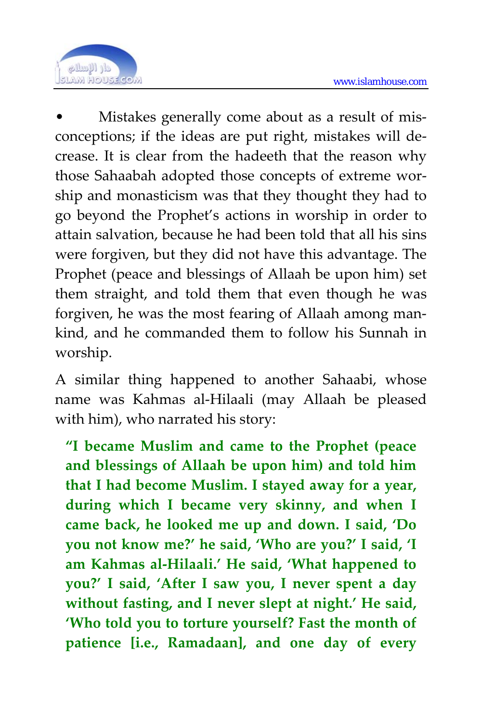

Mistakes generally come about as a result of misconceptions; if the ideas are put right, mistakes will de‐ crease. It is clear from the hadeeth that the reason why those Sahaabah adopted those concepts of extreme worship and monasticism was that they thought they had to go beyond the Prophet's actions in worship in order to attain salvation, because he had been told that all his sins were forgiven, but they did not have this advantage. The Prophet (peace and blessings of Allaah be upon him) set them straight, and told them that even though he was forgiven, he was the most fearing of Allaah among man‐ kind, and he commanded them to follow his Sunnah in worship.

A similar thing happened to another Sahaabi, whose name was Kahmas al‐Hilaali (may Allaah be pleased with him), who narrated his story:

**"I became Muslim and came to the Prophet (peace and blessings of Allaah be upon him) and told him that I had become Muslim. I stayed away for a year, during which I became very skinny, and when I came back, he looked me up and down. I said, 'Do you not know me?' he said, 'Who are you?' I said, 'I am Kahmas al‐Hilaali.' He said, 'What happened to you?' I said, 'After I saw you, I never spent a day without fasting, and I never slept at night.' He said, 'Who told you to torture yourself? Fast the month of patience [i.e., Ramadaan], and one day of every**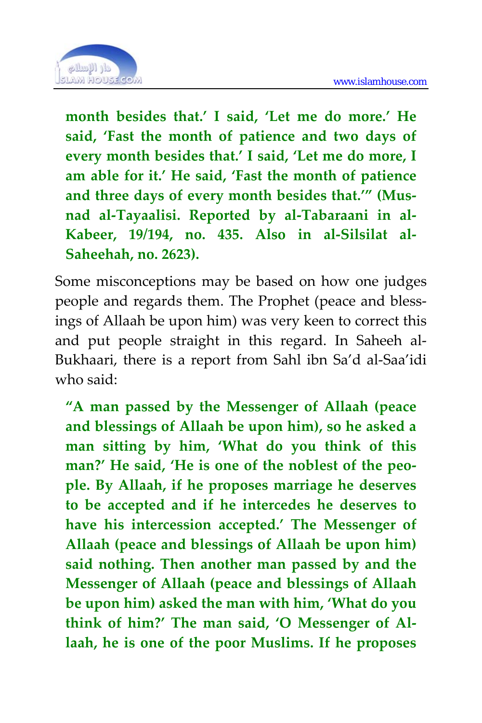

**month besides that.' I said, 'Let me do more.' He said, 'Fast the month of patience and two days of every month besides that.' I said, 'Let me do more, I am able for it.' He said, 'Fast the month of patience and three days of every month besides that.'" (Mus‐ nad al‐Tayaalisi. Reported by al‐Tabaraani in al‐ Kabeer, 19/194, no. 435. Also in al‐Silsilat al‐ Saheehah, no. 2623).**

Some misconceptions may be based on how one judges people and regards them. The Prophet (peace and blessings of Allaah be upon him) was very keen to correct this and put people straight in this regard. In Saheeh al-Bukhaari, there is a report from Sahl ibn Sa'd al‐Saa'idi who said:

**"A man passed by the Messenger of Allaah (peace and blessings of Allaah be upon him), so he asked a man sitting by him, 'What do you think of this man?' He said, 'He is one of the noblest of the peo‐ ple. By Allaah, if he proposes marriage he deserves to be accepted and if he intercedes he deserves to have his intercession accepted.' The Messenger of Allaah (peace and blessings of Allaah be upon him) said nothing. Then another man passed by and the Messenger of Allaah (peace and blessings of Allaah be upon him) asked the man with him, 'What do you think of him?' The man said, 'O Messenger of Al‐ laah, he is one of the poor Muslims. If he proposes**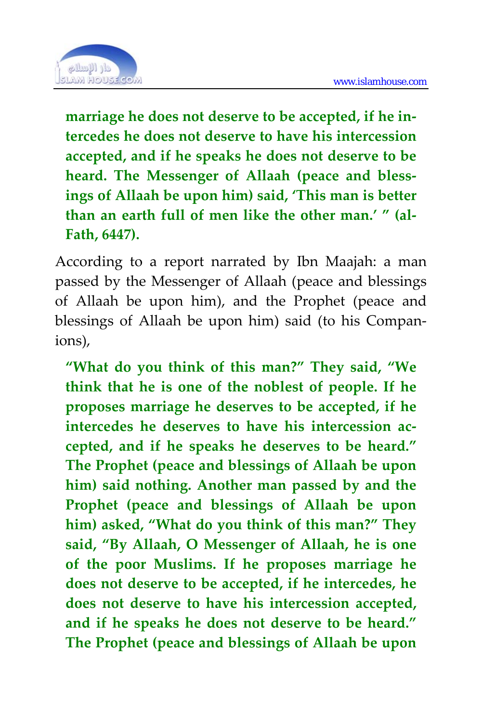

**marriage he does not deserve to be accepted, if he in‐ tercedes he does not deserve to have his intercession accepted, and if he speaks he does not deserve to be heard. The Messenger of Allaah (peace and bless‐ ings of Allaah be upon him) said, 'This man is better than an earth full of men like the other man.' " (al‐ Fath, 6447).**

According to a report narrated by Ibn Maajah: a man passed by the Messenger of Allaah (peace and blessings of Allaah be upon him), and the Prophet (peace and blessings of Allaah be upon him) said (to his Compan‐ ions),

**"What do you think of this man?" They said, "We think that he is one of the noblest of people. If he proposes marriage he deserves to be accepted, if he intercedes he deserves to have his intercession ac‐ cepted, and if he speaks he deserves to be heard." The Prophet (peace and blessings of Allaah be upon him) said nothing. Another man passed by and the Prophet (peace and blessings of Allaah be upon him) asked, "What do you think of this man?" They said, "By Allaah, O Messenger of Allaah, he is one of the poor Muslims. If he proposes marriage he does not deserve to be accepted, if he intercedes, he does not deserve to have his intercession accepted, and if he speaks he does not deserve to be heard." The Prophet (peace and blessings of Allaah be upon**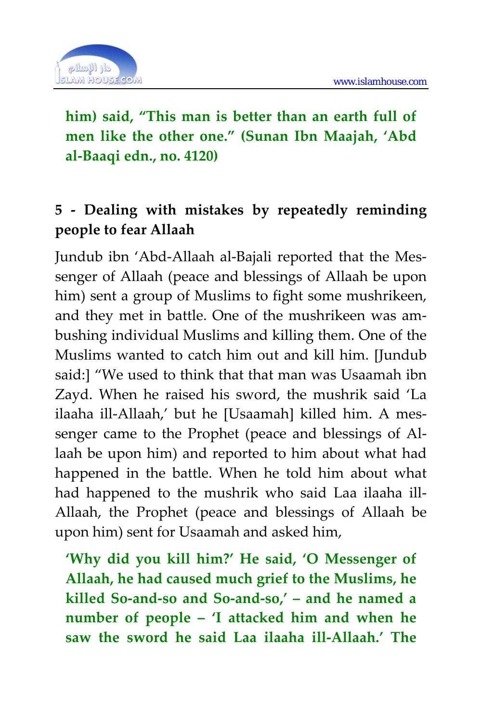

**him) said, "This man is better than an earth full of men like the other one." (Sunan Ibn Maajah, 'Abd al‐Baaqi edn., no. 4120)**

### **5 ‐ Dealing with mistakes by repeatedly reminding people to fear Allaah**

Jundub ibn 'Abd‐Allaah al‐Bajali reported that the Mes‐ senger of Allaah (peace and blessings of Allaah be upon him) sent a group of Muslims to fight some mushrikeen, and they met in battle. One of the mushrikeen was am‐ bushing individual Muslims and killing them. One of the Muslims wanted to catch him out and kill him. [Jundub said:] "We used to think that that man was Usaamah ibn Zayd. When he raised his sword, the mushrik said 'La ilaaha ill‐Allaah,' but he [Usaamah] killed him. A mes‐ senger came to the Prophet (peace and blessings of Al‐ laah be upon him) and reported to him about what had happened in the battle. When he told him about what had happened to the mushrik who said Laa ilaaha ill‐ Allaah, the Prophet (peace and blessings of Allaah be upon him) sent for Usaamah and asked him,

**'Why did you kill him?' He said, 'O Messenger of Allaah, he had caused much grief to the Muslims, he killed So‐and‐so and So‐and‐so,' – and he named a number of people – 'I attacked him and when he saw the sword he said Laa ilaaha ill‐Allaah.' The**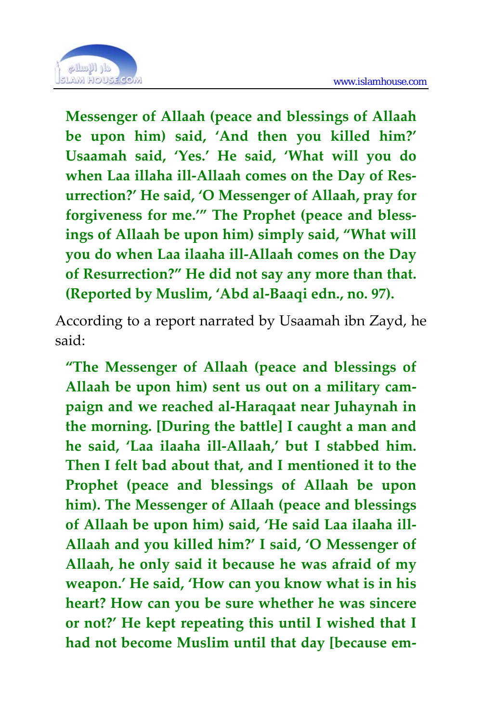

**Messenger of Allaah (peace and blessings of Allaah be upon him) said, 'And then you killed him?' Usaamah said, 'Yes.' He said, 'What will you do when Laa illaha ill‐Allaah comes on the Day of Res‐ urrection?' He said, 'O Messenger of Allaah, pray for forgiveness for me.'" The Prophet (peace and bless‐ ings of Allaah be upon him) simply said, "What will you do when Laa ilaaha ill‐Allaah comes on the Day of Resurrection?" He did not say any more than that. (Reported by Muslim, 'Abd al‐Baaqi edn., no. 97).**

According to a report narrated by Usaamah ibn Zayd, he said:

**"The Messenger of Allaah (peace and blessings of Allaah be upon him) sent us out on a military cam‐ paign and we reached al‐Haraqaat near Juhaynah in the morning. [During the battle] I caught a man and he said, 'Laa ilaaha ill‐Allaah,' but I stabbed him. Then I felt bad about that, and I mentioned it to the Prophet (peace and blessings of Allaah be upon him). The Messenger of Allaah (peace and blessings of Allaah be upon him) said, 'He said Laa ilaaha ill‐ Allaah and you killed him?' I said, 'O Messenger of Allaah, he only said it because he was afraid of my weapon.' He said, 'How can you know what is in his heart? How can you be sure whether he was sincere or not?' He kept repeating this until I wished that I had not become Muslim until that day [because em‐**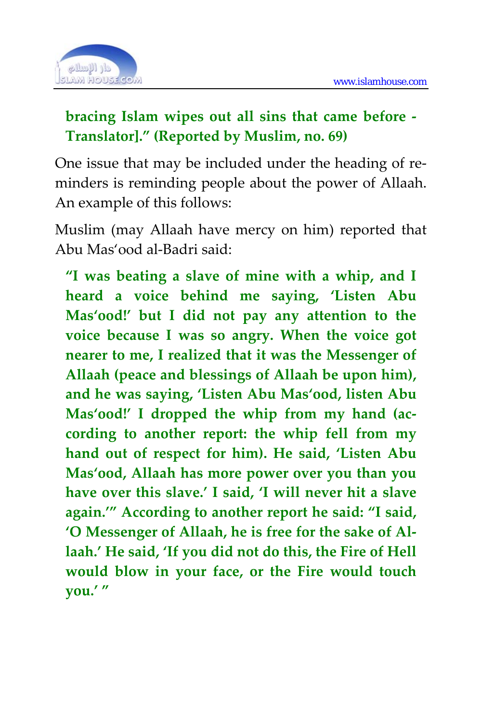

### **bracing Islam wipes out all sins that came before ‐ Translator]." (Reported by Muslim, no. 69)**

One issue that may be included under the heading of re‐ minders is reminding people about the power of Allaah. An example of this follows:

Muslim (may Allaah have mercy on him) reported that Abu Mas'ood al‐Badri said:

**"I was beating a slave of mine with a whip, and I heard a voice behind me saying, 'Listen Abu Mas'ood!' but I did not pay any attention to the voice because I was so angry. When the voice got nearer to me, I realized that it was the Messenger of Allaah (peace and blessings of Allaah be upon him), and he was saying, 'Listen Abu Mas'ood, listen Abu Mas'ood!' I dropped the whip from my hand (ac‐ cording to another report: the whip fell from my hand out of respect for him). He said, 'Listen Abu Mas'ood, Allaah has more power over you than you have over this slave.' I said, 'I will never hit a slave again.'" According to another report he said: "I said, 'O Messenger of Allaah, he is free for the sake of Al‐ laah.' He said, 'If you did not do this, the Fire of Hell would blow in your face, or the Fire would touch you.' "**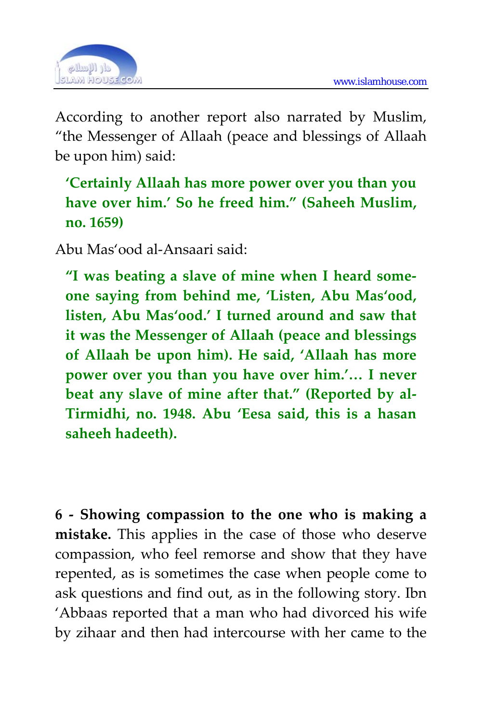

According to another report also narrated by Muslim, "the Messenger of Allaah (peace and blessings of Allaah be upon him) said:

**'Certainly Allaah has more power over you than you have over him.' So he freed him." (Saheeh Muslim, no. 1659)**

Abu Mas'ood al‐Ansaari said:

**"I was beating a slave of mine when I heard some‐ one saying from behind me, 'Listen, Abu Mas'ood, listen, Abu Mas'ood.' I turned around and saw that it was the Messenger of Allaah (peace and blessings of Allaah be upon him). He said, 'Allaah has more power over you than you have over him.'… I never beat any slave of mine after that." (Reported by al‐ Tirmidhi, no. 1948. Abu 'Eesa said, this is a hasan saheeh hadeeth).**

**6 ‐ Showing compassion to the one who is making a mistake.** This applies in the case of those who deserve compassion, who feel remorse and show that they have repented, as is sometimes the case when people come to ask questions and find out, as in the following story. Ibn 'Abbaas reported that a man who had divorced his wife by zihaar and then had intercourse with her came to the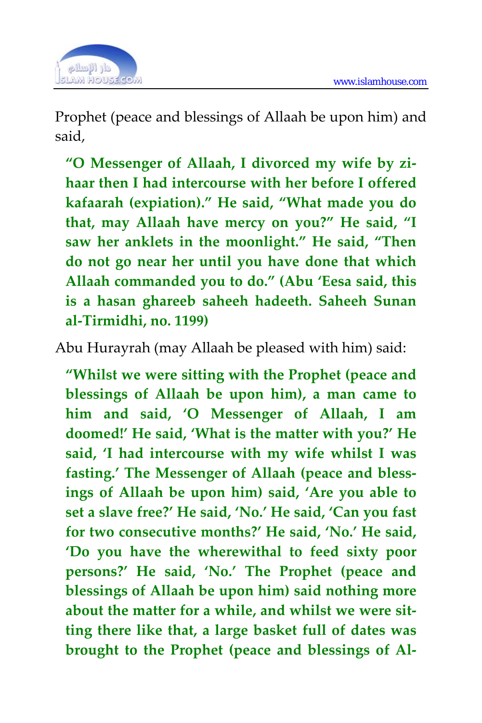

Prophet (peace and blessings of Allaah be upon him) and said,

**"O Messenger of Allaah, I divorced my wife by zi‐ haar then I had intercourse with her before I offered kafaarah (expiation)." He said, "What made you do that, may Allaah have mercy on you?" He said, "I saw her anklets in the moonlight." He said, "Then do not go near her until you have done that which Allaah commanded you to do." (Abu 'Eesa said, this is a hasan ghareeb saheeh hadeeth. Saheeh Sunan al‐Tirmidhi, no. 1199)**

Abu Hurayrah (may Allaah be pleased with him) said:

**"Whilst we were sitting with the Prophet (peace and blessings of Allaah be upon him), a man came to him and said, 'O Messenger of Allaah, I am doomed!' He said, 'What is the matter with you?' He said, 'I had intercourse with my wife whilst I was fasting.' The Messenger of Allaah (peace and bless‐ ings of Allaah be upon him) said, 'Are you able to set a slave free?' He said, 'No.' He said, 'Can you fast for two consecutive months?' He said, 'No.' He said, 'Do you have the wherewithal to feed sixty poor persons?' He said, 'No.' The Prophet (peace and blessings of Allaah be upon him) said nothing more about the matter for a while, and whilst we were sit‐ ting there like that, a large basket full of dates was brought to the Prophet (peace and blessings of Al‐**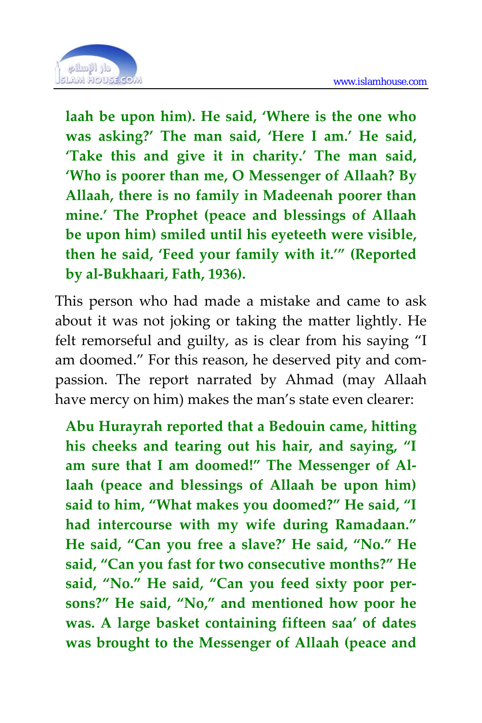

**laah be upon him). He said, 'Where is the one who was asking?' The man said, 'Here I am.' He said, 'Take this and give it in charity.' The man said, 'Who is poorer than me, O Messenger of Allaah? By Allaah, there is no family in Madeenah poorer than mine.' The Prophet (peace and blessings of Allaah be upon him) smiled until his eyeteeth were visible, then he said, 'Feed your family with it.'" (Reported by al‐Bukhaari, Fath, 1936).**

This person who had made a mistake and came to ask about it was not joking or taking the matter lightly. He felt remorseful and guilty, as is clear from his saying "I am doomed." For this reason, he deserved pity and com‐ passion. The report narrated by Ahmad (may Allaah have mercy on him) makes the man's state even clearer:

**Abu Hurayrah reported that a Bedouin came, hitting his cheeks and tearing out his hair, and saying, "I am sure that I am doomed!" The Messenger of Al‐ laah (peace and blessings of Allaah be upon him) said to him, "What makes you doomed?" He said, "I had intercourse with my wife during Ramadaan." He said, "Can you free a slave?' He said, "No." He said, "Can you fast for two consecutive months?" He said, "No." He said, "Can you feed sixty poor per‐ sons?" He said, "No," and mentioned how poor he was. A large basket containing fifteen saa' of dates was brought to the Messenger of Allaah (peace and**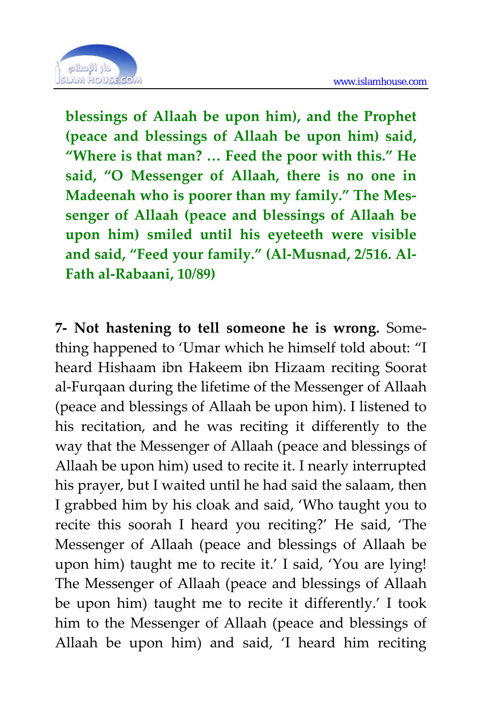

**blessings of Allaah be upon him), and the Prophet (peace and blessings of Allaah be upon him) said, "Where is that man? … Feed the poor with this." He said, "O Messenger of Allaah, there is no one in Madeenah who is poorer than my family." The Mes‐ senger of Allaah (peace and blessings of Allaah be upon him) smiled until his eyeteeth were visible and said, "Feed your family." (Al‐Musnad, 2/516. Al‐ Fath al‐Rabaani, 10/89)**

**7‐ Not hastening to tell someone he is wrong.** Some‐ thing happened to 'Umar which he himself told about: "I heard Hishaam ibn Hakeem ibn Hizaam reciting Soorat al‐Furqaan during the lifetime of the Messenger of Allaah (peace and blessings of Allaah be upon him). I listened to his recitation, and he was reciting it differently to the way that the Messenger of Allaah (peace and blessings of Allaah be upon him) used to recite it. I nearly interrupted his prayer, but I waited until he had said the salaam, then I grabbed him by his cloak and said, 'Who taught you to recite this soorah I heard you reciting?' He said, 'The Messenger of Allaah (peace and blessings of Allaah be upon him) taught me to recite it.' I said, 'You are lying! The Messenger of Allaah (peace and blessings of Allaah be upon him) taught me to recite it differently.' I took him to the Messenger of Allaah (peace and blessings of Allaah be upon him) and said, 'I heard him reciting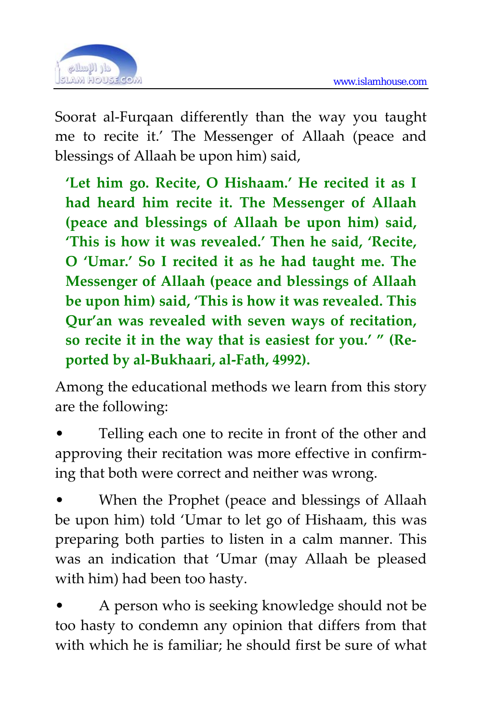

Soorat al-Furqaan differently than the way you taught me to recite it.' The Messenger of Allaah (peace and blessings of Allaah be upon him) said,

**'Let him go. Recite, O Hishaam.' He recited it as I had heard him recite it. The Messenger of Allaah (peace and blessings of Allaah be upon him) said, 'This is how it was revealed.' Then he said, 'Recite, O 'Umar.' So I recited it as he had taught me. The Messenger of Allaah (peace and blessings of Allaah be upon him) said, 'This is how it was revealed. This Qur'an was revealed with seven ways of recitation, so recite it in the way that is easiest for you.' " (Re‐ ported by al‐Bukhaari, al‐Fath, 4992).**

Among the educational methods we learn from this story are the following:

Telling each one to recite in front of the other and approving their recitation was more effective in confirm‐ ing that both were correct and neither was wrong.

When the Prophet (peace and blessings of Allaah be upon him) told 'Umar to let go of Hishaam, this was preparing both parties to listen in a calm manner. This was an indication that 'Umar (may Allaah be pleased with him) had been too hasty.

• A person who is seeking knowledge should not be too hasty to condemn any opinion that differs from that with which he is familiar; he should first be sure of what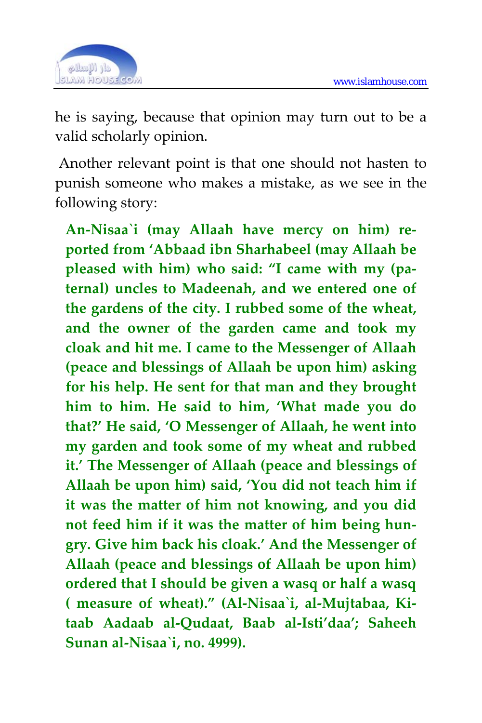

he is saying, because that opinion may turn out to be a valid scholarly opinion.

Another relevant point is that one should not hasten to punish someone who makes a mistake, as we see in the following story:

**An‐Nisaa`i (may Allaah have mercy on him) re‐ ported from 'Abbaad ibn Sharhabeel (may Allaah be pleased with him) who said: "I came with my (pa‐ ternal) uncles to Madeenah, and we entered one of the gardens of the city. I rubbed some of the wheat, and the owner of the garden came and took my cloak and hit me. I came to the Messenger of Allaah (peace and blessings of Allaah be upon him) asking for his help. He sent for that man and they brought him to him. He said to him, 'What made you do that?' He said, 'O Messenger of Allaah, he went into my garden and took some of my wheat and rubbed it.' The Messenger of Allaah (peace and blessings of Allaah be upon him) said, 'You did not teach him if it was the matter of him not knowing, and you did not feed him if it was the matter of him being hun‐ gry. Give him back his cloak.' And the Messenger of Allaah (peace and blessings of Allaah be upon him) ordered that I should be given a wasq or half a wasq ( measure of wheat)." (Al‐Nisaa`i, al‐Mujtabaa, Ki‐ taab Aadaab al‐Qudaat, Baab al‐Isti'daa'; Saheeh Sunan al‐Nisaa`i, no. 4999).**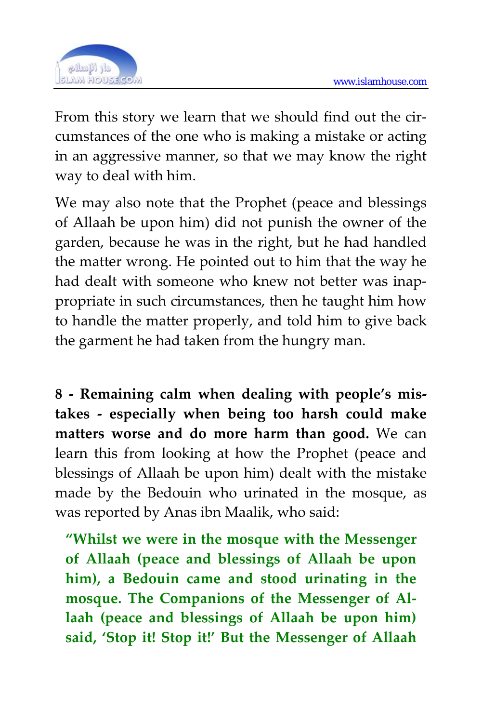

From this story we learn that we should find out the circumstances of the one who is making a mistake or acting in an aggressive manner, so that we may know the right way to deal with him.

We may also note that the Prophet (peace and blessings of Allaah be upon him) did not punish the owner of the garden, because he was in the right, but he had handled the matter wrong. He pointed out to him that the way he had dealt with someone who knew not better was inappropriate in such circumstances, then he taught him how to handle the matter properly, and told him to give back the garment he had taken from the hungry man.

**8 ‐ Remaining calm when dealing with people's mis‐ takes ‐ especially when being too harsh could make matters worse and do more harm than good.** We can learn this from looking at how the Prophet (peace and blessings of Allaah be upon him) dealt with the mistake made by the Bedouin who urinated in the mosque, as was reported by Anas ibn Maalik, who said:

**"Whilst we were in the mosque with the Messenger of Allaah (peace and blessings of Allaah be upon him), a Bedouin came and stood urinating in the mosque. The Companions of the Messenger of Al‐ laah (peace and blessings of Allaah be upon him) said, 'Stop it! Stop it!' But the Messenger of Allaah**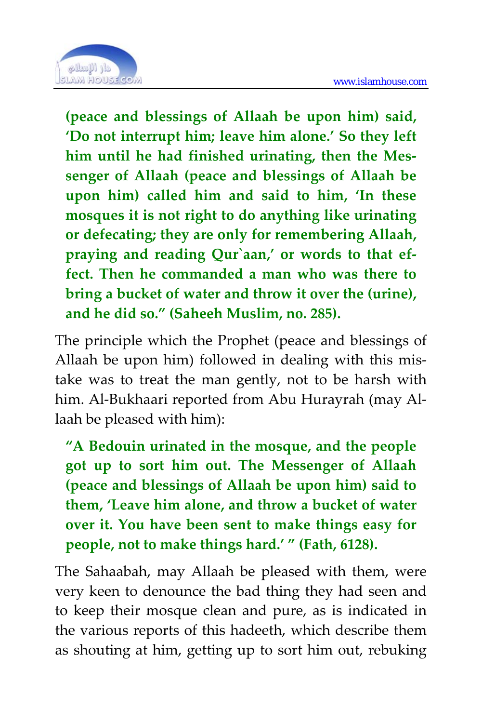

**(peace and blessings of Allaah be upon him) said, 'Do not interrupt him; leave him alone.' So they left him until he had finished urinating, then the Mes‐ senger of Allaah (peace and blessings of Allaah be upon him) called him and said to him, 'In these mosques it is not right to do anything like urinating or defecating; they are only for remembering Allaah, praying and reading Qur`aan,' or words to that ef‐ fect. Then he commanded a man who was there to bring a bucket of water and throw it over the (urine), and he did so." (Saheeh Muslim, no. 285).**

The principle which the Prophet (peace and blessings of Allaah be upon him) followed in dealing with this mis‐ take was to treat the man gently, not to be harsh with him. Al‐Bukhaari reported from Abu Hurayrah (may Al‐ laah be pleased with him):

**"A Bedouin urinated in the mosque, and the people got up to sort him out. The Messenger of Allaah (peace and blessings of Allaah be upon him) said to them, 'Leave him alone, and throw a bucket of water over it. You have been sent to make things easy for people, not to make things hard.' " (Fath, 6128).**

The Sahaabah, may Allaah be pleased with them, were very keen to denounce the bad thing they had seen and to keep their mosque clean and pure, as is indicated in the various reports of this hadeeth, which describe them as shouting at him, getting up to sort him out, rebuking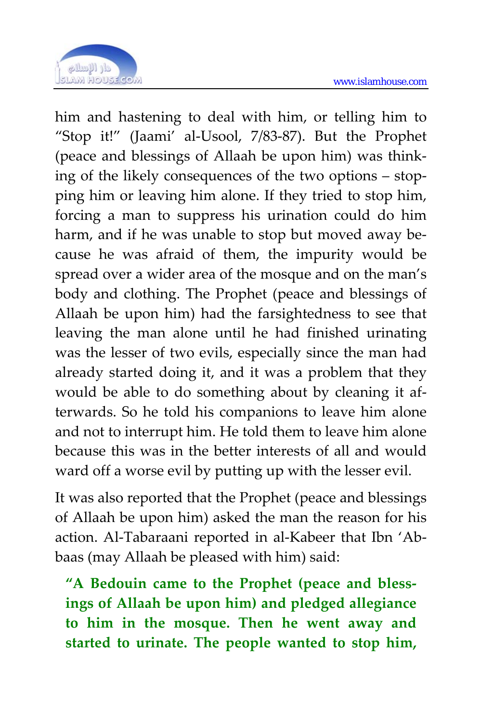

him and hastening to deal with him, or telling him to "Stop it!" (Jaami' al‐Usool, 7/83‐87). But the Prophet (peace and blessings of Allaah be upon him) was think‐ ing of the likely consequences of the two options – stop‐ ping him or leaving him alone. If they tried to stop him, forcing a man to suppress his urination could do him harm, and if he was unable to stop but moved away because he was afraid of them, the impurity would be spread over a wider area of the mosque and on the man's body and clothing. The Prophet (peace and blessings of Allaah be upon him) had the farsightedness to see that leaving the man alone until he had finished urinating was the lesser of two evils, especially since the man had already started doing it, and it was a problem that they would be able to do something about by cleaning it afterwards. So he told his companions to leave him alone and not to interrupt him. He told them to leave him alone because this was in the better interests of all and would ward off a worse evil by putting up with the lesser evil.

It was also reported that the Prophet (peace and blessings of Allaah be upon him) asked the man the reason for his action. Al-Tabaraani reported in al-Kabeer that Ibn 'Abbaas (may Allaah be pleased with him) said:

**"A Bedouin came to the Prophet (peace and bless‐ ings of Allaah be upon him) and pledged allegiance to him in the mosque. Then he went away and started to urinate. The people wanted to stop him,**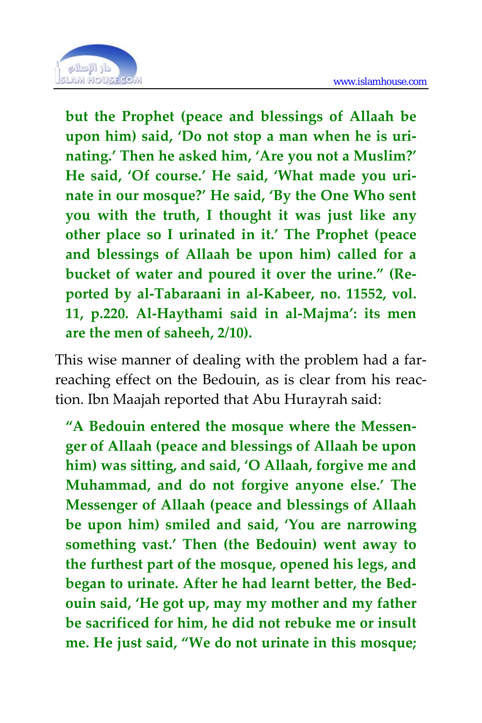

**but the Prophet (peace and blessings of Allaah be upon him) said, 'Do not stop a man when he is uri‐ nating.' Then he asked him, 'Are you not a Muslim?' He said, 'Of course.' He said, 'What made you uri‐ nate in our mosque?' He said, 'By the One Who sent you with the truth, I thought it was just like any other place so I urinated in it.' The Prophet (peace and blessings of Allaah be upon him) called for a bucket of water and poured it over the urine." (Re‐ ported by al‐Tabaraani in al‐Kabeer, no. 11552, vol. 11, p.220. Al‐Haythami said in al‐Majma': its men are the men of saheeh, 2/10).**

This wise manner of dealing with the problem had a farreaching effect on the Bedouin, as is clear from his reaction. Ibn Maajah reported that Abu Hurayrah said:

**"A Bedouin entered the mosque where the Messen‐ ger of Allaah (peace and blessings of Allaah be upon him) was sitting, and said, 'O Allaah, forgive me and Muhammad, and do not forgive anyone else.' The Messenger of Allaah (peace and blessings of Allaah be upon him) smiled and said, 'You are narrowing something vast.' Then (the Bedouin) went away to the furthest part of the mosque, opened his legs, and began to urinate. After he had learnt better, the Bed‐ ouin said, 'He got up, may my mother and my father be sacrificed for him, he did not rebuke me or insult me. He just said, "We do not urinate in this mosque;**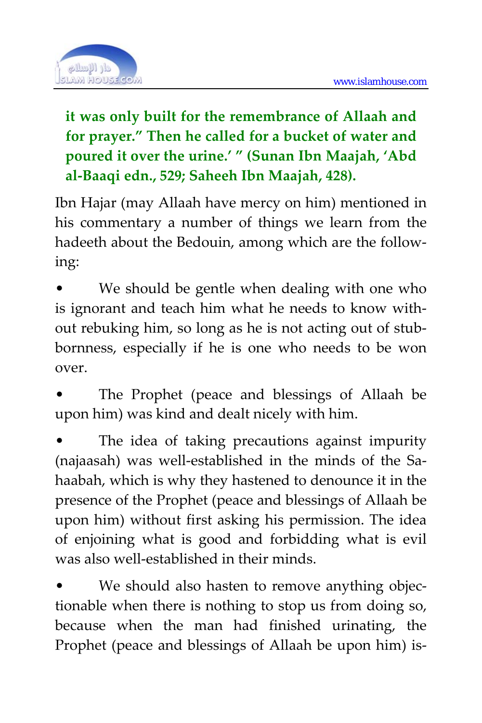

**it was only built for the remembrance of Allaah and for prayer." Then he called for a bucket of water and poured it over the urine.' " (Sunan Ibn Maajah, 'Abd al‐Baaqi edn., 529; Saheeh Ibn Maajah, 428).**

Ibn Hajar (may Allaah have mercy on him) mentioned in his commentary a number of things we learn from the hadeeth about the Bedouin, among which are the follow‐ ing:

We should be gentle when dealing with one who is ignorant and teach him what he needs to know with‐ out rebuking him, so long as he is not acting out of stub‐ bornness, especially if he is one who needs to be won over.

• The Prophet (peace and blessings of Allaah be upon him) was kind and dealt nicely with him.

The idea of taking precautions against impurity (najaasah) was well‐established in the minds of the Sa‐ haabah, which is why they hastened to denounce it in the presence of the Prophet (peace and blessings of Allaah be upon him) without first asking his permission. The idea of enjoining what is good and forbidding what is evil was also well-established in their minds

We should also hasten to remove anything objectionable when there is nothing to stop us from doing so, because when the man had finished urinating, the Prophet (peace and blessings of Allaah be upon him) is‐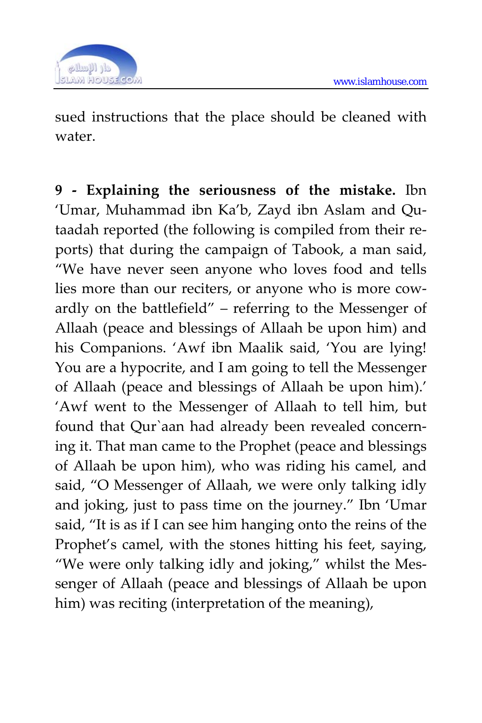

sued instructions that the place should be cleaned with water.

**9 ‐ Explaining the seriousness of the mistake.** Ibn 'Umar, Muhammad ibn Ka'b, Zayd ibn Aslam and Qu‐ taadah reported (the following is compiled from their re‐ ports) that during the campaign of Tabook, a man said, "We have never seen anyone who loves food and tells lies more than our reciters, or anyone who is more cow‐ ardly on the battlefield" – referring to the Messenger of Allaah (peace and blessings of Allaah be upon him) and his Companions. 'Awf ibn Maalik said, 'You are lying! You are a hypocrite, and I am going to tell the Messenger of Allaah (peace and blessings of Allaah be upon him).' 'Awf went to the Messenger of Allaah to tell him, but found that Qur`aan had already been revealed concern‐ ing it. That man came to the Prophet (peace and blessings of Allaah be upon him), who was riding his camel, and said, "O Messenger of Allaah, we were only talking idly and joking, just to pass time on the journey." Ibn 'Umar said, "It is as if I can see him hanging onto the reins of the Prophet's camel, with the stones hitting his feet, saying, "We were only talking idly and joking," whilst the Mes‐ senger of Allaah (peace and blessings of Allaah be upon him) was reciting (interpretation of the meaning),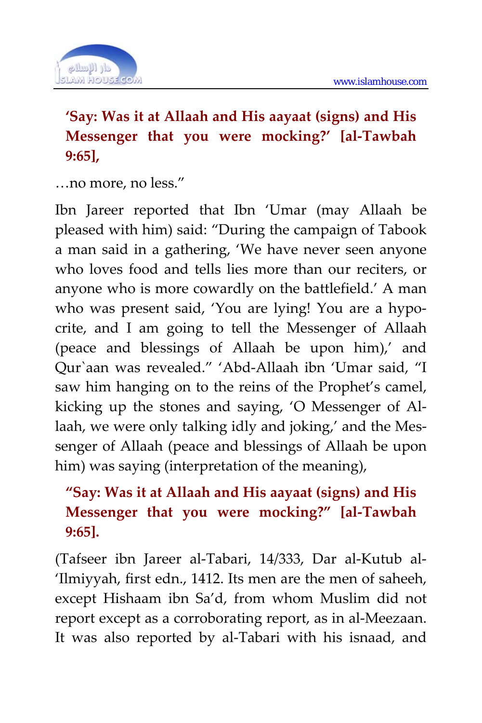

# **'Say: Was it at Allaah and His aayaat (signs) and His Messenger that you were mocking?' [al‐Tawbah 9:65],**

…no more, no less."

Ibn Jareer reported that Ibn 'Umar (may Allaah be pleased with him) said: "During the campaign of Tabook a man said in a gathering, 'We have never seen anyone who loves food and tells lies more than our reciters, or anyone who is more cowardly on the battlefield.' A man who was present said, 'You are lying! You are a hypocrite, and I am going to tell the Messenger of Allaah (peace and blessings of Allaah be upon him),' and Qur`aan was revealed." 'Abd‐Allaah ibn 'Umar said, "I saw him hanging on to the reins of the Prophet's camel, kicking up the stones and saying, 'O Messenger of Al‐ laah, we were only talking idly and joking,' and the Messenger of Allaah (peace and blessings of Allaah be upon him) was saying (interpretation of the meaning),

### **"Say: Was it at Allaah and His aayaat (signs) and His Messenger that you were mocking?" [al‐Tawbah 9:65].**

(Tafseer ibn Jareer al‐Tabari, 14/333, Dar al‐Kutub al‐ 'Ilmiyyah, first edn., 1412. Its men are the men of saheeh, except Hishaam ibn Sa'd, from whom Muslim did not report except as a corroborating report, as in al‐Meezaan. It was also reported by al‐Tabari with his isnaad, and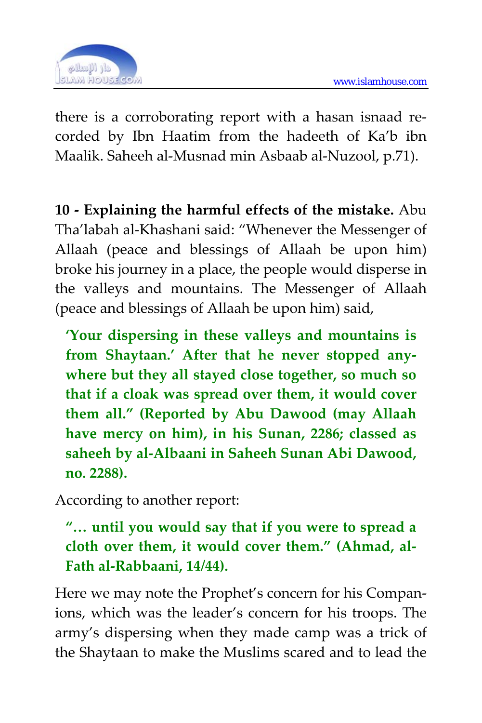

there is a corroborating report with a hasan isnaad re‐ corded by Ibn Haatim from the hadeeth of Ka'b ibn Maalik. Saheeh al‐Musnad min Asbaab al‐Nuzool, p.71).

**10 ‐ Explaining the harmful effects of the mistake.** Abu Tha'labah al‐Khashani said: "Whenever the Messenger of Allaah (peace and blessings of Allaah be upon him) broke his journey in a place, the people would disperse in the valleys and mountains. The Messenger of Allaah (peace and blessings of Allaah be upon him) said,

**'Your dispersing in these valleys and mountains is from Shaytaan.' After that he never stopped any‐ where but they all stayed close together, so much so that if a cloak was spread over them, it would cover them all." (Reported by Abu Dawood (may Allaah have mercy on him), in his Sunan, 2286; classed as saheeh by al‐Albaani in Saheeh Sunan Abi Dawood, no. 2288).** 

According to another report:

**"… until you would say that if you were to spread a cloth over them, it would cover them." (Ahmad, al‐ Fath al‐Rabbaani, 14/44).**

Here we may note the Prophet's concern for his Companions, which was the leader's concern for his troops. The army's dispersing when they made camp was a trick of the Shaytaan to make the Muslims scared and to lead the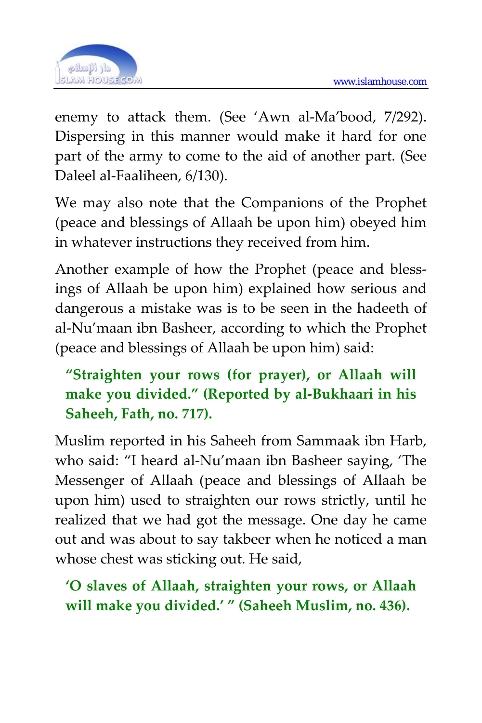

enemy to attack them. (See 'Awn al‐Ma'bood, 7/292). Dispersing in this manner would make it hard for one part of the army to come to the aid of another part. (See Daleel al‐Faaliheen, 6/130).

We may also note that the Companions of the Prophet (peace and blessings of Allaah be upon him) obeyed him in whatever instructions they received from him.

Another example of how the Prophet (peace and bless‐ ings of Allaah be upon him) explained how serious and dangerous a mistake was is to be seen in the hadeeth of al‐Nu'maan ibn Basheer, according to which the Prophet (peace and blessings of Allaah be upon him) said:

# **"Straighten your rows (for prayer), or Allaah will make you divided." (Reported by al‐Bukhaari in his Saheeh, Fath, no. 717).**

Muslim reported in his Saheeh from Sammaak ibn Harb, who said: "I heard al‐Nu'maan ibn Basheer saying, 'The Messenger of Allaah (peace and blessings of Allaah be upon him) used to straighten our rows strictly, until he realized that we had got the message. One day he came out and was about to say takbeer when he noticed a man whose chest was sticking out. He said,

**'O slaves of Allaah, straighten your rows, or Allaah will make you divided.' " (Saheeh Muslim, no. 436).**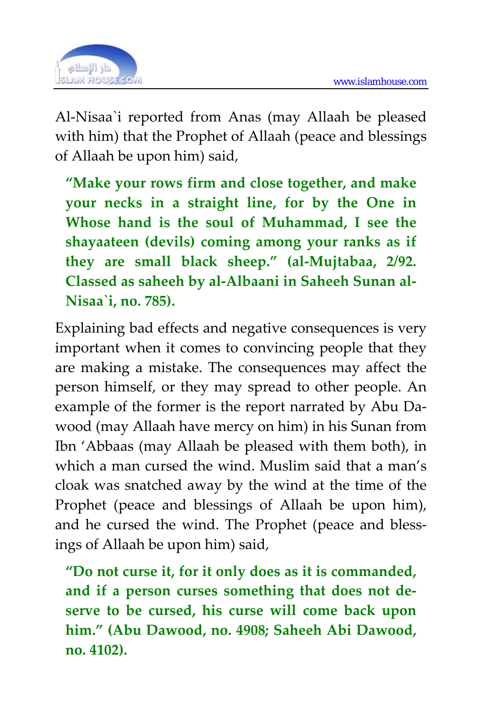

Al‐Nisaa`i reported from Anas (may Allaah be pleased with him) that the Prophet of Allaah (peace and blessings of Allaah be upon him) said,

**"Make your rows firm and close together, and make your necks in a straight line, for by the One in Whose hand is the soul of Muhammad, I see the shayaateen (devils) coming among your ranks as if they are small black sheep." (al‐Mujtabaa, 2/92. Classed as saheeh by al‐Albaani in Saheeh Sunan al‐ Nisaa`i, no. 785).**

Explaining bad effects and negative consequences is very important when it comes to convincing people that they are making a mistake. The consequences may affect the person himself, or they may spread to other people. An example of the former is the report narrated by Abu Da‐ wood (may Allaah have mercy on him) in his Sunan from Ibn 'Abbaas (may Allaah be pleased with them both), in which a man cursed the wind. Muslim said that a man's cloak was snatched away by the wind at the time of the Prophet (peace and blessings of Allaah be upon him), and he cursed the wind. The Prophet (peace and blessings of Allaah be upon him) said,

**"Do not curse it, for it only does as it is commanded, and if a person curses something that does not de‐ serve to be cursed, his curse will come back upon him." (Abu Dawood, no. 4908; Saheeh Abi Dawood, no. 4102).**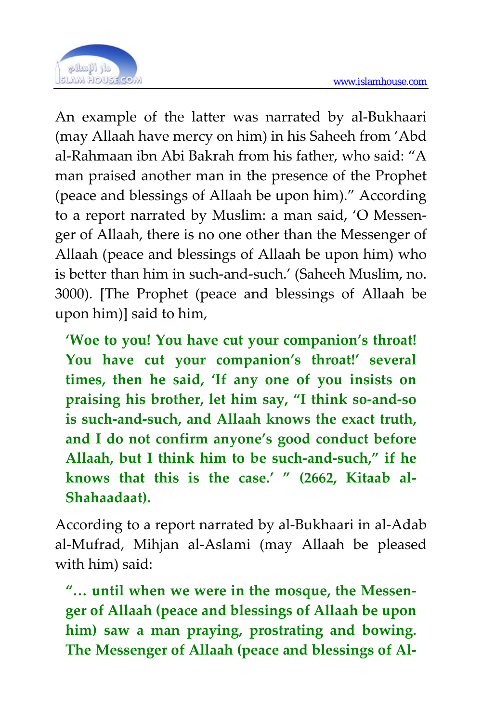

An example of the latter was narrated by al‐Bukhaari (may Allaah have mercy on him) in his Saheeh from 'Abd al‐Rahmaan ibn Abi Bakrah from his father, who said: "A man praised another man in the presence of the Prophet (peace and blessings of Allaah be upon him)." According to a report narrated by Muslim: a man said, 'O Messen‐ ger of Allaah, there is no one other than the Messenger of Allaah (peace and blessings of Allaah be upon him) who is better than him in such‐and‐such.' (Saheeh Muslim, no. 3000). [The Prophet (peace and blessings of Allaah be upon him)] said to him,

**'Woe to you! You have cut your companion's throat! You have cut your companion's throat!' several times, then he said, 'If any one of you insists on praising his brother, let him say, "I think so‐and‐so is such‐and‐such, and Allaah knows the exact truth, and I do not confirm anyone's good conduct before Allaah, but I think him to be such‐and‐such," if he knows that this is the case.' " (2662, Kitaab al‐ Shahaadaat).** 

According to a report narrated by al‐Bukhaari in al‐Adab al‐Mufrad, Mihjan al‐Aslami (may Allaah be pleased with him) said:

**"… until when we were in the mosque, the Messen‐ ger of Allaah (peace and blessings of Allaah be upon him) saw a man praying, prostrating and bowing. The Messenger of Allaah (peace and blessings of Al‐**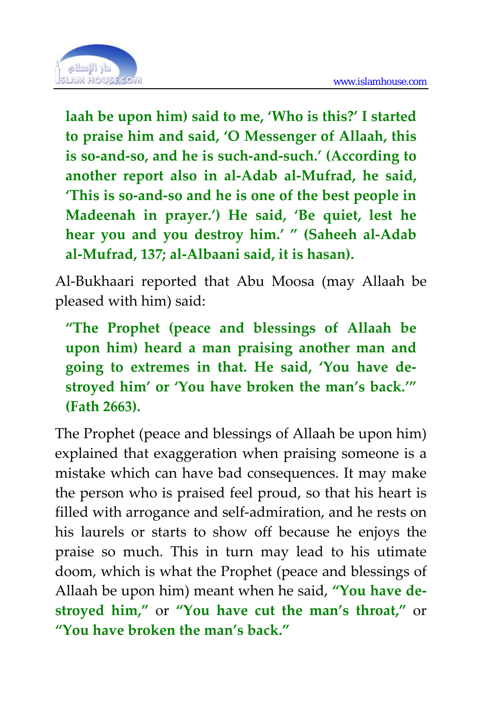

**laah be upon him) said to me, 'Who is this?' I started to praise him and said, 'O Messenger of Allaah, this is so‐and‐so, and he is such‐and‐such.' (According to another report also in al‐Adab al‐Mufrad, he said, 'This is so‐and‐so and he is one of the best people in Madeenah in prayer.') He said, 'Be quiet, lest he hear you and you destroy him.' " (Saheeh al‐Adab al‐Mufrad, 137; al‐Albaani said, it is hasan).**

Al‐Bukhaari reported that Abu Moosa (may Allaah be pleased with him) said:

**"The Prophet (peace and blessings of Allaah be upon him) heard a man praising another man and going to extremes in that. He said, 'You have de‐ stroyed him' or 'You have broken the man's back.'" (Fath 2663).**

The Prophet (peace and blessings of Allaah be upon him) explained that exaggeration when praising someone is a mistake which can have bad consequences. It may make the person who is praised feel proud, so that his heart is filled with arrogance and self‐admiration, and he rests on his laurels or starts to show off because he enjoys the praise so much. This in turn may lead to his utimate doom, which is what the Prophet (peace and blessings of Allaah be upon him) meant when he said, **"You have de‐ stroyed him,"** or **"You have cut the man's throat,"** or **"You have broken the man's back."**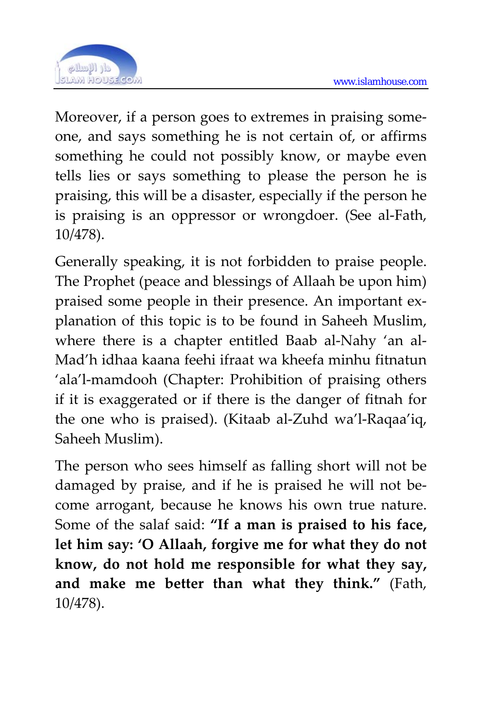

Moreover, if a person goes to extremes in praising someone, and says something he is not certain of, or affirms something he could not possibly know, or maybe even tells lies or says something to please the person he is praising, this will be a disaster, especially if the person he is praising is an oppressor or wrongdoer. (See al‐Fath, 10/478).

Generally speaking, it is not forbidden to praise people. The Prophet (peace and blessings of Allaah be upon him) praised some people in their presence. An important ex‐ planation of this topic is to be found in Saheeh Muslim, where there is a chapter entitled Baab al-Nahy 'an al-Mad'h idhaa kaana feehi ifraat wa kheefa minhu fitnatun 'ala'l‐mamdooh (Chapter: Prohibition of praising others if it is exaggerated or if there is the danger of fitnah for the one who is praised). (Kitaab al‐Zuhd wa'l‐Raqaa'iq, Saheeh Muslim).

The person who sees himself as falling short will not be damaged by praise, and if he is praised he will not be‐ come arrogant, because he knows his own true nature. Some of the salaf said: **"If a man is praised to his face, let him say: 'O Allaah, forgive me for what they do not know, do not hold me responsible for what they say, and make me better than what they think."** (Fath, 10/478).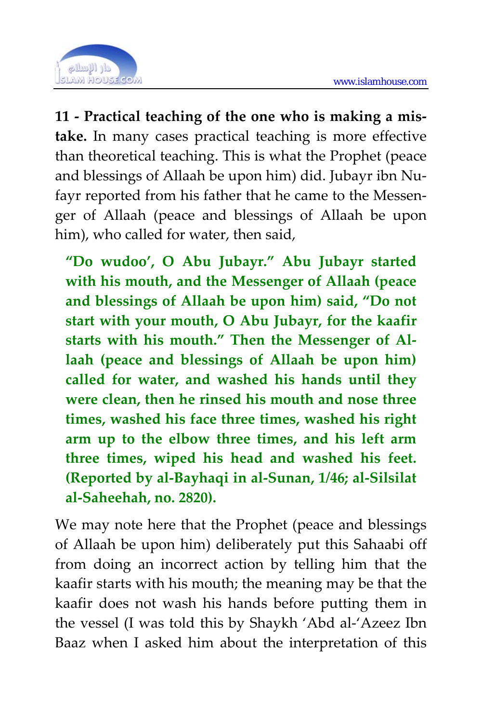

**11 ‐ Practical teaching of the one who is making a mis‐ take.** In many cases practical teaching is more effective than theoretical teaching. This is what the Prophet (peace and blessings of Allaah be upon him) did. Jubayr ibn Nu‐ fayr reported from his father that he came to the Messenger of Allaah (peace and blessings of Allaah be upon him), who called for water, then said,

**"Do wudoo', O Abu Jubayr." Abu Jubayr started with his mouth, and the Messenger of Allaah (peace and blessings of Allaah be upon him) said, "Do not start with your mouth, O Abu Jubayr, for the kaafir starts with his mouth." Then the Messenger of Al‐ laah (peace and blessings of Allaah be upon him) called for water, and washed his hands until they were clean, then he rinsed his mouth and nose three times, washed his face three times, washed his right arm up to the elbow three times, and his left arm three times, wiped his head and washed his feet. (Reported by al‐Bayhaqi in al‐Sunan, 1/46; al‐Silsilat al‐Saheehah, no. 2820).** 

We may note here that the Prophet (peace and blessings of Allaah be upon him) deliberately put this Sahaabi off from doing an incorrect action by telling him that the kaafir starts with his mouth; the meaning may be that the kaafir does not wash his hands before putting them in the vessel (I was told this by Shaykh 'Abd al‐'Azeez Ibn Baaz when I asked him about the interpretation of this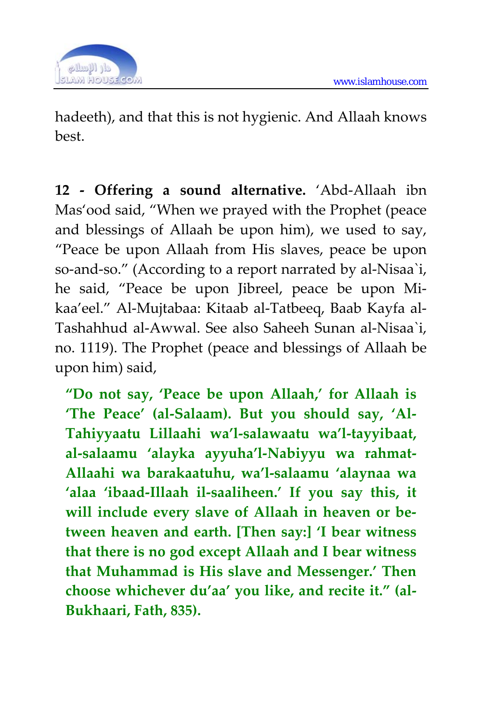

hadeeth), and that this is not hygienic. And Allaah knows best.

**12 ‐ Offering a sound alternative.** 'Abd‐Allaah ibn Mas'ood said, "When we prayed with the Prophet (peace and blessings of Allaah be upon him), we used to say, "Peace be upon Allaah from His slaves, peace be upon so-and-so." (According to a report narrated by al-Nisaa`i, he said, "Peace be upon Jibreel, peace be upon Mi‐ kaa'eel." Al‐Mujtabaa: Kitaab al‐Tatbeeq, Baab Kayfa al‐ Tashahhud al‐Awwal. See also Saheeh Sunan al‐Nisaa`i, no. 1119). The Prophet (peace and blessings of Allaah be upon him) said,

**"Do not say, 'Peace be upon Allaah,' for Allaah is 'The Peace' (al‐Salaam). But you should say, 'Al‐ Tahiyyaatu Lillaahi wa'l‐salawaatu wa'l‐tayyibaat, al‐salaamu 'alayka ayyuha'l‐Nabiyyu wa rahmat‐ Allaahi wa barakaatuhu, wa'l‐salaamu 'alaynaa wa 'alaa 'ibaad‐Illaah il‐saaliheen.' If you say this, it will include every slave of Allaah in heaven or be‐ tween heaven and earth. [Then say:] 'I bear witness that there is no god except Allaah and I bear witness that Muhammad is His slave and Messenger.' Then choose whichever du'aa' you like, and recite it." (al‐ Bukhaari, Fath, 835).**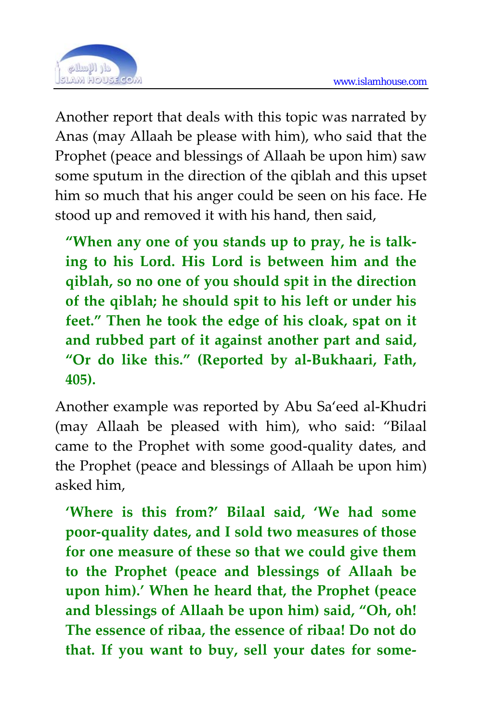

Another report that deals with this topic was narrated by Anas (may Allaah be please with him), who said that the Prophet (peace and blessings of Allaah be upon him) saw some sputum in the direction of the qiblah and this upset him so much that his anger could be seen on his face. He stood up and removed it with his hand, then said,

**"When any one of you stands up to pray, he is talk‐ ing to his Lord. His Lord is between him and the qiblah, so no one of you should spit in the direction of the qiblah; he should spit to his left or under his feet." Then he took the edge of his cloak, spat on it and rubbed part of it against another part and said, "Or do like this." (Reported by al‐Bukhaari, Fath, 405).**

Another example was reported by Abu Sa'eed al‐Khudri (may Allaah be pleased with him), who said: "Bilaal came to the Prophet with some good‐quality dates, and the Prophet (peace and blessings of Allaah be upon him) asked him,

**'Where is this from?' Bilaal said, 'We had some poor‐quality dates, and I sold two measures of those for one measure of these so that we could give them to the Prophet (peace and blessings of Allaah be upon him).' When he heard that, the Prophet (peace and blessings of Allaah be upon him) said, "Oh, oh! The essence of ribaa, the essence of ribaa! Do not do that. If you want to buy, sell your dates for some‐**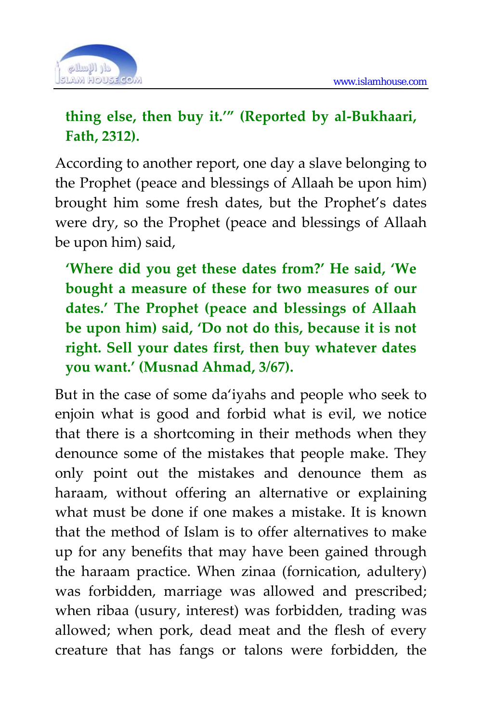

# **thing else, then buy it.'" (Reported by al‐Bukhaari, Fath, 2312).**

According to another report, one day a slave belonging to the Prophet (peace and blessings of Allaah be upon him) brought him some fresh dates, but the Prophet's dates were dry, so the Prophet (peace and blessings of Allaah be upon him) said,

**'Where did you get these dates from?' He said, 'We bought a measure of these for two measures of our dates.' The Prophet (peace and blessings of Allaah be upon him) said, 'Do not do this, because it is not right. Sell your dates first, then buy whatever dates you want.' (Musnad Ahmad, 3/67).**

But in the case of some da'iyahs and people who seek to enjoin what is good and forbid what is evil, we notice that there is a shortcoming in their methods when they denounce some of the mistakes that people make. They only point out the mistakes and denounce them as haraam, without offering an alternative or explaining what must be done if one makes a mistake. It is known that the method of Islam is to offer alternatives to make up for any benefits that may have been gained through the haraam practice. When zinaa (fornication, adultery) was forbidden, marriage was allowed and prescribed; when ribaa (usury, interest) was forbidden, trading was allowed; when pork, dead meat and the flesh of every creature that has fangs or talons were forbidden, the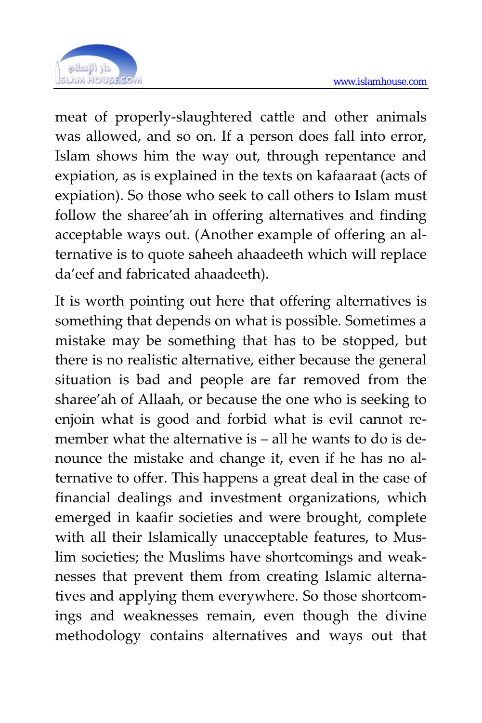

meat of properly‐slaughtered cattle and other animals was allowed, and so on. If a person does fall into error, Islam shows him the way out, through repentance and expiation, as is explained in the texts on kafaaraat (acts of expiation). So those who seek to call others to Islam must follow the sharee'ah in offering alternatives and finding acceptable ways out. (Another example of offering an al‐ ternative is to quote saheeh ahaadeeth which will replace da'eef and fabricated ahaadeeth).

It is worth pointing out here that offering alternatives is something that depends on what is possible. Sometimes a mistake may be something that has to be stopped, but there is no realistic alternative, either because the general situation is bad and people are far removed from the sharee'ah of Allaah, or because the one who is seeking to enjoin what is good and forbid what is evil cannot re‐ member what the alternative is – all he wants to do is denounce the mistake and change it, even if he has no al‐ ternative to offer. This happens a great deal in the case of financial dealings and investment organizations, which emerged in kaafir societies and were brought, complete with all their Islamically unacceptable features, to Muslim societies; the Muslims have shortcomings and weak‐ nesses that prevent them from creating Islamic alterna‐ tives and applying them everywhere. So those shortcom‐ ings and weaknesses remain, even though the divine methodology contains alternatives and ways out that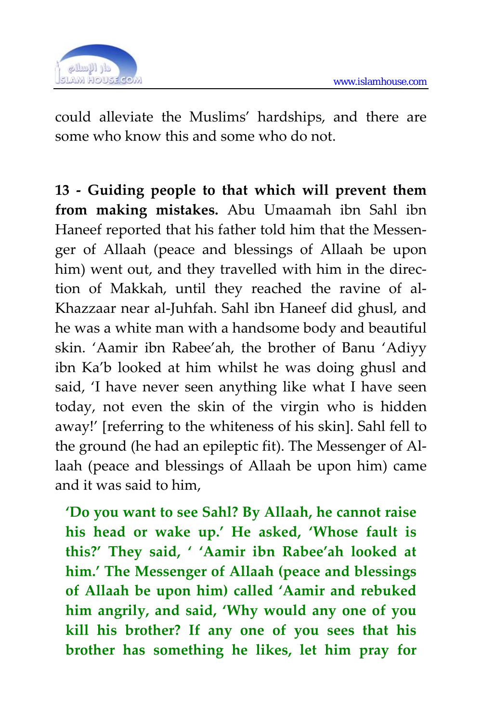

could alleviate the Muslims' hardships, and there are some who know this and some who do not.

**13 ‐ Guiding people to that which will prevent them from making mistakes.** Abu Umaamah ibn Sahl ibn Haneef reported that his father told him that the Messenger of Allaah (peace and blessings of Allaah be upon him) went out, and they travelled with him in the direction of Makkah, until they reached the ravine of al-Khazzaar near al‐Juhfah. Sahl ibn Haneef did ghusl, and he was a white man with a handsome body and beautiful skin. 'Aamir ibn Rabee'ah, the brother of Banu 'Adiyy ibn Ka'b looked at him whilst he was doing ghusl and said, 'I have never seen anything like what I have seen today, not even the skin of the virgin who is hidden away!' [referring to the whiteness of his skin]. Sahl fell to the ground (he had an epileptic fit). The Messenger of Al‐ laah (peace and blessings of Allaah be upon him) came and it was said to him,

**'Do you want to see Sahl? By Allaah, he cannot raise his head or wake up.' He asked, 'Whose fault is this?' They said, ' 'Aamir ibn Rabee'ah looked at him.' The Messenger of Allaah (peace and blessings of Allaah be upon him) called 'Aamir and rebuked him angrily, and said, 'Why would any one of you kill his brother? If any one of you sees that his brother has something he likes, let him pray for**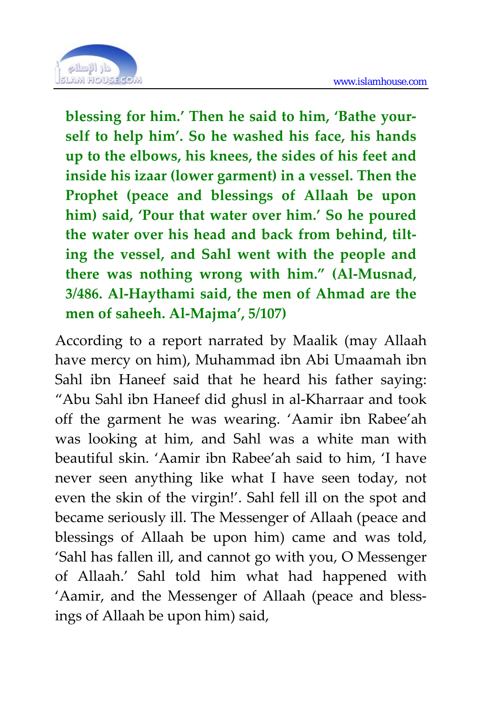

**blessing for him.' Then he said to him, 'Bathe your‐ self to help him'. So he washed his face, his hands up to the elbows, his knees, the sides of his feet and inside his izaar (lower garment) in a vessel. Then the Prophet (peace and blessings of Allaah be upon him) said, 'Pour that water over him.' So he poured the water over his head and back from behind, tilt‐ ing the vessel, and Sahl went with the people and there was nothing wrong with him." (Al‐Musnad, 3/486. Al‐Haythami said, the men of Ahmad are the men of saheeh. Al‐Majma', 5/107)**

According to a report narrated by Maalik (may Allaah have mercy on him), Muhammad ibn Abi Umaamah ibn Sahl ibn Haneef said that he heard his father saying: "Abu Sahl ibn Haneef did ghusl in al‐Kharraar and took off the garment he was wearing. 'Aamir ibn Rabee'ah was looking at him, and Sahl was a white man with beautiful skin. 'Aamir ibn Rabee'ah said to him, 'I have never seen anything like what I have seen today, not even the skin of the virgin!'. Sahl fell ill on the spot and became seriously ill. The Messenger of Allaah (peace and blessings of Allaah be upon him) came and was told, 'Sahl has fallen ill, and cannot go with you, O Messenger of Allaah.' Sahl told him what had happened with 'Aamir, and the Messenger of Allaah (peace and bless‐ ings of Allaah be upon him) said,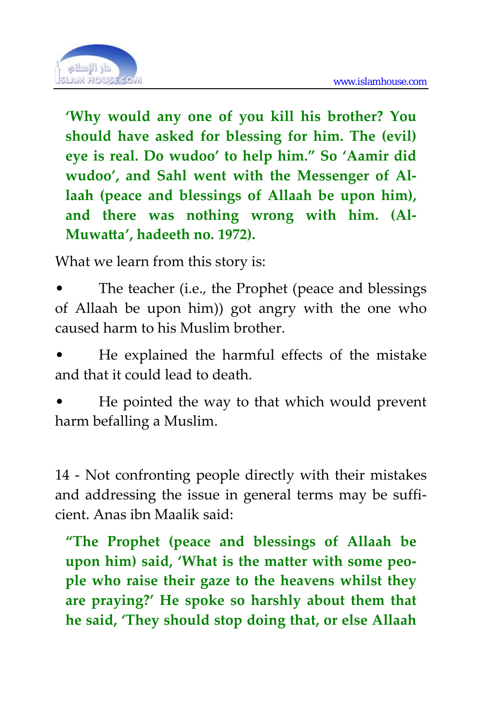

**'Why would any one of you kill his brother? You should have asked for blessing for him. The (evil) eye is real. Do wudoo' to help him." So 'Aamir did wudoo', and Sahl went with the Messenger of Al‐ laah (peace and blessings of Allaah be upon him), and there was nothing wrong with him. (Al‐ Muwatta', hadeeth no. 1972).**

What we learn from this story is:

The teacher (i.e., the Prophet (peace and blessings of Allaah be upon him)) got angry with the one who caused harm to his Muslim brother.

• He explained the harmful effects of the mistake and that it could lead to death.

• He pointed the way to that which would prevent harm befalling a Muslim.

14 - Not confronting people directly with their mistakes and addressing the issue in general terms may be sufficient. Anas ibn Maalik said:

**"The Prophet (peace and blessings of Allaah be upon him) said, 'What is the matter with some peo‐ ple who raise their gaze to the heavens whilst they are praying?' He spoke so harshly about them that he said, 'They should stop doing that, or else Allaah**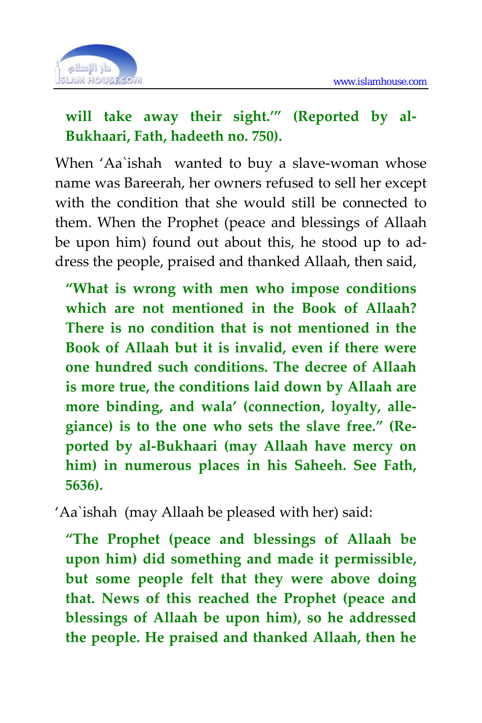

### **will take away their sight.'" (Reported by al‐ Bukhaari, Fath, hadeeth no. 750).**

When 'Aa`ishah wanted to buy a slave-woman whose name was Bareerah, her owners refused to sell her except with the condition that she would still be connected to them. When the Prophet (peace and blessings of Allaah be upon him) found out about this, he stood up to ad‐ dress the people, praised and thanked Allaah, then said,

**"What is wrong with men who impose conditions which are not mentioned in the Book of Allaah? There is no condition that is not mentioned in the Book of Allaah but it is invalid, even if there were one hundred such conditions. The decree of Allaah is more true, the conditions laid down by Allaah are more binding, and wala' (connection, loyalty, alle‐ giance) is to the one who sets the slave free." (Re‐ ported by al‐Bukhaari (may Allaah have mercy on him) in numerous places in his Saheeh. See Fath, 5636).**

'Aa`ishah (may Allaah be pleased with her) said:

**"The Prophet (peace and blessings of Allaah be upon him) did something and made it permissible, but some people felt that they were above doing that. News of this reached the Prophet (peace and blessings of Allaah be upon him), so he addressed the people. He praised and thanked Allaah, then he**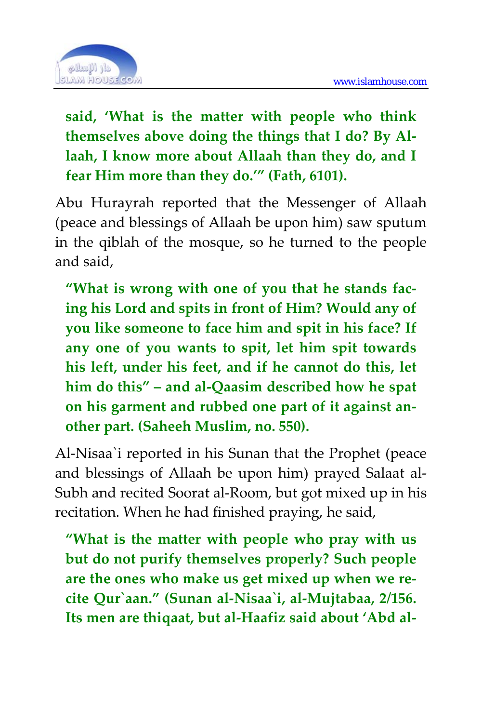

**said, 'What is the matter with people who think themselves above doing the things that I do? By Al‐ laah, I know more about Allaah than they do, and I fear Him more than they do.'" (Fath, 6101).**

Abu Hurayrah reported that the Messenger of Allaah (peace and blessings of Allaah be upon him) saw sputum in the qiblah of the mosque, so he turned to the people and said,

**"What is wrong with one of you that he stands fac‐ ing his Lord and spits in front of Him? Would any of you like someone to face him and spit in his face? If any one of you wants to spit, let him spit towards his left, under his feet, and if he cannot do this, let him do this" – and al‐Qaasim described how he spat on his garment and rubbed one part of it against an‐ other part. (Saheeh Muslim, no. 550).**

Al‐Nisaa`i reported in his Sunan that the Prophet (peace and blessings of Allaah be upon him) prayed Salaat al‐ Subh and recited Soorat al‐Room, but got mixed up in his recitation. When he had finished praying, he said,

**"What is the matter with people who pray with us but do not purify themselves properly? Such people are the ones who make us get mixed up when we re‐ cite Qur`aan." (Sunan al‐Nisaa`i, al‐Mujtabaa, 2/156. Its men are thiqaat, but al‐Haafiz said about 'Abd al‐**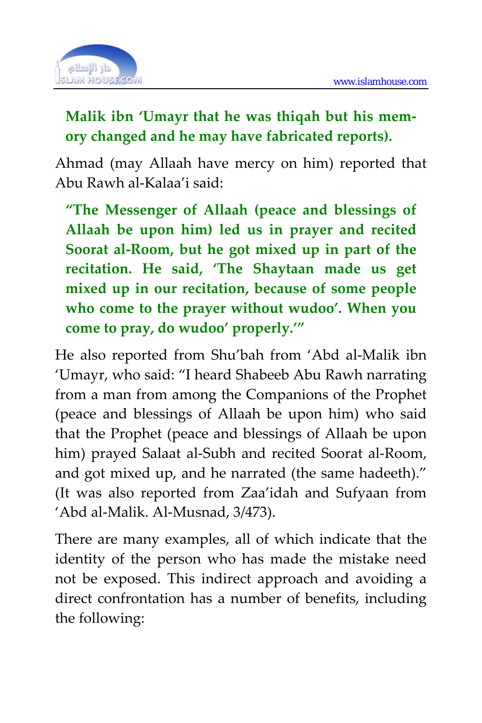

# **Malik ibn 'Umayr that he was thiqah but his mem‐ ory changed and he may have fabricated reports).**

Ahmad (may Allaah have mercy on him) reported that Abu Rawh al‐Kalaa'i said:

**"The Messenger of Allaah (peace and blessings of Allaah be upon him) led us in prayer and recited Soorat al‐Room, but he got mixed up in part of the recitation. He said, 'The Shaytaan made us get mixed up in our recitation, because of some people who come to the prayer without wudoo'. When you come to pray, do wudoo' properly.'"**

He also reported from Shu'bah from 'Abd al‐Malik ibn 'Umayr, who said: "I heard Shabeeb Abu Rawh narrating from a man from among the Companions of the Prophet (peace and blessings of Allaah be upon him) who said that the Prophet (peace and blessings of Allaah be upon him) prayed Salaat al-Subh and recited Soorat al-Room, and got mixed up, and he narrated (the same hadeeth)." (It was also reported from Zaa'idah and Sufyaan from 'Abd al‐Malik. Al‐Musnad, 3/473).

There are many examples, all of which indicate that the identity of the person who has made the mistake need not be exposed. This indirect approach and avoiding a direct confrontation has a number of benefits, including the following: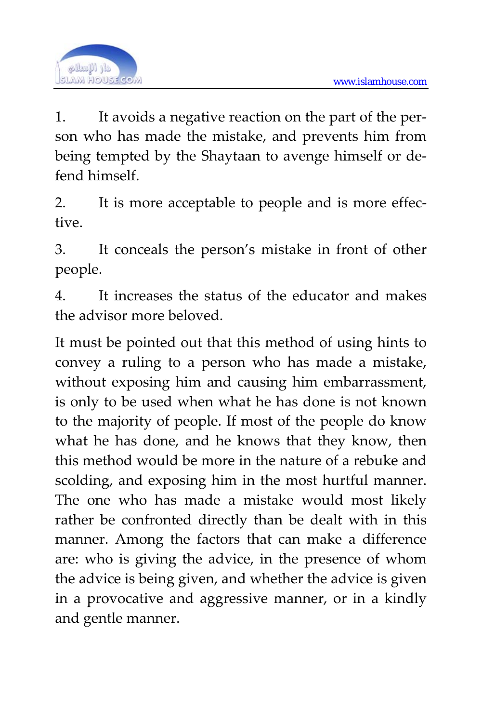

1. It avoids a negative reaction on the part of the per‐ son who has made the mistake, and prevents him from being tempted by the Shaytaan to avenge himself or de‐ fend himself.

2. It is more acceptable to people and is more effec‐ tive.

3. It conceals the person's mistake in front of other people.

4. It increases the status of the educator and makes the advisor more beloved.

It must be pointed out that this method of using hints to convey a ruling to a person who has made a mistake, without exposing him and causing him embarrassment, is only to be used when what he has done is not known to the majority of people. If most of the people do know what he has done, and he knows that they know, then this method would be more in the nature of a rebuke and scolding, and exposing him in the most hurtful manner. The one who has made a mistake would most likely rather be confronted directly than be dealt with in this manner. Among the factors that can make a difference are: who is giving the advice, in the presence of whom the advice is being given, and whether the advice is given in a provocative and aggressive manner, or in a kindly and gentle manner.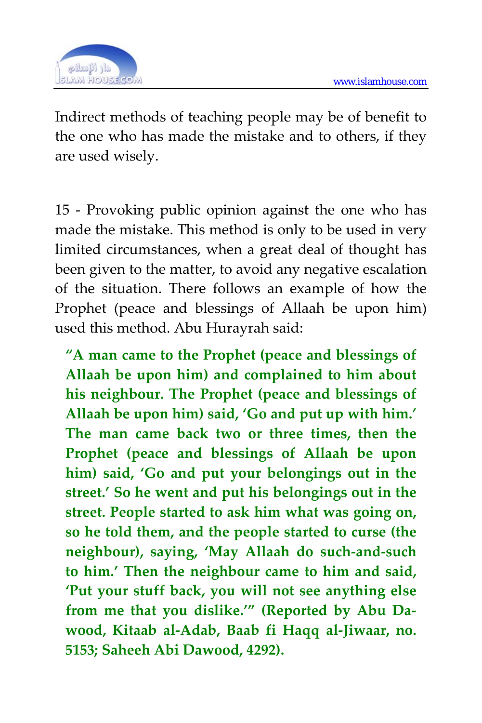

Indirect methods of teaching people may be of benefit to the one who has made the mistake and to others, if they are used wisely.

15 - Provoking public opinion against the one who has made the mistake. This method is only to be used in very limited circumstances, when a great deal of thought has been given to the matter, to avoid any negative escalation of the situation. There follows an example of how the Prophet (peace and blessings of Allaah be upon him) used this method. Abu Hurayrah said:

**"A man came to the Prophet (peace and blessings of Allaah be upon him) and complained to him about his neighbour. The Prophet (peace and blessings of Allaah be upon him) said, 'Go and put up with him.' The man came back two or three times, then the Prophet (peace and blessings of Allaah be upon him) said, 'Go and put your belongings out in the street.' So he went and put his belongings out in the street. People started to ask him what was going on, so he told them, and the people started to curse (the neighbour), saying, 'May Allaah do such‐and‐such to him.' Then the neighbour came to him and said, 'Put your stuff back, you will not see anything else from me that you dislike.'" (Reported by Abu Da‐ wood, Kitaab al‐Adab, Baab fi Haqq al‐Jiwaar, no. 5153; Saheeh Abi Dawood, 4292).**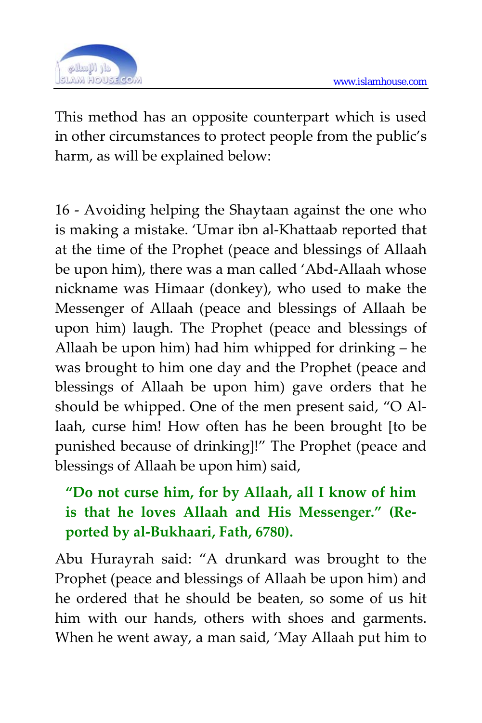

This method has an opposite counterpart which is used in other circumstances to protect people from the public's harm, as will be explained below:

16 ‐ Avoiding helping the Shaytaan against the one who is making a mistake. 'Umar ibn al‐Khattaab reported that at the time of the Prophet (peace and blessings of Allaah be upon him), there was a man called 'Abd‐Allaah whose nickname was Himaar (donkey), who used to make the Messenger of Allaah (peace and blessings of Allaah be upon him) laugh. The Prophet (peace and blessings of Allaah be upon him) had him whipped for drinking – he was brought to him one day and the Prophet (peace and blessings of Allaah be upon him) gave orders that he should be whipped. One of the men present said, "O Al‐ laah, curse him! How often has he been brought [to be punished because of drinking]!" The Prophet (peace and blessings of Allaah be upon him) said,

# **"Do not curse him, for by Allaah, all I know of him is that he loves Allaah and His Messenger." (Re‐ ported by al‐Bukhaari, Fath, 6780).**

Abu Hurayrah said: "A drunkard was brought to the Prophet (peace and blessings of Allaah be upon him) and he ordered that he should be beaten, so some of us hit him with our hands, others with shoes and garments. When he went away, a man said, 'May Allaah put him to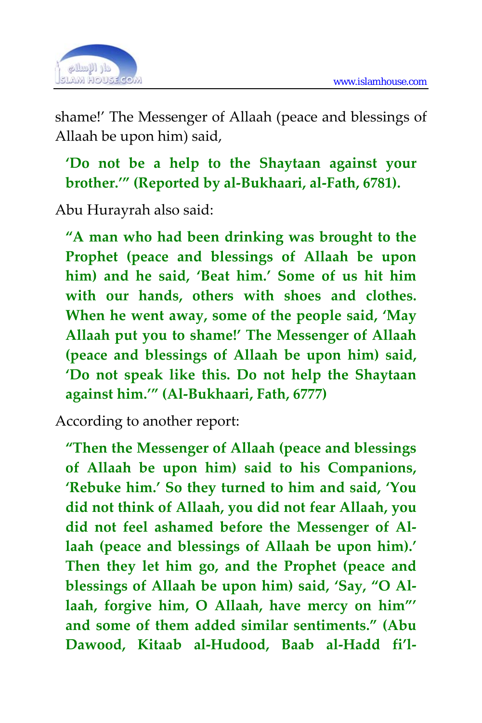

shame!' The Messenger of Allaah (peace and blessings of Allaah be upon him) said,

**'Do not be a help to the Shaytaan against your brother.'" (Reported by al‐Bukhaari, al‐Fath, 6781).**

Abu Hurayrah also said:

**"A man who had been drinking was brought to the Prophet (peace and blessings of Allaah be upon him) and he said, 'Beat him.' Some of us hit him with our hands, others with shoes and clothes. When he went away, some of the people said, 'May Allaah put you to shame!' The Messenger of Allaah (peace and blessings of Allaah be upon him) said, 'Do not speak like this. Do not help the Shaytaan against him.'" (Al‐Bukhaari, Fath, 6777)**

According to another report:

**"Then the Messenger of Allaah (peace and blessings of Allaah be upon him) said to his Companions, 'Rebuke him.' So they turned to him and said, 'You did not think of Allaah, you did not fear Allaah, you did not feel ashamed before the Messenger of Al‐ laah (peace and blessings of Allaah be upon him).' Then they let him go, and the Prophet (peace and blessings of Allaah be upon him) said, 'Say, "O Al‐ laah, forgive him, O Allaah, have mercy on him"' and some of them added similar sentiments." (Abu Dawood, Kitaab al‐Hudood, Baab al‐Hadd fi'l‐**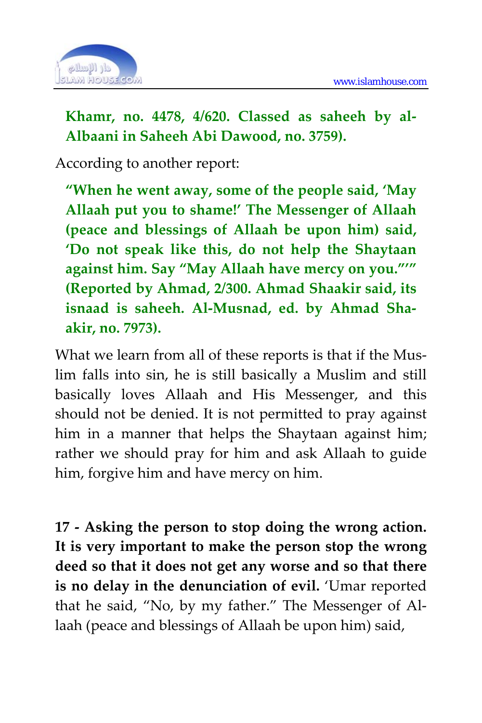

**Khamr, no. 4478, 4/620. Classed as saheeh by al‐ Albaani in Saheeh Abi Dawood, no. 3759).**

According to another report:

**"When he went away, some of the people said, 'May Allaah put you to shame!' The Messenger of Allaah (peace and blessings of Allaah be upon him) said, 'Do not speak like this, do not help the Shaytaan against him. Say "May Allaah have mercy on you."'" (Reported by Ahmad, 2/300. Ahmad Shaakir said, its isnaad is saheeh. Al‐Musnad, ed. by Ahmad Sha‐ akir, no. 7973).**

What we learn from all of these reports is that if the Muslim falls into sin, he is still basically a Muslim and still basically loves Allaah and His Messenger, and this should not be denied. It is not permitted to pray against him in a manner that helps the Shaytaan against him; rather we should pray for him and ask Allaah to guide him, forgive him and have mercy on him.

**17 ‐ Asking the person to stop doing the wrong action. It is very important to make the person stop the wrong deed so that it does not get any worse and so that there is no delay in the denunciation of evil.** 'Umar reported that he said, "No, by my father." The Messenger of Al‐ laah (peace and blessings of Allaah be upon him) said,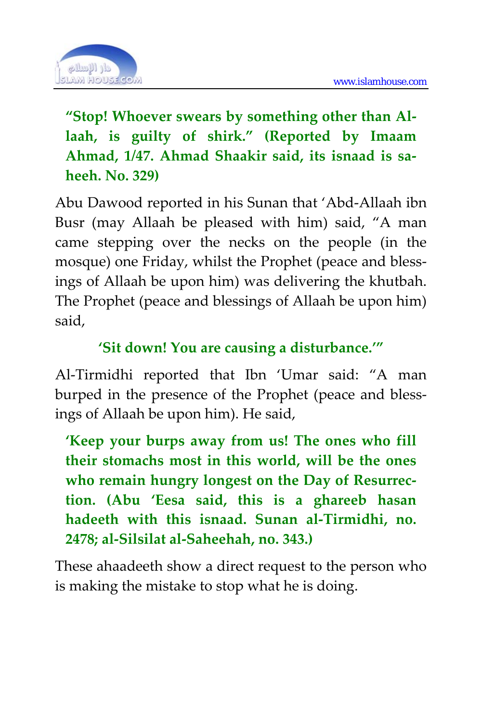

**"Stop! Whoever swears by something other than Al‐ laah, is guilty of shirk." (Reported by Imaam Ahmad, 1/47. Ahmad Shaakir said, its isnaad is sa‐ heeh. No. 329)**

Abu Dawood reported in his Sunan that 'Abd‐Allaah ibn Busr (may Allaah be pleased with him) said, "A man came stepping over the necks on the people (in the mosque) one Friday, whilst the Prophet (peace and blessings of Allaah be upon him) was delivering the khutbah. The Prophet (peace and blessings of Allaah be upon him) said,

#### **'Sit down! You are causing a disturbance.'"**

Al‐Tirmidhi reported that Ibn 'Umar said: "A man burped in the presence of the Prophet (peace and blessings of Allaah be upon him). He said,

**'Keep your burps away from us! The ones who fill their stomachs most in this world, will be the ones who remain hungry longest on the Day of Resurrec‐ tion. (Abu 'Eesa said, this is a ghareeb hasan hadeeth with this isnaad. Sunan al‐Tirmidhi, no. 2478; al‐Silsilat al‐Saheehah, no. 343.)**

These ahaadeeth show a direct request to the person who is making the mistake to stop what he is doing.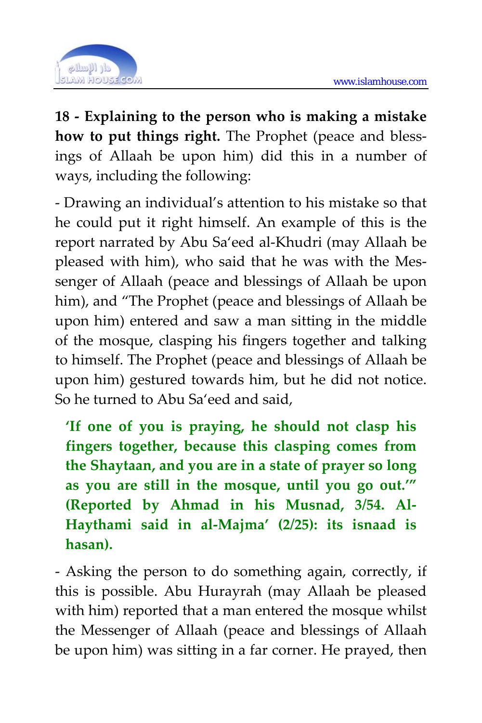

**18 ‐ Explaining to the person who is making a mistake how to put things right.** The Prophet (peace and bless‐ ings of Allaah be upon him) did this in a number of ways, including the following:

‐ Drawing an individual's attention to his mistake so that he could put it right himself. An example of this is the report narrated by Abu Sa'eed al‐Khudri (may Allaah be pleased with him), who said that he was with the Mes‐ senger of Allaah (peace and blessings of Allaah be upon him), and "The Prophet (peace and blessings of Allaah be upon him) entered and saw a man sitting in the middle of the mosque, clasping his fingers together and talking to himself. The Prophet (peace and blessings of Allaah be upon him) gestured towards him, but he did not notice. So he turned to Abu Sa'eed and said,

**'If one of you is praying, he should not clasp his fingers together, because this clasping comes from the Shaytaan, and you are in a state of prayer so long as you are still in the mosque, until you go out.'" (Reported by Ahmad in his Musnad, 3/54. Al‐ Haythami said in al‐Majma' (2/25): its isnaad is hasan).**

‐ Asking the person to do something again, correctly, if this is possible. Abu Hurayrah (may Allaah be pleased with him) reported that a man entered the mosque whilst the Messenger of Allaah (peace and blessings of Allaah be upon him) was sitting in a far corner. He prayed, then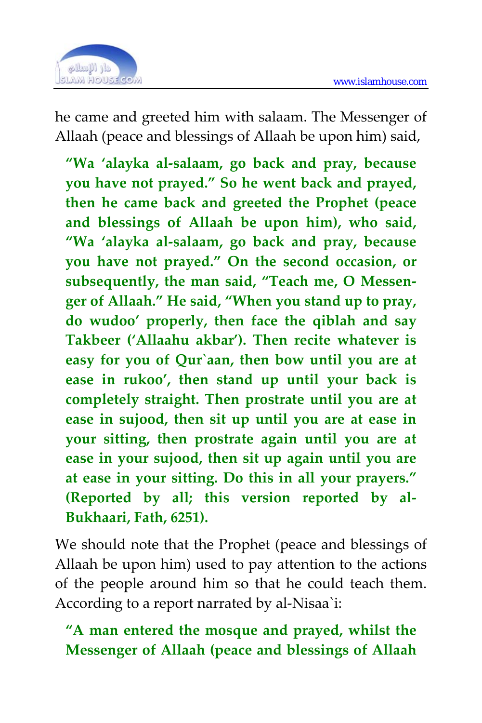

he came and greeted him with salaam. The Messenger of Allaah (peace and blessings of Allaah be upon him) said,

**"Wa 'alayka al‐salaam, go back and pray, because you have not prayed." So he went back and prayed, then he came back and greeted the Prophet (peace and blessings of Allaah be upon him), who said, "Wa 'alayka al‐salaam, go back and pray, because you have not prayed." On the second occasion, or subsequently, the man said, "Teach me, O Messen‐ ger of Allaah." He said, "When you stand up to pray, do wudoo' properly, then face the qiblah and say Takbeer ('Allaahu akbar'). Then recite whatever is easy for you of Qur`aan, then bow until you are at ease in rukoo', then stand up until your back is completely straight. Then prostrate until you are at ease in sujood, then sit up until you are at ease in your sitting, then prostrate again until you are at ease in your sujood, then sit up again until you are at ease in your sitting. Do this in all your prayers." (Reported by all; this version reported by al‐ Bukhaari, Fath, 6251).**

We should note that the Prophet (peace and blessings of Allaah be upon him) used to pay attention to the actions of the people around him so that he could teach them. According to a report narrated by al‐Nisaa`i:

**"A man entered the mosque and prayed, whilst the Messenger of Allaah (peace and blessings of Allaah**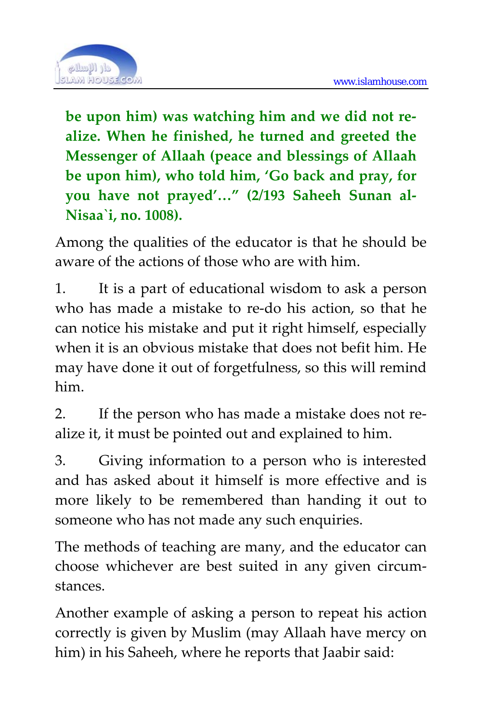

**be upon him) was watching him and we did not re‐ alize. When he finished, he turned and greeted the Messenger of Allaah (peace and blessings of Allaah be upon him), who told him, 'Go back and pray, for you have not prayed'…" (2/193 Saheeh Sunan al‐ Nisaa`i, no. 1008).**

Among the qualities of the educator is that he should be aware of the actions of those who are with him.

1. It is a part of educational wisdom to ask a person who has made a mistake to re‐do his action, so that he can notice his mistake and put it right himself, especially when it is an obvious mistake that does not befit him. He may have done it out of forgetfulness, so this will remind him.

2. If the person who has made a mistake does not re‐ alize it, it must be pointed out and explained to him.

3. Giving information to a person who is interested and has asked about it himself is more effective and is more likely to be remembered than handing it out to someone who has not made any such enquiries.

The methods of teaching are many, and the educator can choose whichever are best suited in any given circum‐ stances.

Another example of asking a person to repeat his action correctly is given by Muslim (may Allaah have mercy on him) in his Saheeh, where he reports that Jaabir said: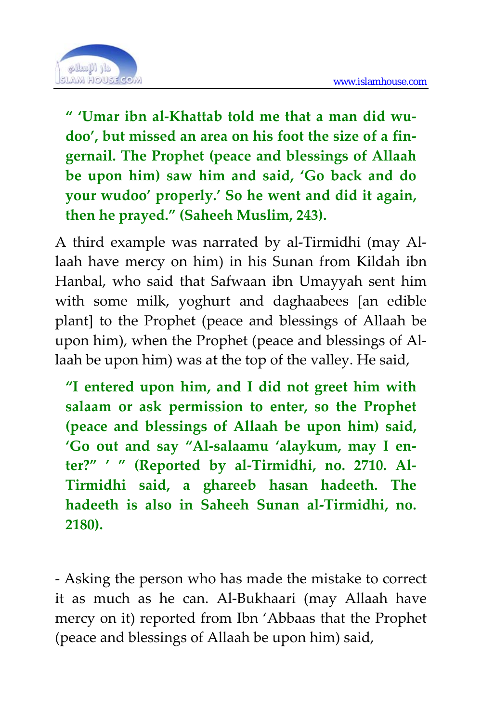

**" 'Umar ibn al‐Khattab told me that a man did wu‐ doo', but missed an area on his foot the size of a fin‐ gernail. The Prophet (peace and blessings of Allaah be upon him) saw him and said, 'Go back and do your wudoo' properly.' So he went and did it again, then he prayed." (Saheeh Muslim, 243).**

A third example was narrated by al‐Tirmidhi (may Al‐ laah have mercy on him) in his Sunan from Kildah ibn Hanbal, who said that Safwaan ibn Umayyah sent him with some milk, yoghurt and daghaabees [an edible plant] to the Prophet (peace and blessings of Allaah be upon him), when the Prophet (peace and blessings of Al‐ laah be upon him) was at the top of the valley. He said,

**"I entered upon him, and I did not greet him with salaam or ask permission to enter, so the Prophet (peace and blessings of Allaah be upon him) said, 'Go out and say "Al‐salaamu 'alaykum, may I en‐ ter?" ' " (Reported by al‐Tirmidhi, no. 2710. Al‐ Tirmidhi said, a ghareeb hasan hadeeth. The hadeeth is also in Saheeh Sunan al‐Tirmidhi, no. 2180).**

‐ Asking the person who has made the mistake to correct it as much as he can. Al‐Bukhaari (may Allaah have mercy on it) reported from Ibn 'Abbaas that the Prophet (peace and blessings of Allaah be upon him) said,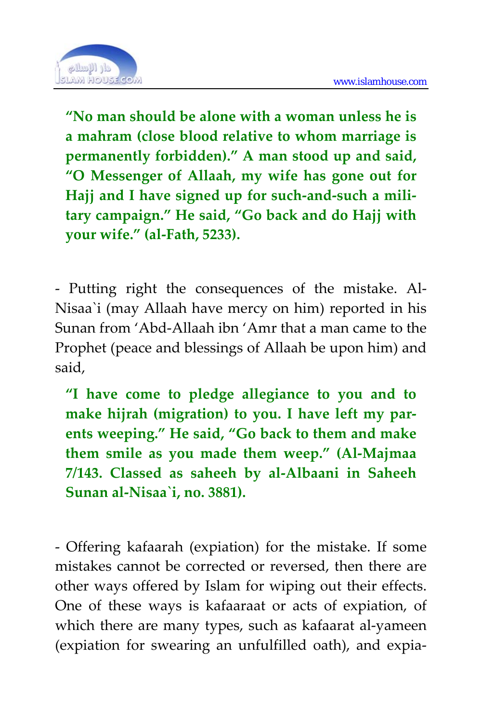

**"No man should be alone with a woman unless he is a mahram (close blood relative to whom marriage is permanently forbidden)." A man stood up and said, "O Messenger of Allaah, my wife has gone out for Hajj and I have signed up for such‐and‐such a mili‐ tary campaign." He said, "Go back and do Hajj with your wife." (al‐Fath, 5233).**

‐ Putting right the consequences of the mistake. Al‐ Nisaa`i (may Allaah have mercy on him) reported in his Sunan from 'Abd‐Allaah ibn 'Amr that a man came to the Prophet (peace and blessings of Allaah be upon him) and said,

**"I have come to pledge allegiance to you and to make hijrah (migration) to you. I have left my par‐ ents weeping." He said, "Go back to them and make them smile as you made them weep." (Al‐Majmaa 7/143. Classed as saheeh by al‐Albaani in Saheeh Sunan al‐Nisaa`i, no. 3881).**

‐ Offering kafaarah (expiation) for the mistake. If some mistakes cannot be corrected or reversed, then there are other ways offered by Islam for wiping out their effects. One of these ways is kafaaraat or acts of expiation, of which there are many types, such as kafaarat al-yameen (expiation for swearing an unfulfilled oath), and expia‐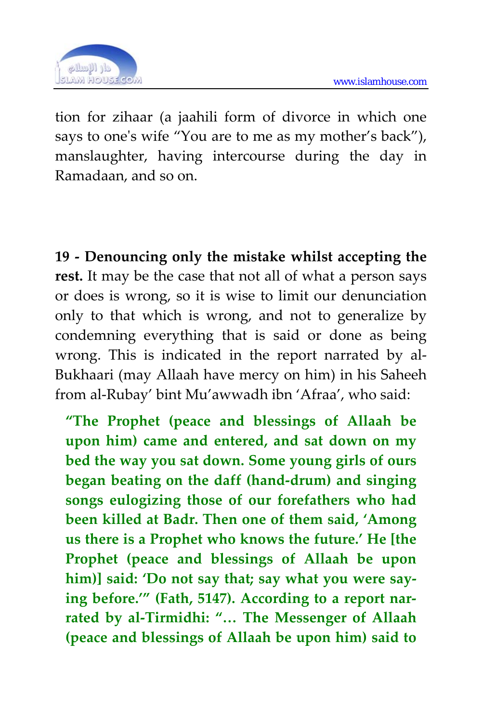

tion for zihaar (a jaahili form of divorce in which one says to one's wife "You are to me as my mother's back"), manslaughter, having intercourse during the day in Ramadaan, and so on.

**19 ‐ Denouncing only the mistake whilst accepting the rest.** It may be the case that not all of what a person says or does is wrong, so it is wise to limit our denunciation only to that which is wrong, and not to generalize by condemning everything that is said or done as being wrong. This is indicated in the report narrated by al-Bukhaari (may Allaah have mercy on him) in his Saheeh from al‐Rubay' bint Mu'awwadh ibn 'Afraa', who said:

**"The Prophet (peace and blessings of Allaah be upon him) came and entered, and sat down on my bed the way you sat down. Some young girls of ours began beating on the daff (hand‐drum) and singing songs eulogizing those of our forefathers who had been killed at Badr. Then one of them said, 'Among us there is a Prophet who knows the future.' He [the Prophet (peace and blessings of Allaah be upon him)] said: 'Do not say that; say what you were say‐ ing before.'" (Fath, 5147). According to a report nar‐ rated by al‐Tirmidhi: "… The Messenger of Allaah (peace and blessings of Allaah be upon him) said to**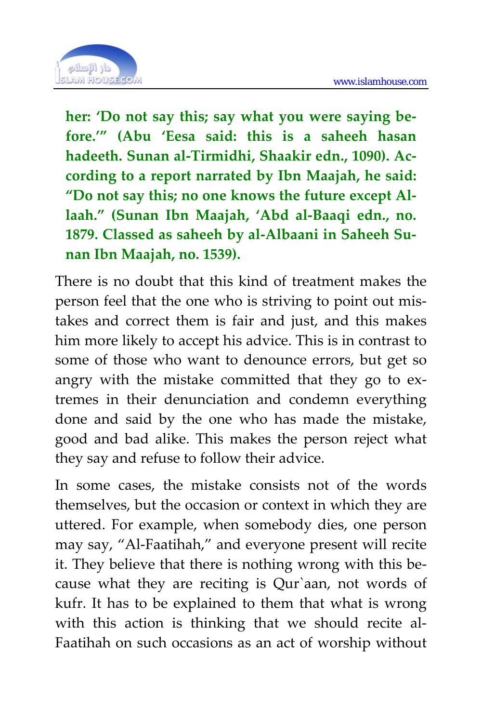

**her: 'Do not say this; say what you were saying be‐ fore.'" (Abu 'Eesa said: this is a saheeh hasan hadeeth. Sunan al‐Tirmidhi, Shaakir edn., 1090). Ac‐ cording to a report narrated by Ibn Maajah, he said: "Do not say this; no one knows the future except Al‐ laah." (Sunan Ibn Maajah, 'Abd al‐Baaqi edn., no. 1879. Classed as saheeh by al‐Albaani in Saheeh Su‐ nan Ibn Maajah, no. 1539).**

There is no doubt that this kind of treatment makes the person feel that the one who is striving to point out mis‐ takes and correct them is fair and just, and this makes him more likely to accept his advice. This is in contrast to some of those who want to denounce errors, but get so angry with the mistake committed that they go to extremes in their denunciation and condemn everything done and said by the one who has made the mistake, good and bad alike. This makes the person reject what they say and refuse to follow their advice.

In some cases, the mistake consists not of the words themselves, but the occasion or context in which they are uttered. For example, when somebody dies, one person may say, "Al‐Faatihah," and everyone present will recite it. They believe that there is nothing wrong with this because what they are reciting is Qur`aan, not words of kufr. It has to be explained to them that what is wrong with this action is thinking that we should recite al-Faatihah on such occasions as an act of worship without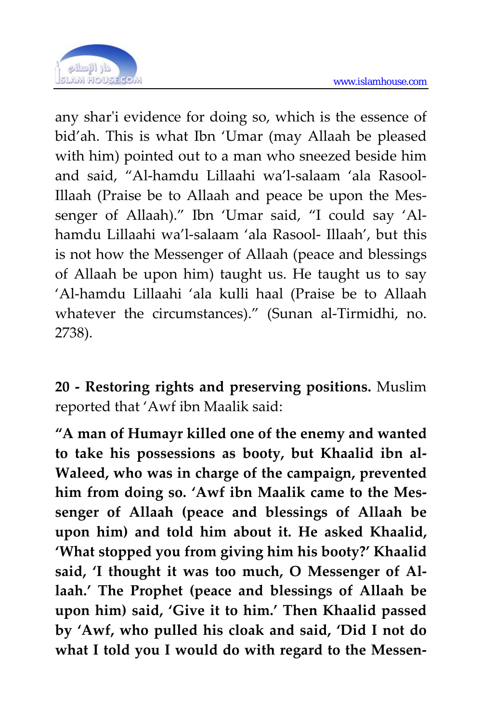

any shar'i evidence for doing so, which is the essence of bid'ah. This is what Ibn 'Umar (may Allaah be pleased with him) pointed out to a man who sneezed beside him and said, "Al‐hamdu Lillaahi wa'l‐salaam 'ala Rasool‐ Illaah (Praise be to Allaah and peace be upon the Mes‐ senger of Allaah)." Ibn 'Umar said, "I could say 'Al‐ hamdu Lillaahi wa'l‐salaam 'ala Rasool‐ Illaah', but this is not how the Messenger of Allaah (peace and blessings of Allaah be upon him) taught us. He taught us to say 'Al‐hamdu Lillaahi 'ala kulli haal (Praise be to Allaah whatever the circumstances)." (Sunan al-Tirmidhi, no. 2738).

**20 ‐ Restoring rights and preserving positions.** Muslim reported that 'Awf ibn Maalik said:

**"A man of Humayr killed one of the enemy and wanted to take his possessions as booty, but Khaalid ibn al‐ Waleed, who was in charge of the campaign, prevented him from doing so. 'Awf ibn Maalik came to the Mes‐ senger of Allaah (peace and blessings of Allaah be upon him) and told him about it. He asked Khaalid, 'What stopped you from giving him his booty?' Khaalid said, 'I thought it was too much, O Messenger of Al‐ laah.' The Prophet (peace and blessings of Allaah be upon him) said, 'Give it to him.' Then Khaalid passed by 'Awf, who pulled his cloak and said, 'Did I not do what I told you I would do with regard to the Messen‐**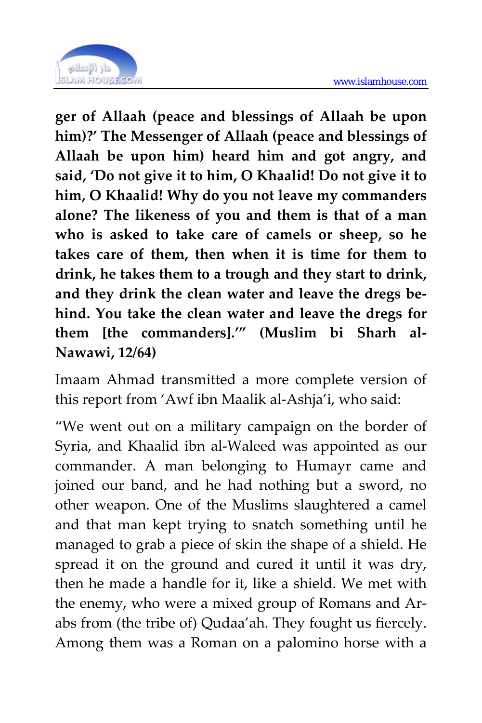

**ger of Allaah (peace and blessings of Allaah be upon him)?' The Messenger of Allaah (peace and blessings of Allaah be upon him) heard him and got angry, and said, 'Do not give it to him, O Khaalid! Do not give it to him, O Khaalid! Why do you not leave my commanders alone? The likeness of you and them is that of a man who is asked to take care of camels or sheep, so he takes care of them, then when it is time for them to drink, he takes them to a trough and they start to drink, and they drink the clean water and leave the dregs be‐ hind. You take the clean water and leave the dregs for them [the commanders].'" (Muslim bi Sharh al‐ Nawawi, 12/64)**

Imaam Ahmad transmitted a more complete version of this report from 'Awf ibn Maalik al‐Ashja'i, who said:

"We went out on a military campaign on the border of Syria, and Khaalid ibn al‐Waleed was appointed as our commander. A man belonging to Humayr came and joined our band, and he had nothing but a sword, no other weapon. One of the Muslims slaughtered a camel and that man kept trying to snatch something until he managed to grab a piece of skin the shape of a shield. He spread it on the ground and cured it until it was dry, then he made a handle for it, like a shield. We met with the enemy, who were a mixed group of Romans and Ar‐ abs from (the tribe of) Qudaa'ah. They fought us fiercely. Among them was a Roman on a palomino horse with a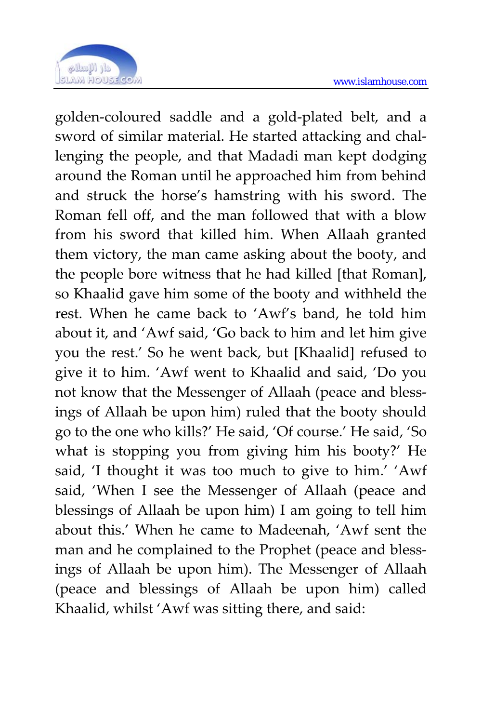

golden‐coloured saddle and a gold‐plated belt, and a sword of similar material. He started attacking and challenging the people, and that Madadi man kept dodging around the Roman until he approached him from behind and struck the horse's hamstring with his sword. The Roman fell off, and the man followed that with a blow from his sword that killed him. When Allaah granted them victory, the man came asking about the booty, and the people bore witness that he had killed [that Roman], so Khaalid gave him some of the booty and withheld the rest. When he came back to 'Awf's band, he told him about it, and 'Awf said, 'Go back to him and let him give you the rest.' So he went back, but [Khaalid] refused to give it to him. 'Awf went to Khaalid and said, 'Do you not know that the Messenger of Allaah (peace and bless‐ ings of Allaah be upon him) ruled that the booty should go to the one who kills?' He said, 'Of course.' He said, 'So what is stopping you from giving him his booty?' He said, 'I thought it was too much to give to him.' 'Awf said, 'When I see the Messenger of Allaah (peace and blessings of Allaah be upon him) I am going to tell him about this.' When he came to Madeenah, 'Awf sent the man and he complained to the Prophet (peace and blessings of Allaah be upon him). The Messenger of Allaah (peace and blessings of Allaah be upon him) called Khaalid, whilst 'Awf was sitting there, and said: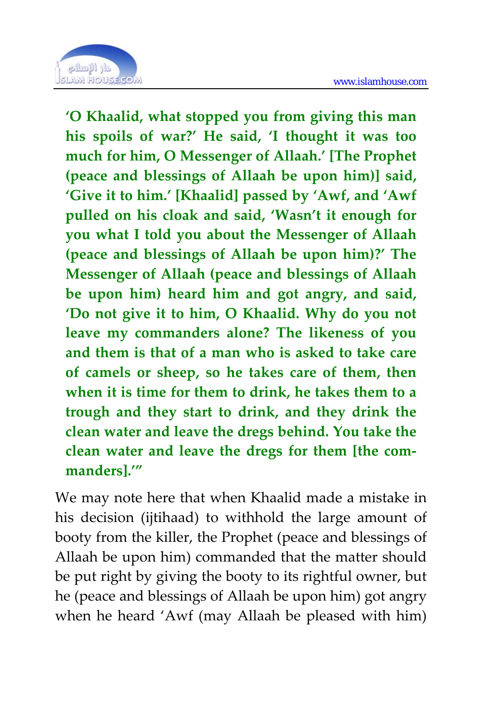

**'O Khaalid, what stopped you from giving this man his spoils of war?' He said, 'I thought it was too much for him, O Messenger of Allaah.' [The Prophet (peace and blessings of Allaah be upon him)] said, 'Give it to him.' [Khaalid] passed by 'Awf, and 'Awf pulled on his cloak and said, 'Wasn't it enough for you what I told you about the Messenger of Allaah (peace and blessings of Allaah be upon him)?' The Messenger of Allaah (peace and blessings of Allaah be upon him) heard him and got angry, and said, 'Do not give it to him, O Khaalid. Why do you not leave my commanders alone? The likeness of you and them is that of a man who is asked to take care of camels or sheep, so he takes care of them, then when it is time for them to drink, he takes them to a trough and they start to drink, and they drink the clean water and leave the dregs behind. You take the clean water and leave the dregs for them [the com‐ manders].'"**

We may note here that when Khaalid made a mistake in his decision (ijtihaad) to withhold the large amount of booty from the killer, the Prophet (peace and blessings of Allaah be upon him) commanded that the matter should be put right by giving the booty to its rightful owner, but he (peace and blessings of Allaah be upon him) got angry when he heard 'Awf (may Allaah be pleased with him)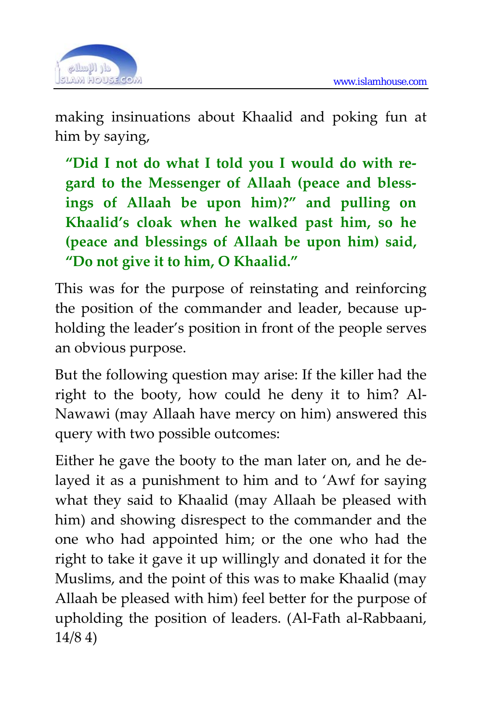

making insinuations about Khaalid and poking fun at him by saying,

**"Did I not do what I told you I would do with re‐ gard to the Messenger of Allaah (peace and bless‐ ings of Allaah be upon him)?" and pulling on Khaalid's cloak when he walked past him, so he (peace and blessings of Allaah be upon him) said, "Do not give it to him, O Khaalid."**

This was for the purpose of reinstating and reinforcing the position of the commander and leader, because up‐ holding the leader's position in front of the people serves an obvious purpose.

But the following question may arise: If the killer had the right to the booty, how could he deny it to him? Al‐ Nawawi (may Allaah have mercy on him) answered this query with two possible outcomes:

Either he gave the booty to the man later on, and he de‐ layed it as a punishment to him and to 'Awf for saying what they said to Khaalid (may Allaah be pleased with him) and showing disrespect to the commander and the one who had appointed him; or the one who had the right to take it gave it up willingly and donated it for the Muslims, and the point of this was to make Khaalid (may Allaah be pleased with him) feel better for the purpose of upholding the position of leaders. (Al‐Fath al‐Rabbaani, 14/8 4)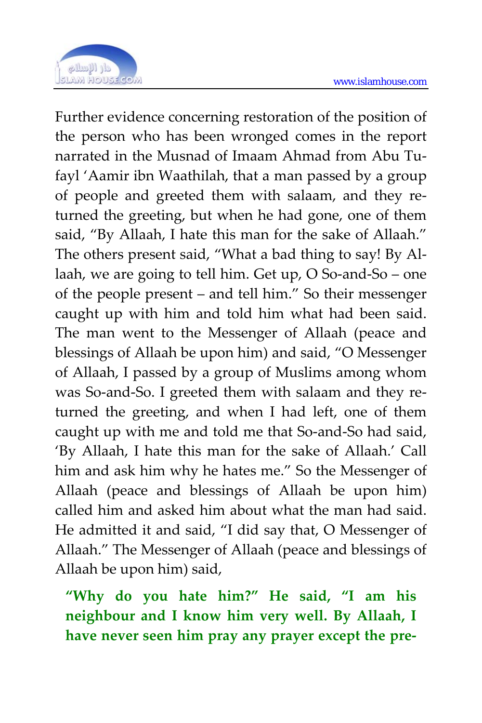

Further evidence concerning restoration of the position of the person who has been wronged comes in the report narrated in the Musnad of Imaam Ahmad from Abu Tu‐ fayl 'Aamir ibn Waathilah, that a man passed by a group of people and greeted them with salaam, and they re‐ turned the greeting, but when he had gone, one of them said, "By Allaah, I hate this man for the sake of Allaah." The others present said, "What a bad thing to say! By Al‐ laah, we are going to tell him. Get up, O So‐and‐So – one of the people present – and tell him." So their messenger caught up with him and told him what had been said. The man went to the Messenger of Allaah (peace and blessings of Allaah be upon him) and said, "O Messenger of Allaah, I passed by a group of Muslims among whom was So-and-So. I greeted them with salaam and they returned the greeting, and when I had left, one of them caught up with me and told me that So‐and‐So had said, 'By Allaah, I hate this man for the sake of Allaah.' Call him and ask him why he hates me." So the Messenger of Allaah (peace and blessings of Allaah be upon him) called him and asked him about what the man had said. He admitted it and said, "I did say that, O Messenger of Allaah." The Messenger of Allaah (peace and blessings of Allaah be upon him) said,

**"Why do you hate him?" He said, "I am his neighbour and I know him very well. By Allaah, I have never seen him pray any prayer except the pre‐**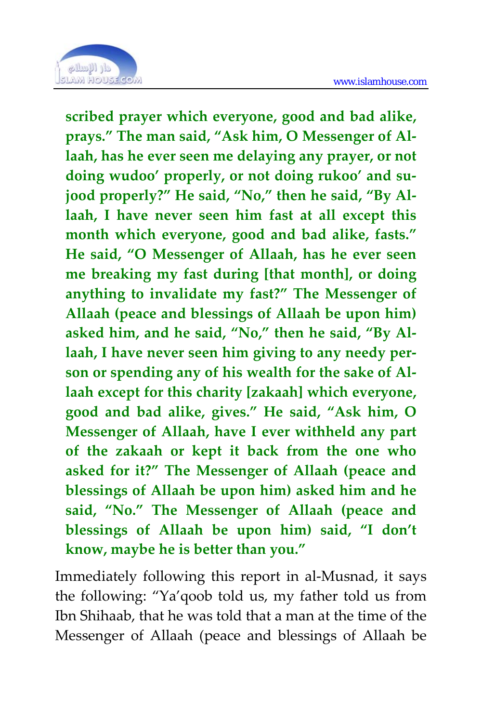

**scribed prayer which everyone, good and bad alike, prays." The man said, "Ask him, O Messenger of Al‐ laah, has he ever seen me delaying any prayer, or not doing wudoo' properly, or not doing rukoo' and su‐ jood properly?" He said, "No," then he said, "By Al‐ laah, I have never seen him fast at all except this month which everyone, good and bad alike, fasts." He said, "O Messenger of Allaah, has he ever seen me breaking my fast during [that month], or doing anything to invalidate my fast?" The Messenger of Allaah (peace and blessings of Allaah be upon him) asked him, and he said, "No," then he said, "By Al‐ laah, I have never seen him giving to any needy per‐ son or spending any of his wealth for the sake of Al‐ laah except for this charity [zakaah] which everyone, good and bad alike, gives." He said, "Ask him, O Messenger of Allaah, have I ever withheld any part of the zakaah or kept it back from the one who asked for it?" The Messenger of Allaah (peace and blessings of Allaah be upon him) asked him and he said, "No." The Messenger of Allaah (peace and blessings of Allaah be upon him) said, "I don't know, maybe he is better than you."**

Immediately following this report in al‐Musnad, it says the following: "Ya'qoob told us, my father told us from Ibn Shihaab, that he was told that a man at the time of the Messenger of Allaah (peace and blessings of Allaah be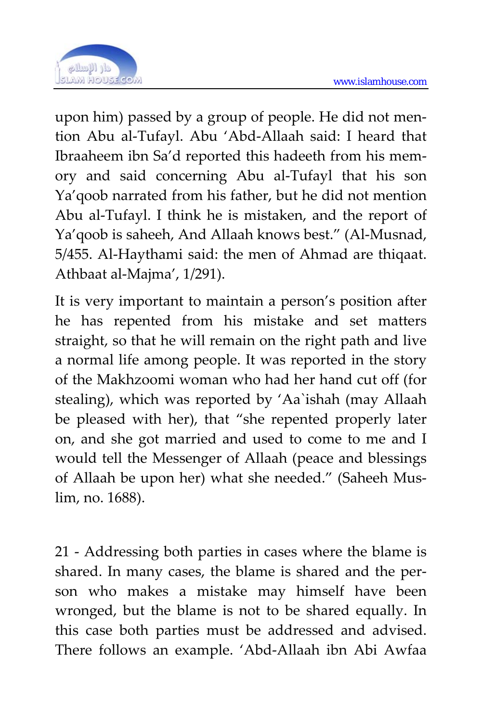

upon him) passed by a group of people. He did not mention Abu al‐Tufayl. Abu 'Abd‐Allaah said: I heard that Ibraaheem ibn Sa'd reported this hadeeth from his mem‐ ory and said concerning Abu al‐Tufayl that his son Ya'qoob narrated from his father, but he did not mention Abu al‐Tufayl. I think he is mistaken, and the report of Ya'qoob is saheeh, And Allaah knows best." (Al‐Musnad, 5/455. Al‐Haythami said: the men of Ahmad are thiqaat. Athbaat al‐Majma', 1/291).

It is very important to maintain a person's position after he has repented from his mistake and set matters straight, so that he will remain on the right path and live a normal life among people. It was reported in the story of the Makhzoomi woman who had her hand cut off (for stealing), which was reported by 'Aa`ishah (may Allaah be pleased with her), that "she repented properly later on, and she got married and used to come to me and I would tell the Messenger of Allaah (peace and blessings of Allaah be upon her) what she needed." (Saheeh Mus‐ lim, no. 1688).

21 ‐ Addressing both parties in cases where the blame is shared. In many cases, the blame is shared and the person who makes a mistake may himself have been wronged, but the blame is not to be shared equally. In this case both parties must be addressed and advised. There follows an example. 'Abd‐Allaah ibn Abi Awfaa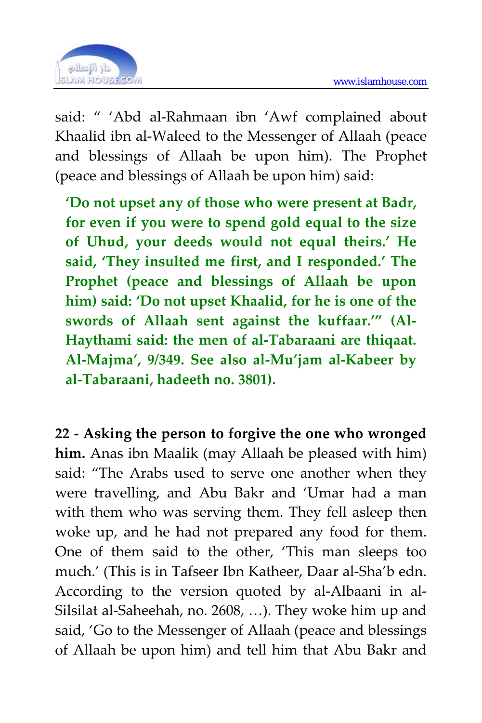

said: " 'Abd al‐Rahmaan ibn 'Awf complained about Khaalid ibn al‐Waleed to the Messenger of Allaah (peace and blessings of Allaah be upon him). The Prophet (peace and blessings of Allaah be upon him) said:

**'Do not upset any of those who were present at Badr, for even if you were to spend gold equal to the size of Uhud, your deeds would not equal theirs.' He said, 'They insulted me first, and I responded.' The Prophet (peace and blessings of Allaah be upon him) said: 'Do not upset Khaalid, for he is one of the swords of Allaah sent against the kuffaar.'" (Al‐ Haythami said: the men of al‐Tabaraani are thiqaat. Al‐Majma', 9/349. See also al‐Mu'jam al‐Kabeer by al‐Tabaraani, hadeeth no. 3801).**

**22 ‐ Asking the person to forgive the one who wronged him.** Anas ibn Maalik (may Allaah be pleased with him) said: "The Arabs used to serve one another when they were travelling, and Abu Bakr and 'Umar had a man with them who was serving them. They fell asleep then woke up, and he had not prepared any food for them. One of them said to the other, 'This man sleeps too much.' (This is in Tafseer Ibn Katheer, Daar al‐Sha'b edn. According to the version quoted by al‐Albaani in al‐ Silsilat al-Saheehah, no. 2608, ...). They woke him up and said, 'Go to the Messenger of Allaah (peace and blessings of Allaah be upon him) and tell him that Abu Bakr and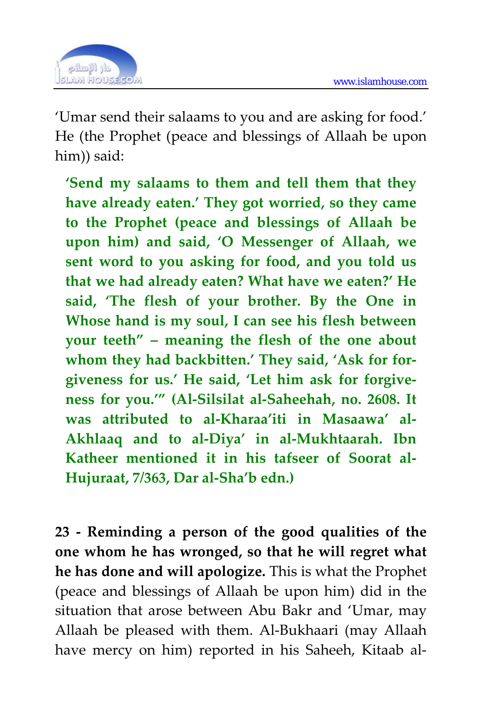

'Umar send their salaams to you and are asking for food.' He (the Prophet (peace and blessings of Allaah be upon him)) said:

**'Send my salaams to them and tell them that they have already eaten.' They got worried, so they came to the Prophet (peace and blessings of Allaah be upon him) and said, 'O Messenger of Allaah, we sent word to you asking for food, and you told us that we had already eaten? What have we eaten?' He said, 'The flesh of your brother. By the One in Whose hand is my soul, I can see his flesh between your teeth" – meaning the flesh of the one about whom they had backbitten.' They said, 'Ask for for‐ giveness for us.' He said, 'Let him ask for forgive‐ ness for you.'" (Al‐Silsilat al‐Saheehah, no. 2608. It was attributed to al‐Kharaa'iti in Masaawa' al‐ Akhlaaq and to al‐Diya' in al‐Mukhtaarah. Ibn Katheer mentioned it in his tafseer of Soorat al‐ Hujuraat, 7/363, Dar al‐Sha'b edn.)**

**23 ‐ Reminding a person of the good qualities of the one whom he has wronged, so that he will regret what he has done and will apologize.** This is what the Prophet (peace and blessings of Allaah be upon him) did in the situation that arose between Abu Bakr and 'Umar, may Allaah be pleased with them. Al‐Bukhaari (may Allaah have mercy on him) reported in his Saheeh, Kitaab al‐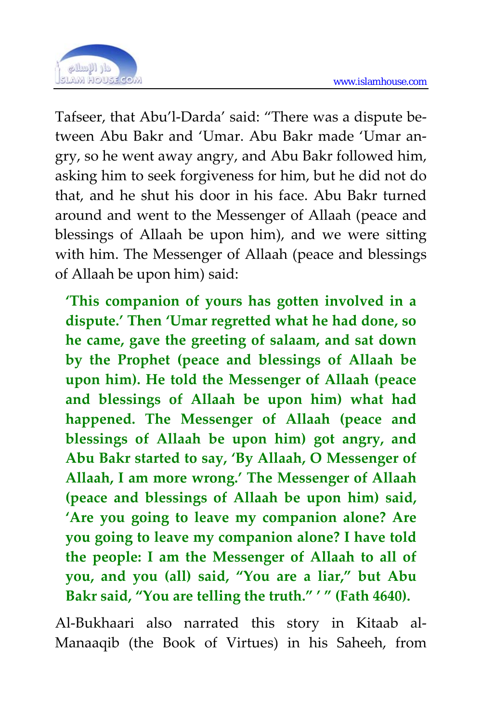

Tafseer, that Abu'l‐Darda' said: "There was a dispute be‐ tween Abu Bakr and 'Umar. Abu Bakr made 'Umar an‐ gry, so he went away angry, and Abu Bakr followed him, asking him to seek forgiveness for him, but he did not do that, and he shut his door in his face. Abu Bakr turned around and went to the Messenger of Allaah (peace and blessings of Allaah be upon him), and we were sitting with him. The Messenger of Allaah (peace and blessings of Allaah be upon him) said:

**'This companion of yours has gotten involved in a dispute.' Then 'Umar regretted what he had done, so he came, gave the greeting of salaam, and sat down by the Prophet (peace and blessings of Allaah be upon him). He told the Messenger of Allaah (peace and blessings of Allaah be upon him) what had happened. The Messenger of Allaah (peace and blessings of Allaah be upon him) got angry, and Abu Bakr started to say, 'By Allaah, O Messenger of Allaah, I am more wrong.' The Messenger of Allaah (peace and blessings of Allaah be upon him) said, 'Are you going to leave my companion alone? Are you going to leave my companion alone? I have told the people: I am the Messenger of Allaah to all of you, and you (all) said, "You are a liar," but Abu Bakr said, "You are telling the truth." ' " (Fath 4640).**

Al-Bukhaari also narrated this story in Kitaab al-Manaaqib (the Book of Virtues) in his Saheeh, from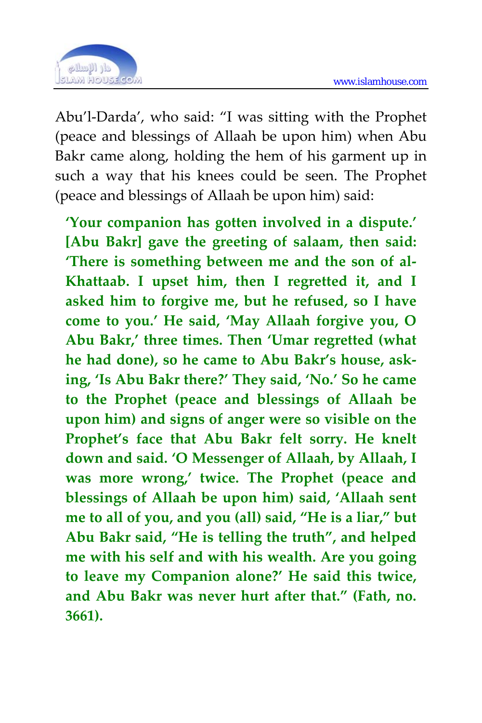

Abu'l‐Darda', who said: "I was sitting with the Prophet (peace and blessings of Allaah be upon him) when Abu Bakr came along, holding the hem of his garment up in such a way that his knees could be seen. The Prophet (peace and blessings of Allaah be upon him) said:

**'Your companion has gotten involved in a dispute.' [Abu Bakr] gave the greeting of salaam, then said: 'There is something between me and the son of al‐ Khattaab. I upset him, then I regretted it, and I asked him to forgive me, but he refused, so I have come to you.' He said, 'May Allaah forgive you, O Abu Bakr,' three times. Then 'Umar regretted (what he had done), so he came to Abu Bakr's house, ask‐ ing, 'Is Abu Bakr there?' They said, 'No.' So he came to the Prophet (peace and blessings of Allaah be upon him) and signs of anger were so visible on the Prophet's face that Abu Bakr felt sorry. He knelt down and said. 'O Messenger of Allaah, by Allaah, I was more wrong,' twice. The Prophet (peace and blessings of Allaah be upon him) said, 'Allaah sent me to all of you, and you (all) said, "He is a liar," but Abu Bakr said, "He is telling the truth", and helped me with his self and with his wealth. Are you going to leave my Companion alone?' He said this twice, and Abu Bakr was never hurt after that." (Fath, no. 3661).**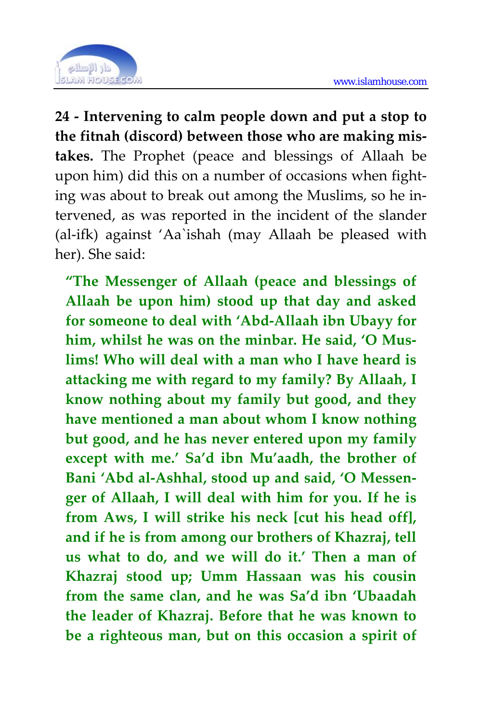

**24 ‐ Intervening to calm people down and put a stop to the fitnah (discord) between those who are making mis‐ takes.** The Prophet (peace and blessings of Allaah be upon him) did this on a number of occasions when fighting was about to break out among the Muslims, so he in‐ tervened, as was reported in the incident of the slander (al‐ifk) against 'Aa`ishah (may Allaah be pleased with her). She said:

**"The Messenger of Allaah (peace and blessings of Allaah be upon him) stood up that day and asked for someone to deal with 'Abd‐Allaah ibn Ubayy for him, whilst he was on the minbar. He said, 'O Mus‐ lims! Who will deal with a man who I have heard is attacking me with regard to my family? By Allaah, I know nothing about my family but good, and they have mentioned a man about whom I know nothing but good, and he has never entered upon my family except with me.' Sa'd ibn Mu'aadh, the brother of Bani 'Abd al‐Ashhal, stood up and said, 'O Messen‐ ger of Allaah, I will deal with him for you. If he is from Aws, I will strike his neck [cut his head off], and if he is from among our brothers of Khazraj, tell us what to do, and we will do it.' Then a man of Khazraj stood up; Umm Hassaan was his cousin from the same clan, and he was Sa'd ibn 'Ubaadah the leader of Khazraj. Before that he was known to be a righteous man, but on this occasion a spirit of**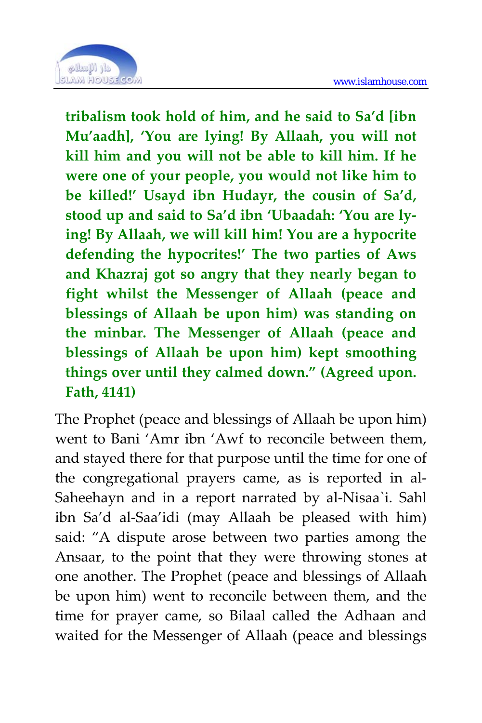

**tribalism took hold of him, and he said to Sa'd [ibn Mu'aadh], 'You are lying! By Allaah, you will not kill him and you will not be able to kill him. If he were one of your people, you would not like him to be killed!' Usayd ibn Hudayr, the cousin of Sa'd, stood up and said to Sa'd ibn 'Ubaadah: 'You are ly‐ ing! By Allaah, we will kill him! You are a hypocrite defending the hypocrites!' The two parties of Aws and Khazraj got so angry that they nearly began to fight whilst the Messenger of Allaah (peace and blessings of Allaah be upon him) was standing on the minbar. The Messenger of Allaah (peace and blessings of Allaah be upon him) kept smoothing things over until they calmed down." (Agreed upon. Fath, 4141)**

The Prophet (peace and blessings of Allaah be upon him) went to Bani 'Amr ibn 'Awf to reconcile between them, and stayed there for that purpose until the time for one of the congregational prayers came, as is reported in al‐ Saheehayn and in a report narrated by al‐Nisaa`i. Sahl ibn Sa'd al‐Saa'idi (may Allaah be pleased with him) said: "A dispute arose between two parties among the Ansaar, to the point that they were throwing stones at one another. The Prophet (peace and blessings of Allaah be upon him) went to reconcile between them, and the time for prayer came, so Bilaal called the Adhaan and waited for the Messenger of Allaah (peace and blessings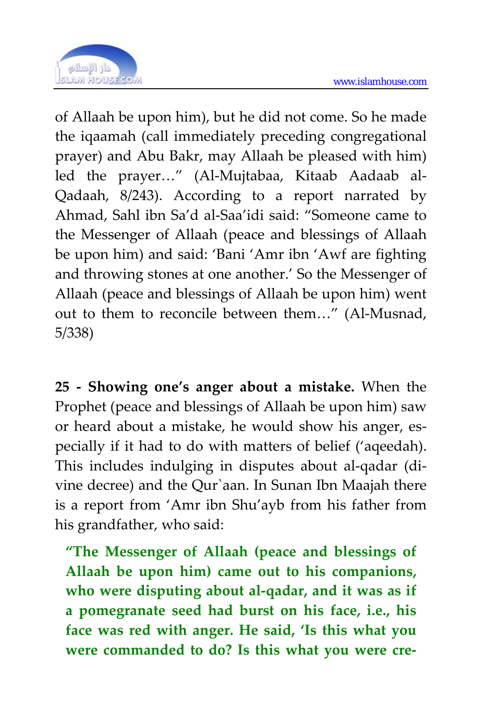

of Allaah be upon him), but he did not come. So he made the iqaamah (call immediately preceding congregational prayer) and Abu Bakr, may Allaah be pleased with him) led the prayer..." (Al-Mujtabaa, Kitaab Aadaab al-Qadaah, 8/243). According to a report narrated by Ahmad, Sahl ibn Sa'd al‐Saa'idi said: "Someone came to the Messenger of Allaah (peace and blessings of Allaah be upon him) and said: 'Bani 'Amr ibn 'Awf are fighting and throwing stones at one another.' So the Messenger of Allaah (peace and blessings of Allaah be upon him) went out to them to reconcile between them…" (Al‐Musnad, 5/338)

**25 ‐ Showing one's anger about a mistake.** When the Prophet (peace and blessings of Allaah be upon him) saw or heard about a mistake, he would show his anger, especially if it had to do with matters of belief ('aqeedah). This includes indulging in disputes about al‐qadar (di‐ vine decree) and the Qur`aan. In Sunan Ibn Maajah there is a report from 'Amr ibn Shu'ayb from his father from his grandfather, who said:

**"The Messenger of Allaah (peace and blessings of Allaah be upon him) came out to his companions, who were disputing about al‐qadar, and it was as if a pomegranate seed had burst on his face, i.e., his face was red with anger. He said, 'Is this what you were commanded to do? Is this what you were cre‐**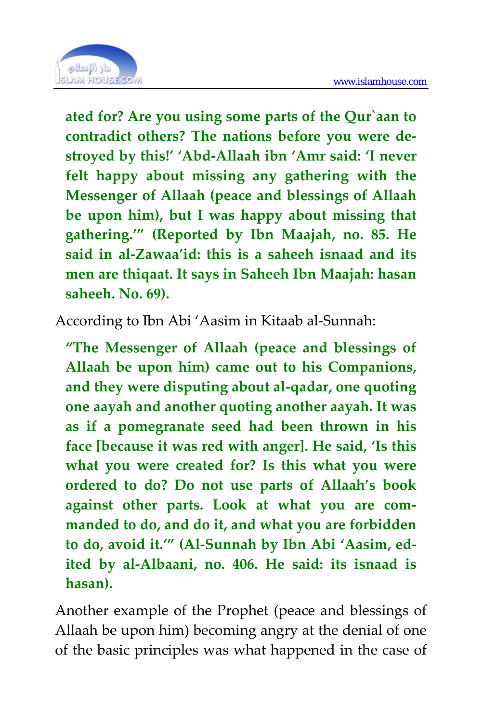

**ated for? Are you using some parts of the Qur`aan to contradict others? The nations before you were de‐ stroyed by this!' 'Abd‐Allaah ibn 'Amr said: 'I never felt happy about missing any gathering with the Messenger of Allaah (peace and blessings of Allaah be upon him), but I was happy about missing that gathering.'" (Reported by Ibn Maajah, no. 85. He said in al‐Zawaa'id: this is a saheeh isnaad and its men are thiqaat. It says in Saheeh Ibn Maajah: hasan saheeh. No. 69).** 

According to Ibn Abi 'Aasim in Kitaab al‐Sunnah:

**"The Messenger of Allaah (peace and blessings of Allaah be upon him) came out to his Companions, and they were disputing about al‐qadar, one quoting one aayah and another quoting another aayah. It was as if a pomegranate seed had been thrown in his face [because it was red with anger]. He said, 'Is this what you were created for? Is this what you were ordered to do? Do not use parts of Allaah's book against other parts. Look at what you are com‐ manded to do, and do it, and what you are forbidden to do, avoid it.'" (Al‐Sunnah by Ibn Abi 'Aasim, ed‐ ited by al‐Albaani, no. 406. He said: its isnaad is hasan).**

Another example of the Prophet (peace and blessings of Allaah be upon him) becoming angry at the denial of one of the basic principles was what happened in the case of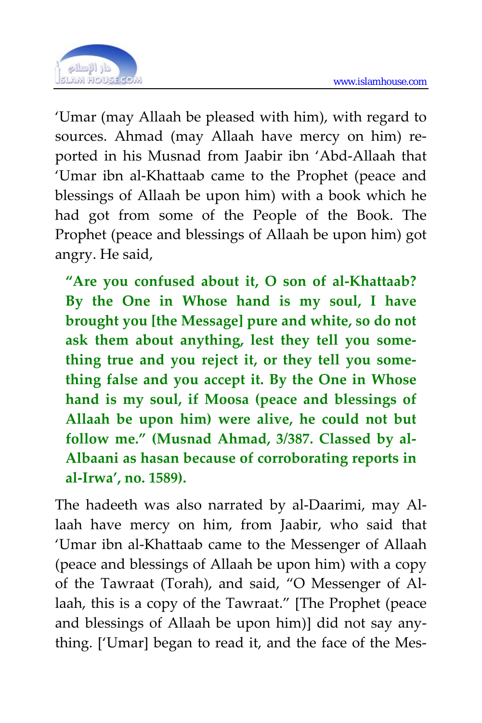

'Umar (may Allaah be pleased with him), with regard to sources. Ahmad (may Allaah have mercy on him) reported in his Musnad from Jaabir ibn 'Abd‐Allaah that 'Umar ibn al‐Khattaab came to the Prophet (peace and blessings of Allaah be upon him) with a book which he had got from some of the People of the Book. The Prophet (peace and blessings of Allaah be upon him) got angry. He said,

**"Are you confused about it, O son of al‐Khattaab? By the One in Whose hand is my soul, I have brought you [the Message] pure and white, so do not ask them about anything, lest they tell you some‐ thing true and you reject it, or they tell you some‐ thing false and you accept it. By the One in Whose hand is my soul, if Moosa (peace and blessings of Allaah be upon him) were alive, he could not but follow me." (Musnad Ahmad, 3/387. Classed by al‐ Albaani as hasan because of corroborating reports in al‐Irwa', no. 1589).**

The hadeeth was also narrated by al‐Daarimi, may Al‐ laah have mercy on him, from Jaabir, who said that 'Umar ibn al‐Khattaab came to the Messenger of Allaah (peace and blessings of Allaah be upon him) with a copy of the Tawraat (Torah), and said, "O Messenger of Al‐ laah, this is a copy of the Tawraat." [The Prophet (peace and blessings of Allaah be upon him)] did not say any‐ thing. ['Umar] began to read it, and the face of the Mes‐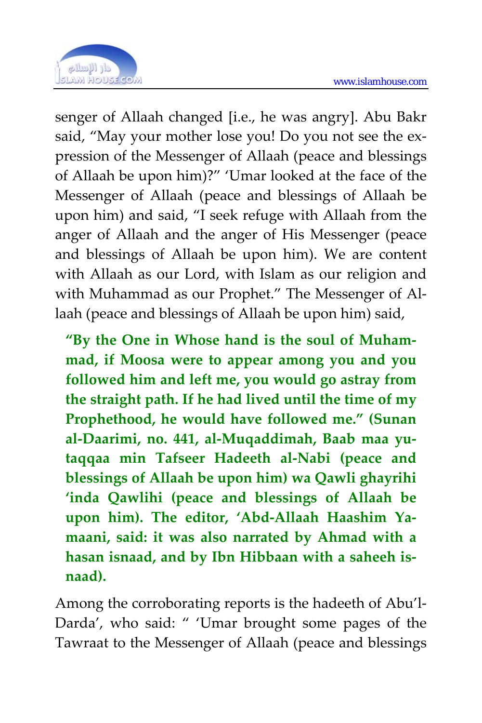

senger of Allaah changed [i.e., he was angry]. Abu Bakr said, "May your mother lose you! Do you not see the expression of the Messenger of Allaah (peace and blessings of Allaah be upon him)?" 'Umar looked at the face of the Messenger of Allaah (peace and blessings of Allaah be upon him) and said, "I seek refuge with Allaah from the anger of Allaah and the anger of His Messenger (peace and blessings of Allaah be upon him). We are content with Allaah as our Lord, with Islam as our religion and with Muhammad as our Prophet." The Messenger of Al‐ laah (peace and blessings of Allaah be upon him) said,

**"By the One in Whose hand is the soul of Muham‐ mad, if Moosa were to appear among you and you followed him and left me, you would go astray from the straight path. If he had lived until the time of my Prophethood, he would have followed me." (Sunan al‐Daarimi, no. 441, al‐Muqaddimah, Baab maa yu‐ taqqaa min Tafseer Hadeeth al‐Nabi (peace and blessings of Allaah be upon him) wa Qawli ghayrihi 'inda Qawlihi (peace and blessings of Allaah be upon him). The editor, 'Abd‐Allaah Haashim Ya‐ maani, said: it was also narrated by Ahmad with a hasan isnaad, and by Ibn Hibbaan with a saheeh is‐ naad**).

Among the corroborating reports is the hadeeth of Abu'l‐ Darda', who said: " 'Umar brought some pages of the Tawraat to the Messenger of Allaah (peace and blessings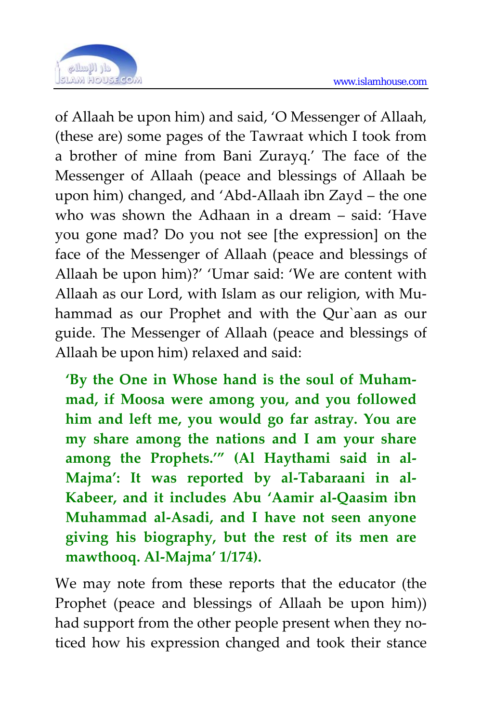

of Allaah be upon him) and said, 'O Messenger of Allaah, (these are) some pages of the Tawraat which I took from a brother of mine from Bani Zurayq.' The face of the Messenger of Allaah (peace and blessings of Allaah be upon him) changed, and 'Abd‐Allaah ibn Zayd – the one who was shown the Adhaan in a dream – said: 'Have you gone mad? Do you not see [the expression] on the face of the Messenger of Allaah (peace and blessings of Allaah be upon him)?' 'Umar said: 'We are content with Allaah as our Lord, with Islam as our religion, with Mu‐ hammad as our Prophet and with the Qur`aan as our guide. The Messenger of Allaah (peace and blessings of Allaah be upon him) relaxed and said:

**'By the One in Whose hand is the soul of Muham‐ mad, if Moosa were among you, and you followed him and left me, you would go far astray. You are my share among the nations and I am your share among the Prophets.'" (Al Haythami said in al‐ Majma': It was reported by al‐Tabaraani in al‐ Kabeer, and it includes Abu 'Aamir al‐Qaasim ibn Muhammad al‐Asadi, and I have not seen anyone giving his biography, but the rest of its men are mawthooq. Al‐Majma' 1/174).** 

We may note from these reports that the educator (the Prophet (peace and blessings of Allaah be upon him)) had support from the other people present when they noticed how his expression changed and took their stance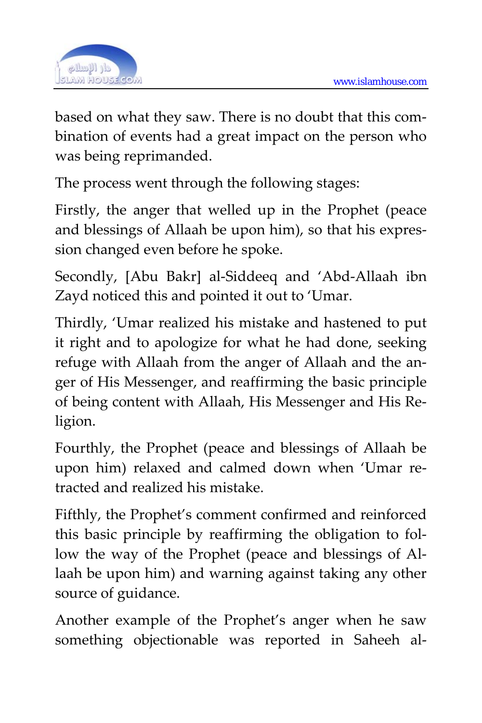

based on what they saw. There is no doubt that this com‐ bination of events had a great impact on the person who was being reprimanded.

The process went through the following stages:

Firstly, the anger that welled up in the Prophet (peace and blessings of Allaah be upon him), so that his expres‐ sion changed even before he spoke.

Secondly, [Abu Bakr] al‐Siddeeq and 'Abd‐Allaah ibn Zayd noticed this and pointed it out to 'Umar.

Thirdly, 'Umar realized his mistake and hastened to put it right and to apologize for what he had done, seeking refuge with Allaah from the anger of Allaah and the an‐ ger of His Messenger, and reaffirming the basic principle of being content with Allaah, His Messenger and His Re‐ ligion.

Fourthly, the Prophet (peace and blessings of Allaah be upon him) relaxed and calmed down when 'Umar re‐ tracted and realized his mistake.

Fifthly, the Prophet's comment confirmed and reinforced this basic principle by reaffirming the obligation to fol‐ low the way of the Prophet (peace and blessings of Al‐ laah be upon him) and warning against taking any other source of guidance.

Another example of the Prophet's anger when he saw something objectionable was reported in Saheeh al-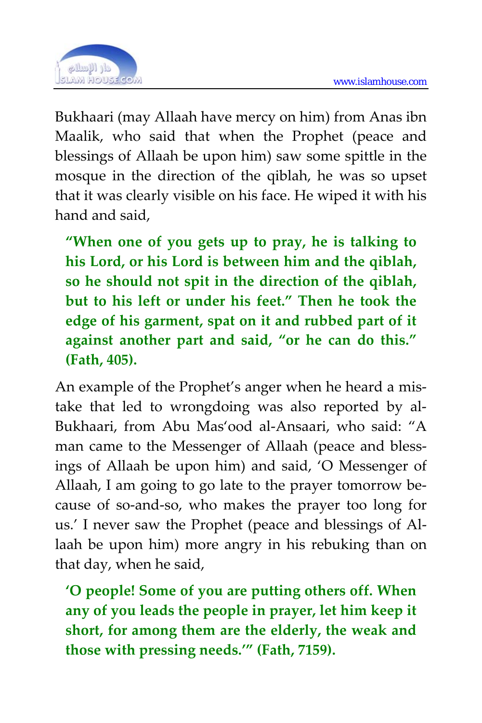

Bukhaari (may Allaah have mercy on him) from Anas ibn Maalik, who said that when the Prophet (peace and blessings of Allaah be upon him) saw some spittle in the mosque in the direction of the qiblah, he was so upset that it was clearly visible on his face. He wiped it with his hand and said,

**"When one of you gets up to pray, he is talking to his Lord, or his Lord is between him and the qiblah, so he should not spit in the direction of the qiblah, but to his left or under his feet." Then he took the edge of his garment, spat on it and rubbed part of it against another part and said, "or he can do this." (Fath, 405).**

An example of the Prophet's anger when he heard a mistake that led to wrongdoing was also reported by al‐ Bukhaari, from Abu Mas'ood al‐Ansaari, who said: "A man came to the Messenger of Allaah (peace and blessings of Allaah be upon him) and said, 'O Messenger of Allaah, I am going to go late to the prayer tomorrow be‐ cause of so‐and‐so, who makes the prayer too long for us.' I never saw the Prophet (peace and blessings of Al‐ laah be upon him) more angry in his rebuking than on that day, when he said,

**'O people! Some of you are putting others off. When any of you leads the people in prayer, let him keep it short, for among them are the elderly, the weak and those with pressing needs.'" (Fath, 7159).**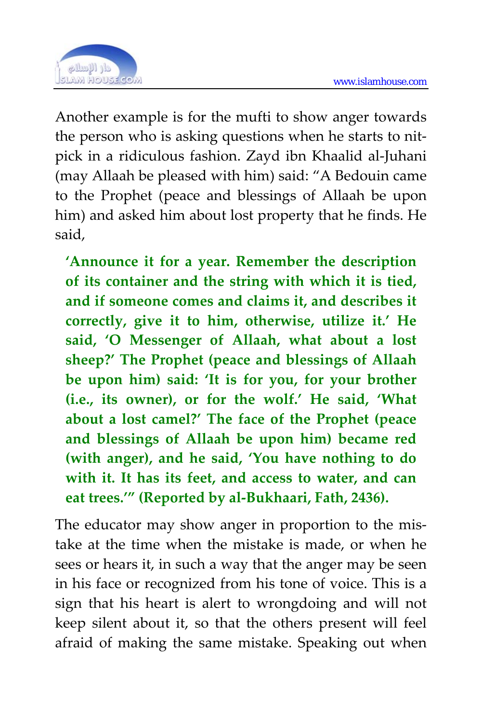

Another example is for the mufti to show anger towards the person who is asking questions when he starts to nit‐ pick in a ridiculous fashion. Zayd ibn Khaalid al‐Juhani (may Allaah be pleased with him) said: "A Bedouin came to the Prophet (peace and blessings of Allaah be upon him) and asked him about lost property that he finds. He said,

**'Announce it for a year. Remember the description of its container and the string with which it is tied, and if someone comes and claims it, and describes it correctly, give it to him, otherwise, utilize it.' He said, 'O Messenger of Allaah, what about a lost sheep?' The Prophet (peace and blessings of Allaah be upon him) said: 'It is for you, for your brother (i.e., its owner), or for the wolf.' He said, 'What about a lost camel?' The face of the Prophet (peace and blessings of Allaah be upon him) became red (with anger), and he said, 'You have nothing to do with it. It has its feet, and access to water, and can eat trees.'" (Reported by al‐Bukhaari, Fath, 2436).**

The educator may show anger in proportion to the mis‐ take at the time when the mistake is made, or when he sees or hears it, in such a way that the anger may be seen in his face or recognized from his tone of voice. This is a sign that his heart is alert to wrongdoing and will not keep silent about it, so that the others present will feel afraid of making the same mistake. Speaking out when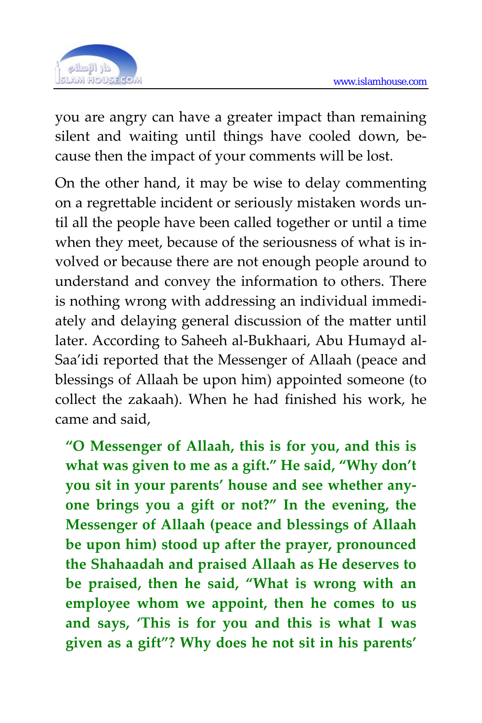

you are angry can have a greater impact than remaining silent and waiting until things have cooled down, because then the impact of your comments will be lost.

On the other hand, it may be wise to delay commenting on a regrettable incident or seriously mistaken words un‐ til all the people have been called together or until a time when they meet, because of the seriousness of what is involved or because there are not enough people around to understand and convey the information to others. There is nothing wrong with addressing an individual immedi‐ ately and delaying general discussion of the matter until later. According to Saheeh al‐Bukhaari, Abu Humayd al‐ Saa'idi reported that the Messenger of Allaah (peace and blessings of Allaah be upon him) appointed someone (to collect the zakaah). When he had finished his work, he came and said,

**"O Messenger of Allaah, this is for you, and this is what was given to me as a gift." He said, "Why don't you sit in your parents' house and see whether any‐ one brings you a gift or not?" In the evening, the Messenger of Allaah (peace and blessings of Allaah be upon him) stood up after the prayer, pronounced the Shahaadah and praised Allaah as He deserves to be praised, then he said, "What is wrong with an employee whom we appoint, then he comes to us and says, 'This is for you and this is what I was given as a gift"? Why does he not sit in his parents'**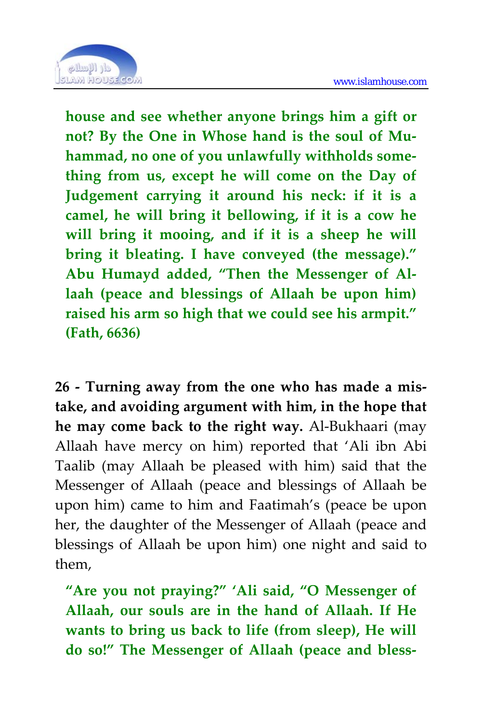

**house and see whether anyone brings him a gift or not? By the One in Whose hand is the soul of Mu‐ hammad, no one of you unlawfully withholds some‐ thing from us, except he will come on the Day of Judgement carrying it around his neck: if it is a camel, he will bring it bellowing, if it is a cow he will bring it mooing, and if it is a sheep he will bring it bleating. I have conveyed (the message)." Abu Humayd added, "Then the Messenger of Al‐ laah (peace and blessings of Allaah be upon him) raised his arm so high that we could see his armpit." (Fath, 6636)**

**26 ‐ Turning away from the one who has made a mis‐ take, and avoiding argument with him, in the hope that he may come back to the right way.** Al‐Bukhaari (may Allaah have mercy on him) reported that 'Ali ibn Abi Taalib (may Allaah be pleased with him) said that the Messenger of Allaah (peace and blessings of Allaah be upon him) came to him and Faatimah's (peace be upon her, the daughter of the Messenger of Allaah (peace and blessings of Allaah be upon him) one night and said to them,

**"Are you not praying?" 'Ali said, "O Messenger of Allaah, our souls are in the hand of Allaah. If He wants to bring us back to life (from sleep), He will do so!" The Messenger of Allaah (peace and bless‐**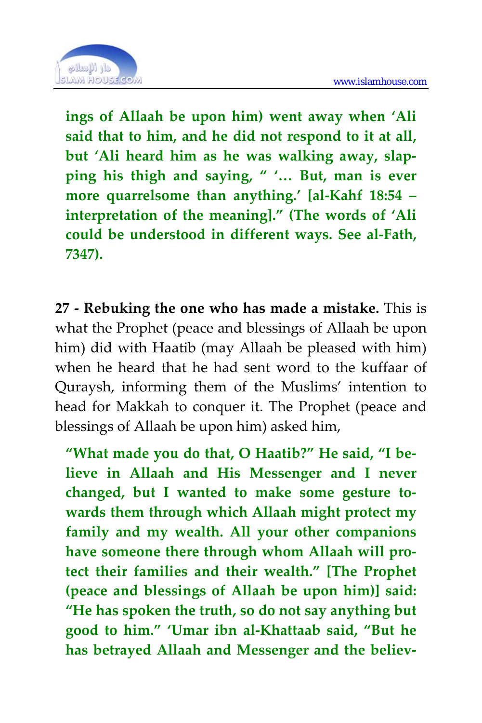

**ings of Allaah be upon him) went away when 'Ali said that to him, and he did not respond to it at all, but 'Ali heard him as he was walking away, slap‐ ping his thigh and saying, " '… But, man is ever more quarrelsome than anything.' [al‐Kahf 18:54 – interpretation of the meaning]." (The words of 'Ali could be understood in different ways. See al‐Fath, 7347).**

**27 ‐ Rebuking the one who has made a mistake.** This is what the Prophet (peace and blessings of Allaah be upon him) did with Haatib (may Allaah be pleased with him) when he heard that he had sent word to the kuffaar of Quraysh, informing them of the Muslims' intention to head for Makkah to conquer it. The Prophet (peace and blessings of Allaah be upon him) asked him,

**"What made you do that, O Haatib?" He said, "I be‐ lieve in Allaah and His Messenger and I never changed, but I wanted to make some gesture to‐ wards them through which Allaah might protect my family and my wealth. All your other companions have someone there through whom Allaah will pro‐ tect their families and their wealth." [The Prophet (peace and blessings of Allaah be upon him)] said: "He has spoken the truth, so do not say anything but good to him." 'Umar ibn al‐Khattaab said, "But he has betrayed Allaah and Messenger and the believ‐**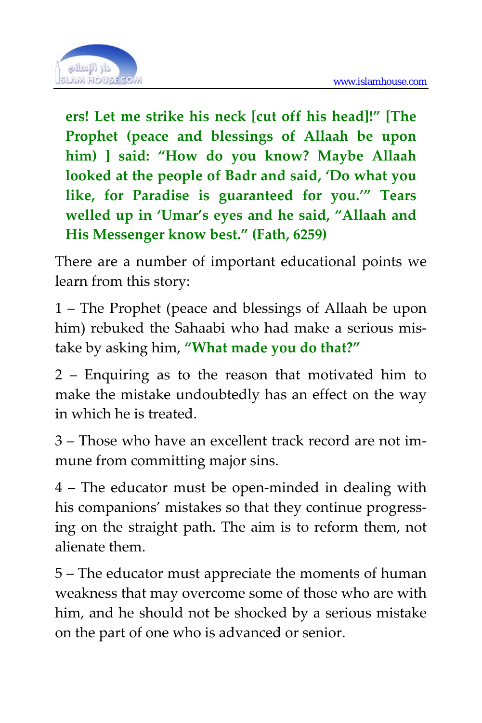

**ers! Let me strike his neck [cut off his head]!" [The Prophet (peace and blessings of Allaah be upon him) ] said: "How do you know? Maybe Allaah looked at the people of Badr and said, 'Do what you like, for Paradise is guaranteed for you.'" Tears welled up in 'Umar's eyes and he said, "Allaah and His Messenger know best." (Fath, 6259)**

There are a number of important educational points we learn from this story:

1 – The Prophet (peace and blessings of Allaah be upon him) rebuked the Sahaabi who had make a serious mistake by asking him, **"What made you do that?"**

2 – Enquiring as to the reason that motivated him to make the mistake undoubtedly has an effect on the way in which he is treated.

3 – Those who have an excellent track record are not im‐ mune from committing major sins.

4 – The educator must be open‐minded in dealing with his companions' mistakes so that they continue progressing on the straight path. The aim is to reform them, not alienate them.

5 – The educator must appreciate the moments of human weakness that may overcome some of those who are with him, and he should not be shocked by a serious mistake on the part of one who is advanced or senior.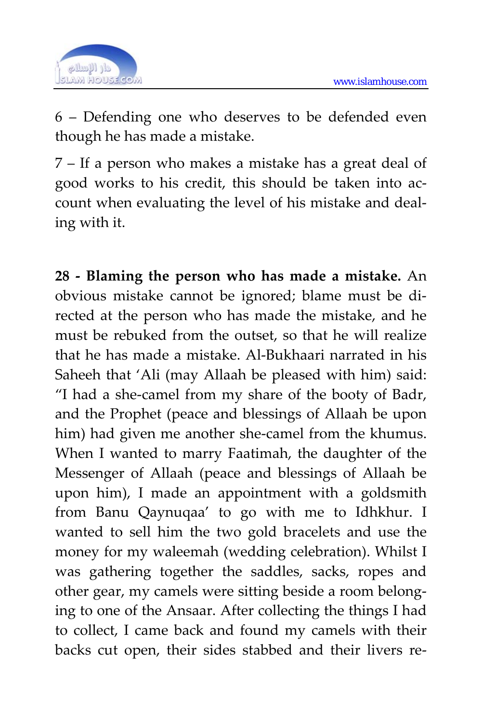

6 – Defending one who deserves to be defended even though he has made a mistake.

7 – If a person who makes a mistake has a great deal of good works to his credit, this should be taken into ac‐ count when evaluating the level of his mistake and deal‐ ing with it.

**28 ‐ Blaming the person who has made a mistake.** An obvious mistake cannot be ignored; blame must be di‐ rected at the person who has made the mistake, and he must be rebuked from the outset, so that he will realize that he has made a mistake. Al‐Bukhaari narrated in his Saheeh that 'Ali (may Allaah be pleased with him) said: "I had a she‐camel from my share of the booty of Badr, and the Prophet (peace and blessings of Allaah be upon him) had given me another she-camel from the khumus. When I wanted to marry Faatimah, the daughter of the Messenger of Allaah (peace and blessings of Allaah be upon him), I made an appointment with a goldsmith from Banu Qaynuqaa' to go with me to Idhkhur. I wanted to sell him the two gold bracelets and use the money for my waleemah (wedding celebration). Whilst I was gathering together the saddles, sacks, ropes and other gear, my camels were sitting beside a room belong‐ ing to one of the Ansaar. After collecting the things I had to collect, I came back and found my camels with their backs cut open, their sides stabbed and their livers re‐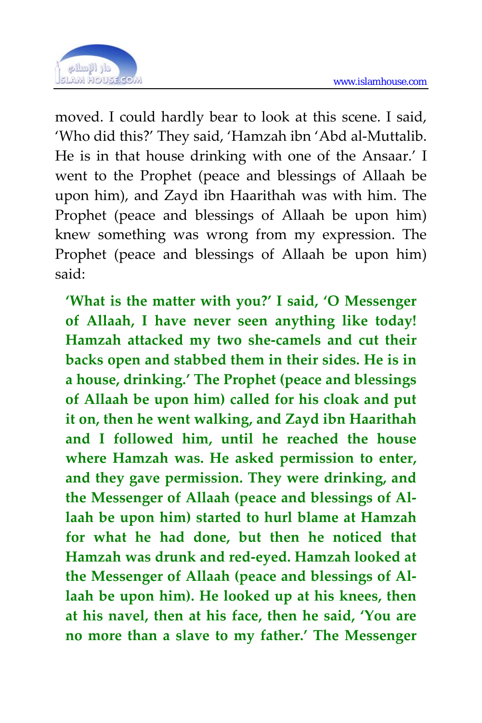

moved. I could hardly bear to look at this scene. I said, 'Who did this?' They said, 'Hamzah ibn 'Abd al‐Muttalib. He is in that house drinking with one of the Ansaar.' I went to the Prophet (peace and blessings of Allaah be upon him), and Zayd ibn Haarithah was with him. The Prophet (peace and blessings of Allaah be upon him) knew something was wrong from my expression. The Prophet (peace and blessings of Allaah be upon him) said:

**'What is the matter with you?' I said, 'O Messenger of Allaah, I have never seen anything like today! Hamzah attacked my two she‐camels and cut their backs open and stabbed them in their sides. He is in a house, drinking.' The Prophet (peace and blessings of Allaah be upon him) called for his cloak and put it on, then he went walking, and Zayd ibn Haarithah and I followed him, until he reached the house where Hamzah was. He asked permission to enter, and they gave permission. They were drinking, and the Messenger of Allaah (peace and blessings of Al‐ laah be upon him) started to hurl blame at Hamzah for what he had done, but then he noticed that Hamzah was drunk and red‐eyed. Hamzah looked at the Messenger of Allaah (peace and blessings of Al‐ laah be upon him). He looked up at his knees, then at his navel, then at his face, then he said, 'You are no more than a slave to my father.' The Messenger**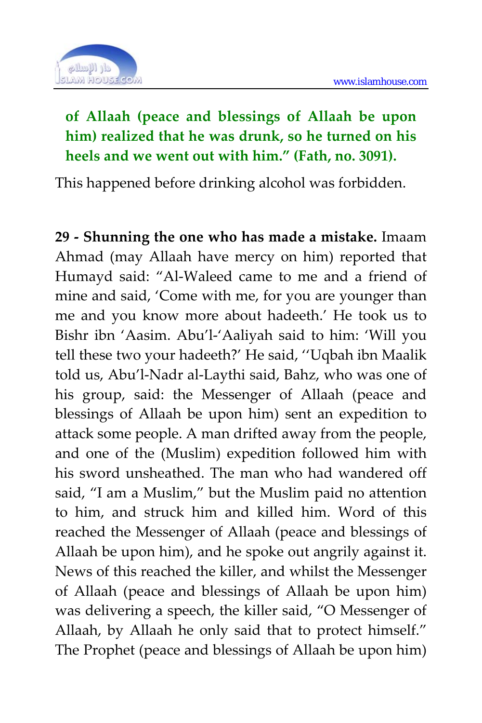

# **of Allaah (peace and blessings of Allaah be upon him) realized that he was drunk, so he turned on his heels and we went out with him." (Fath, no. 3091).**

This happened before drinking alcohol was forbidden.

**29 ‐ Shunning the one who has made a mistake.** Imaam Ahmad (may Allaah have mercy on him) reported that Humayd said: "Al‐Waleed came to me and a friend of mine and said, 'Come with me, for you are younger than me and you know more about hadeeth.' He took us to Bishr ibn 'Aasim. Abu'l‐'Aaliyah said to him: 'Will you tell these two your hadeeth?' He said, ''Uqbah ibn Maalik told us, Abu'l‐Nadr al‐Laythi said, Bahz, who was one of his group, said: the Messenger of Allaah (peace and blessings of Allaah be upon him) sent an expedition to attack some people. A man drifted away from the people, and one of the (Muslim) expedition followed him with his sword unsheathed. The man who had wandered off said, "I am a Muslim," but the Muslim paid no attention to him, and struck him and killed him. Word of this reached the Messenger of Allaah (peace and blessings of Allaah be upon him), and he spoke out angrily against it. News of this reached the killer, and whilst the Messenger of Allaah (peace and blessings of Allaah be upon him) was delivering a speech, the killer said, "O Messenger of Allaah, by Allaah he only said that to protect himself." The Prophet (peace and blessings of Allaah be upon him)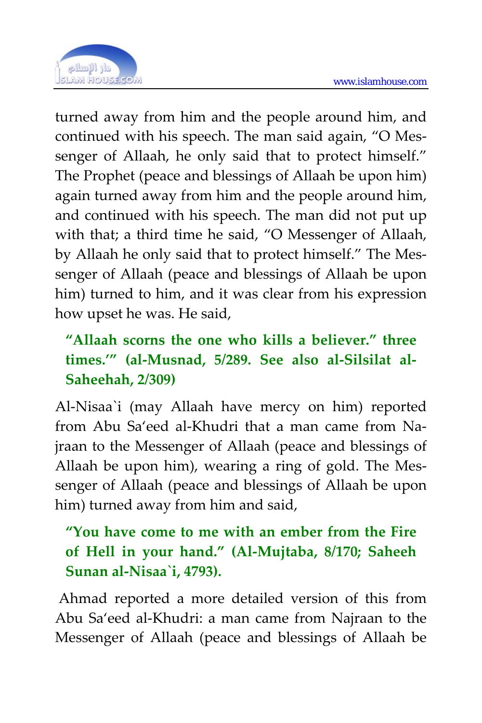

turned away from him and the people around him, and continued with his speech. The man said again, "O Mes‐ senger of Allaah, he only said that to protect himself." The Prophet (peace and blessings of Allaah be upon him) again turned away from him and the people around him, and continued with his speech. The man did not put up with that; a third time he said, "O Messenger of Allaah, by Allaah he only said that to protect himself." The Mes‐ senger of Allaah (peace and blessings of Allaah be upon him) turned to him, and it was clear from his expression how upset he was. He said,

# **"Allaah scorns the one who kills a believer." three times.'" (al‐Musnad, 5/289. See also al‐Silsilat al‐ Saheehah, 2/309)**

Al‐Nisaa`i (may Allaah have mercy on him) reported from Abu Sa'eed al‐Khudri that a man came from Na‐ jraan to the Messenger of Allaah (peace and blessings of Allaah be upon him), wearing a ring of gold. The Mes‐ senger of Allaah (peace and blessings of Allaah be upon him) turned away from him and said,

# **"You have come to me with an ember from the Fire of Hell in your hand." (Al‐Mujtaba, 8/170; Saheeh Sunan al‐Nisaa`i, 4793).**

Ahmad reported a more detailed version of this from Abu Sa'eed al‐Khudri: a man came from Najraan to the Messenger of Allaah (peace and blessings of Allaah be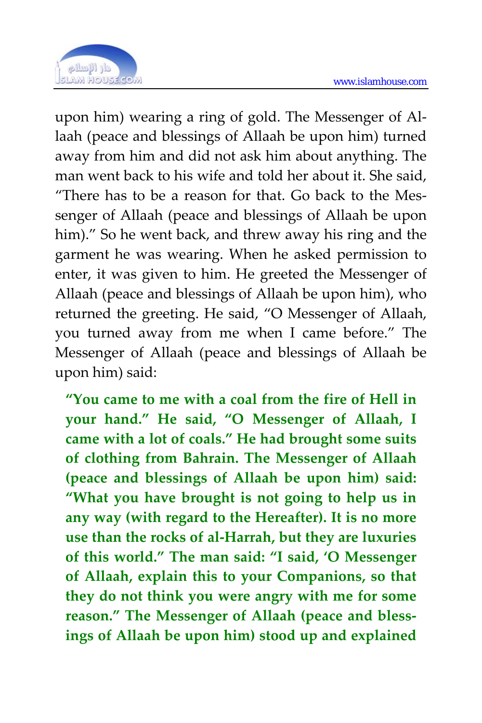

upon him) wearing a ring of gold. The Messenger of Al‐ laah (peace and blessings of Allaah be upon him) turned away from him and did not ask him about anything. The man went back to his wife and told her about it. She said, "There has to be a reason for that. Go back to the Mes‐ senger of Allaah (peace and blessings of Allaah be upon him)." So he went back, and threw away his ring and the garment he was wearing. When he asked permission to enter, it was given to him. He greeted the Messenger of Allaah (peace and blessings of Allaah be upon him), who returned the greeting. He said, "O Messenger of Allaah, you turned away from me when I came before." The Messenger of Allaah (peace and blessings of Allaah be upon him) said:

**"You came to me with a coal from the fire of Hell in your hand." He said, "O Messenger of Allaah, I came with a lot of coals." He had brought some suits of clothing from Bahrain. The Messenger of Allaah (peace and blessings of Allaah be upon him) said: "What you have brought is not going to help us in any way (with regard to the Hereafter). It is no more use than the rocks of al‐Harrah, but they are luxuries of this world." The man said: "I said, 'O Messenger of Allaah, explain this to your Companions, so that they do not think you were angry with me for some reason." The Messenger of Allaah (peace and bless‐ ings of Allaah be upon him) stood up and explained**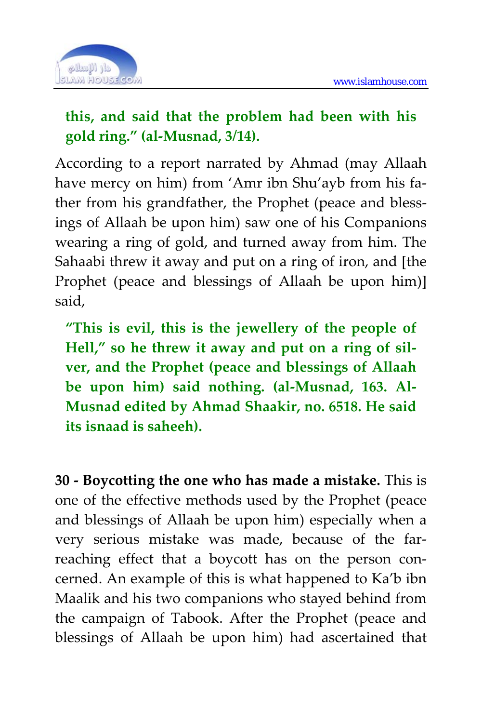

#### **this, and said that the problem had been with his gold ring." (al‐Musnad, 3/14).**

According to a report narrated by Ahmad (may Allaah have mercy on him) from 'Amr ibn Shu'ayb from his father from his grandfather, the Prophet (peace and bless‐ ings of Allaah be upon him) saw one of his Companions wearing a ring of gold, and turned away from him. The Sahaabi threw it away and put on a ring of iron, and [the Prophet (peace and blessings of Allaah be upon him)] said,

**"This is evil, this is the jewellery of the people of Hell," so he threw it away and put on a ring of sil‐ ver, and the Prophet (peace and blessings of Allaah be upon him) said nothing. (al‐Musnad, 163. Al‐ Musnad edited by Ahmad Shaakir, no. 6518. He said its isnaad is saheeh).**

**30 ‐ Boycotting the one who has made a mistake.** This is one of the effective methods used by the Prophet (peace and blessings of Allaah be upon him) especially when a very serious mistake was made, because of the farreaching effect that a boycott has on the person concerned. An example of this is what happened to Ka'b ibn Maalik and his two companions who stayed behind from the campaign of Tabook. After the Prophet (peace and blessings of Allaah be upon him) had ascertained that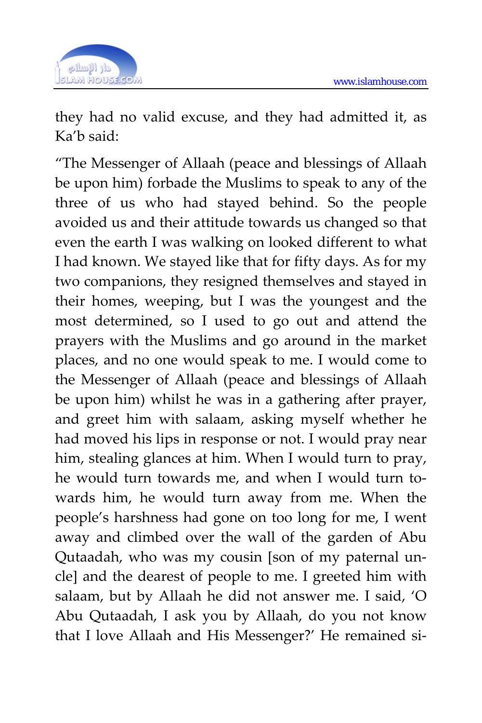

they had no valid excuse, and they had admitted it, as Ka'b said:

"The Messenger of Allaah (peace and blessings of Allaah be upon him) forbade the Muslims to speak to any of the three of us who had stayed behind. So the people avoided us and their attitude towards us changed so that even the earth I was walking on looked different to what I had known. We stayed like that for fifty days. As for my two companions, they resigned themselves and stayed in their homes, weeping, but I was the youngest and the most determined, so I used to go out and attend the prayers with the Muslims and go around in the market places, and no one would speak to me. I would come to the Messenger of Allaah (peace and blessings of Allaah be upon him) whilst he was in a gathering after prayer, and greet him with salaam, asking myself whether he had moved his lips in response or not. I would pray near him, stealing glances at him. When I would turn to pray, he would turn towards me, and when I would turn towards him, he would turn away from me. When the people's harshness had gone on too long for me, I went away and climbed over the wall of the garden of Abu Qutaadah, who was my cousin [son of my paternal un‐ cle] and the dearest of people to me. I greeted him with salaam, but by Allaah he did not answer me. I said, 'O Abu Qutaadah, I ask you by Allaah, do you not know that I love Allaah and His Messenger?' He remained si-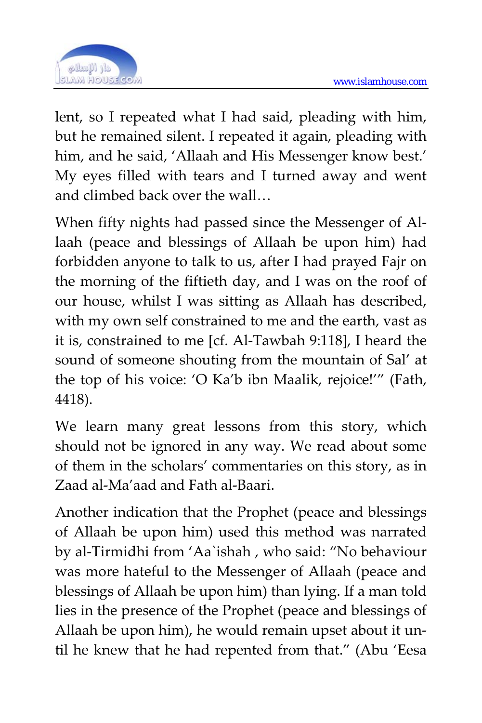

lent, so I repeated what I had said, pleading with him, but he remained silent. I repeated it again, pleading with him, and he said, 'Allaah and His Messenger know best.' My eyes filled with tears and I turned away and went and climbed back over the wall…

When fifty nights had passed since the Messenger of Al‐ laah (peace and blessings of Allaah be upon him) had forbidden anyone to talk to us, after I had prayed Fajr on the morning of the fiftieth day, and I was on the roof of our house, whilst I was sitting as Allaah has described, with my own self constrained to me and the earth, vast as it is, constrained to me [cf. Al‐Tawbah 9:118], I heard the sound of someone shouting from the mountain of Sal' at the top of his voice: 'O Ka'b ibn Maalik, rejoice!'" (Fath, 4418).

We learn many great lessons from this story, which should not be ignored in any way. We read about some of them in the scholars' commentaries on this story, as in Zaad al‐Ma'aad and Fath al‐Baari.

Another indication that the Prophet (peace and blessings of Allaah be upon him) used this method was narrated by al‐Tirmidhi from 'Aa`ishah , who said: "No behaviour was more hateful to the Messenger of Allaah (peace and blessings of Allaah be upon him) than lying. If a man told lies in the presence of the Prophet (peace and blessings of Allaah be upon him), he would remain upset about it un‐ til he knew that he had repented from that." (Abu 'Eesa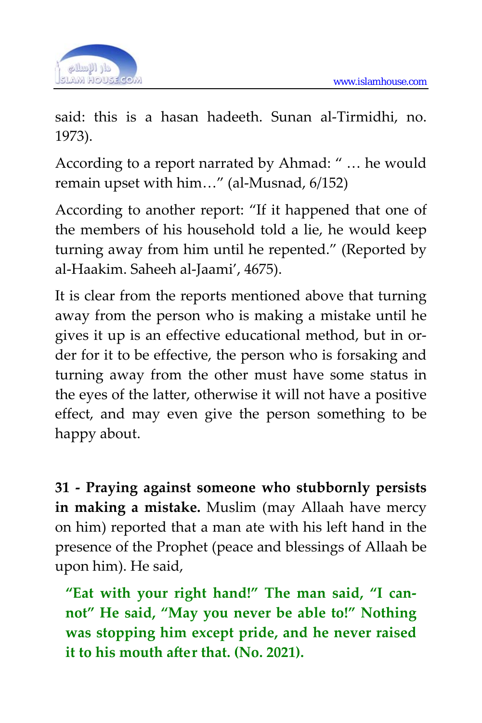

said: this is a hasan hadeeth. Sunan al-Tirmidhi, no. 1973).

According to a report narrated by Ahmad: " … he would remain upset with him…" (al‐Musnad, 6/152)

According to another report: "If it happened that one of the members of his household told a lie, he would keep turning away from him until he repented." (Reported by al‐Haakim. Saheeh al‐Jaami', 4675).

It is clear from the reports mentioned above that turning away from the person who is making a mistake until he gives it up is an effective educational method, but in or‐ der for it to be effective, the person who is forsaking and turning away from the other must have some status in the eyes of the latter, otherwise it will not have a positive effect, and may even give the person something to be happy about.

**31 ‐ Praying against someone who stubbornly persists in making a mistake.** Muslim (may Allaah have mercy on him) reported that a man ate with his left hand in the presence of the Prophet (peace and blessings of Allaah be upon him). He said,

**"Eat with your right hand!" The man said, "I can‐ not" He said, "May you never be able to!" Nothing was stopping him except pride, and he never raised it to his mouth after that. (No. 2021).**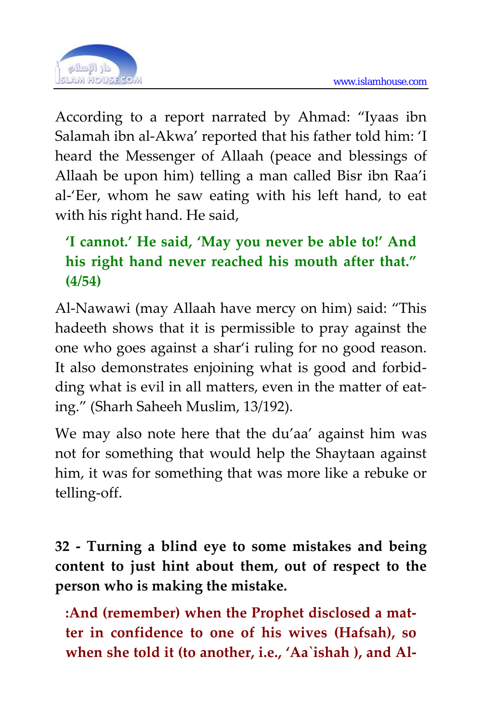

According to a report narrated by Ahmad: "Iyaas ibn Salamah ibn al‐Akwa' reported that his father told him: 'I heard the Messenger of Allaah (peace and blessings of Allaah be upon him) telling a man called Bisr ibn Raa'i al‐'Eer, whom he saw eating with his left hand, to eat with his right hand. He said,

# **'I cannot.' He said, 'May you never be able to!' And his right hand never reached his mouth after that." (4/54)**

Al‐Nawawi (may Allaah have mercy on him) said: "This hadeeth shows that it is permissible to pray against the one who goes against a shar'i ruling for no good reason. It also demonstrates enjoining what is good and forbid‐ ding what is evil in all matters, even in the matter of eating." (Sharh Saheeh Muslim, 13/192).

We may also note here that the du'aa' against him was not for something that would help the Shaytaan against him, it was for something that was more like a rebuke or telling‐off.

**32 ‐ Turning a blind eye to some mistakes and being content to just hint about them, out of respect to the person who is making the mistake.**

**:And (remember) when the Prophet disclosed a mat‐ ter in confidence to one of his wives (Hafsah), so when she told it (to another, i.e., 'Aa`ishah ), and Al‐**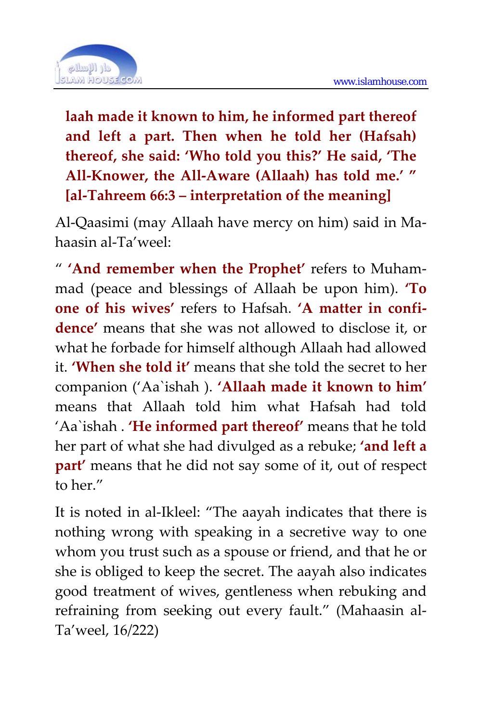

**laah made it known to him, he informed part thereof and left a part. Then when he told her (Hafsah) thereof, she said: 'Who told you this?' He said, 'The All‐Knower, the All‐Aware (Allaah) has told me.' " [al‐Tahreem 66:3 – interpretation of the meaning]**

Al‐Qaasimi (may Allaah have mercy on him) said in Ma‐ haasin al‐Ta'weel:

" **'And remember when the Prophet'** refers to Muham‐ mad (peace and blessings of Allaah be upon him). **'To one of his wives'** refers to Hafsah. **'A matter in confi‐ dence'** means that she was not allowed to disclose it, or what he forbade for himself although Allaah had allowed it. **'When she told it'** means that she told the secret to her companion ('Aa`ishah ). **'Allaah made it known to him'** means that Allaah told him what Hafsah had told 'Aa`ishah . **'He informed part thereof'** means that he told her part of what she had divulged as a rebuke; **'and left a part'** means that he did not say some of it, out of respect to her."

It is noted in al‐Ikleel: "The aayah indicates that there is nothing wrong with speaking in a secretive way to one whom you trust such as a spouse or friend, and that he or she is obliged to keep the secret. The aayah also indicates good treatment of wives, gentleness when rebuking and refraining from seeking out every fault." (Mahaasin al‐ Ta'weel, 16/222)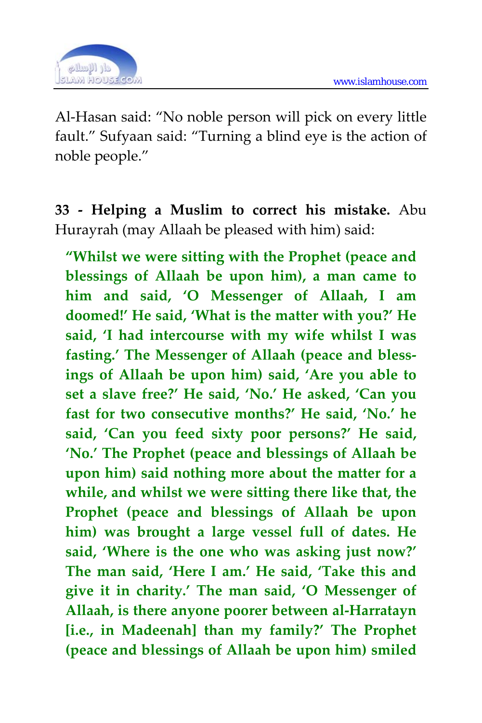

Al‐Hasan said: "No noble person will pick on every little fault." Sufyaan said: "Turning a blind eye is the action of noble people."

**33 ‐ Helping a Muslim to correct his mistake.** Abu Hurayrah (may Allaah be pleased with him) said:

**"Whilst we were sitting with the Prophet (peace and blessings of Allaah be upon him), a man came to him and said, 'O Messenger of Allaah, I am doomed!' He said, 'What is the matter with you?' He said, 'I had intercourse with my wife whilst I was fasting.' The Messenger of Allaah (peace and bless‐ ings of Allaah be upon him) said, 'Are you able to set a slave free?' He said, 'No.' He asked, 'Can you fast for two consecutive months?' He said, 'No.' he said, 'Can you feed sixty poor persons?' He said, 'No.' The Prophet (peace and blessings of Allaah be upon him) said nothing more about the matter for a while, and whilst we were sitting there like that, the Prophet (peace and blessings of Allaah be upon him) was brought a large vessel full of dates. He said, 'Where is the one who was asking just now?' The man said, 'Here I am.' He said, 'Take this and give it in charity.' The man said, 'O Messenger of Allaah, is there anyone poorer between al‐Harratayn [i.e., in Madeenah] than my family?' The Prophet (peace and blessings of Allaah be upon him) smiled**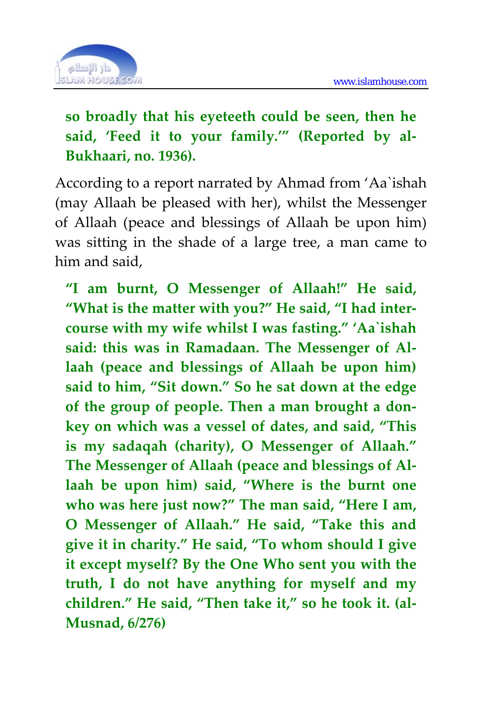

**so broadly that his eyeteeth could be seen, then he said, 'Feed it to your family.'" (Reported by al‐ Bukhaari, no. 1936).**

According to a report narrated by Ahmad from 'Aa`ishah (may Allaah be pleased with her), whilst the Messenger of Allaah (peace and blessings of Allaah be upon him) was sitting in the shade of a large tree, a man came to him and said,

**"I am burnt, O Messenger of Allaah!" He said, "What is the matter with you?" He said, "I had inter‐ course with my wife whilst I was fasting." 'Aa`ishah said: this was in Ramadaan. The Messenger of Al‐ laah (peace and blessings of Allaah be upon him) said to him, "Sit down." So he sat down at the edge of the group of people. Then a man brought a don‐ key on which was a vessel of dates, and said, "This is my sadaqah (charity), O Messenger of Allaah." The Messenger of Allaah (peace and blessings of Al‐ laah be upon him) said, "Where is the burnt one who was here just now?" The man said, "Here I am, O Messenger of Allaah." He said, "Take this and give it in charity." He said, "To whom should I give it except myself? By the One Who sent you with the truth, I do not have anything for myself and my children." He said, "Then take it," so he took it. (al‐ Musnad, 6/276)**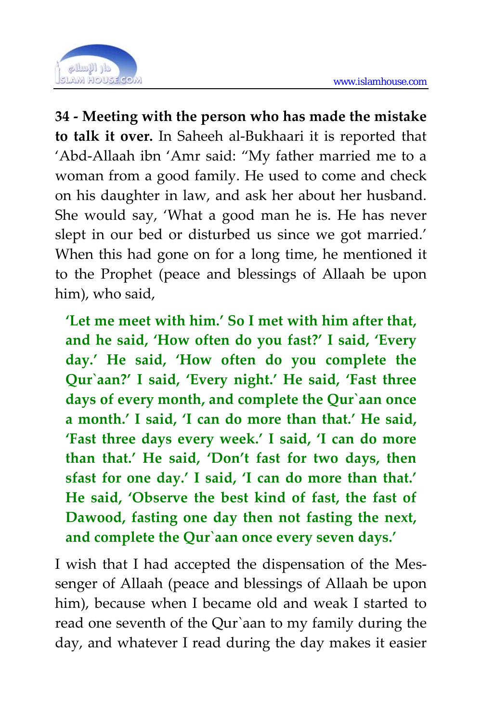

**34 ‐ Meeting with the person who has made the mistake to talk it over.** In Saheeh al‐Bukhaari it is reported that 'Abd‐Allaah ibn 'Amr said: "My father married me to a woman from a good family. He used to come and check on his daughter in law, and ask her about her husband. She would say, 'What a good man he is. He has never slept in our bed or disturbed us since we got married.' When this had gone on for a long time, he mentioned it to the Prophet (peace and blessings of Allaah be upon him), who said,

**'Let me meet with him.' So I met with him after that, and he said, 'How often do you fast?' I said, 'Every day.' He said, 'How often do you complete the Qur`aan?' I said, 'Every night.' He said, 'Fast three days of every month, and complete the Qur`aan once a month.' I said, 'I can do more than that.' He said, 'Fast three days every week.' I said, 'I can do more than that.' He said, 'Don't fast for two days, then sfast for one day.' I said, 'I can do more than that.' He said, 'Observe the best kind of fast, the fast of Dawood, fasting one day then not fasting the next, and complete the Qur`aan once every seven days.'** 

I wish that I had accepted the dispensation of the Mes‐ senger of Allaah (peace and blessings of Allaah be upon him), because when I became old and weak I started to read one seventh of the Qur`aan to my family during the day, and whatever I read during the day makes it easier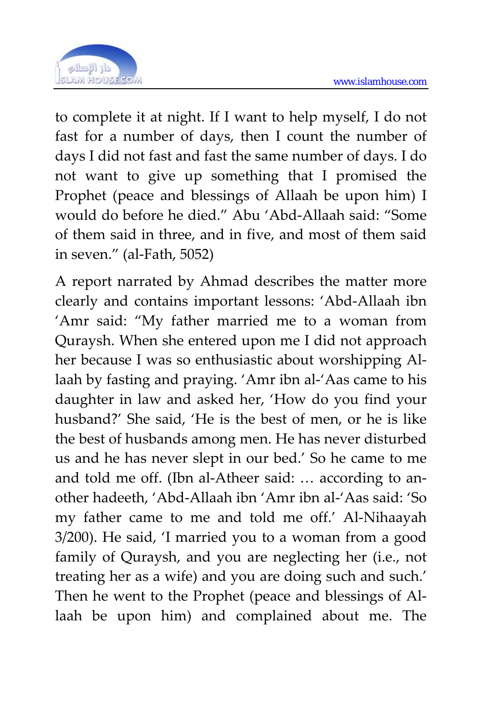

to complete it at night. If I want to help myself, I do not fast for a number of days, then I count the number of days I did not fast and fast the same number of days. I do not want to give up something that I promised the Prophet (peace and blessings of Allaah be upon him) I would do before he died." Abu 'Abd‐Allaah said: "Some of them said in three, and in five, and most of them said in seven." (al‐Fath, 5052)

A report narrated by Ahmad describes the matter more clearly and contains important lessons: 'Abd‐Allaah ibn 'Amr said: "My father married me to a woman from Quraysh. When she entered upon me I did not approach her because I was so enthusiastic about worshipping Allaah by fasting and praying. 'Amr ibn al‐'Aas came to his daughter in law and asked her, 'How do you find your husband?' She said, 'He is the best of men, or he is like the best of husbands among men. He has never disturbed us and he has never slept in our bed.' So he came to me and told me off. (Ibn al-Atheer said: ... according to another hadeeth, 'Abd‐Allaah ibn 'Amr ibn al‐'Aas said: 'So my father came to me and told me off.' Al‐Nihaayah 3/200). He said, 'I married you to a woman from a good family of Quraysh, and you are neglecting her (i.e., not treating her as a wife) and you are doing such and such.' Then he went to the Prophet (peace and blessings of Al‐ laah be upon him) and complained about me. The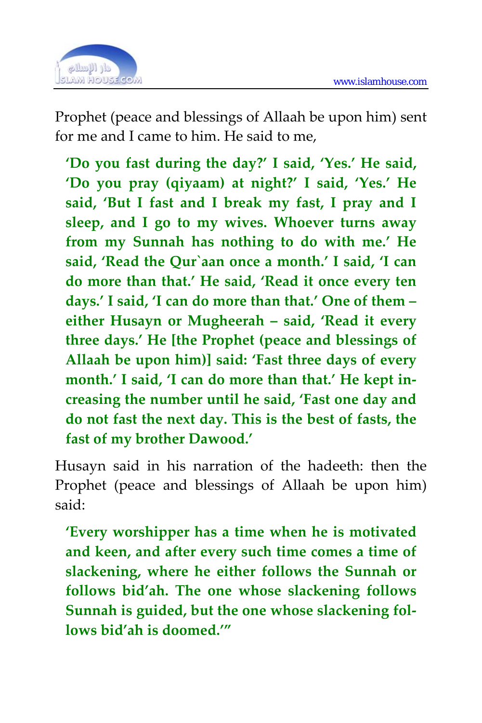

Prophet (peace and blessings of Allaah be upon him) sent for me and I came to him. He said to me,

**'Do you fast during the day?' I said, 'Yes.' He said, 'Do you pray (qiyaam) at night?' I said, 'Yes.' He said, 'But I fast and I break my fast, I pray and I sleep, and I go to my wives. Whoever turns away from my Sunnah has nothing to do with me.' He said, 'Read the Qur`aan once a month.' I said, 'I can do more than that.' He said, 'Read it once every ten days.' I said, 'I can do more than that.' One of them – either Husayn or Mugheerah – said, 'Read it every three days.' He [the Prophet (peace and blessings of Allaah be upon him)] said: 'Fast three days of every month.' I said, 'I can do more than that.' He kept in‐ creasing the number until he said, 'Fast one day and do not fast the next day. This is the best of fasts, the fast of my brother Dawood.'** 

Husayn said in his narration of the hadeeth: then the Prophet (peace and blessings of Allaah be upon him) said:

**'Every worshipper has a time when he is motivated and keen, and after every such time comes a time of slackening, where he either follows the Sunnah or follows bid'ah. The one whose slackening follows Sunnah is guided, but the one whose slackening fol‐ lows bid'ah is doomed.'"**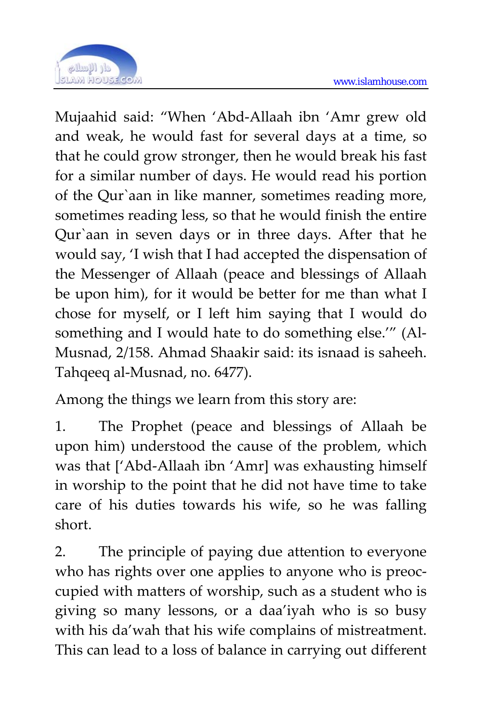

Mujaahid said: "When 'Abd‐Allaah ibn 'Amr grew old and weak, he would fast for several days at a time, so that he could grow stronger, then he would break his fast for a similar number of days. He would read his portion of the Qur`aan in like manner, sometimes reading more, sometimes reading less, so that he would finish the entire Qur`aan in seven days or in three days. After that he would say, 'I wish that I had accepted the dispensation of the Messenger of Allaah (peace and blessings of Allaah be upon him), for it would be better for me than what I chose for myself, or I left him saying that I would do something and I would hate to do something else.'" (Al-Musnad, 2/158. Ahmad Shaakir said: its isnaad is saheeh. Tahqeeq al‐Musnad, no. 6477).

Among the things we learn from this story are:

1. The Prophet (peace and blessings of Allaah be upon him) understood the cause of the problem, which was that ['Abd‐Allaah ibn 'Amr] was exhausting himself in worship to the point that he did not have time to take care of his duties towards his wife, so he was falling short.

2. The principle of paying due attention to everyone who has rights over one applies to anyone who is preoccupied with matters of worship, such as a student who is giving so many lessons, or a daa'iyah who is so busy with his da'wah that his wife complains of mistreatment. This can lead to a loss of balance in carrying out different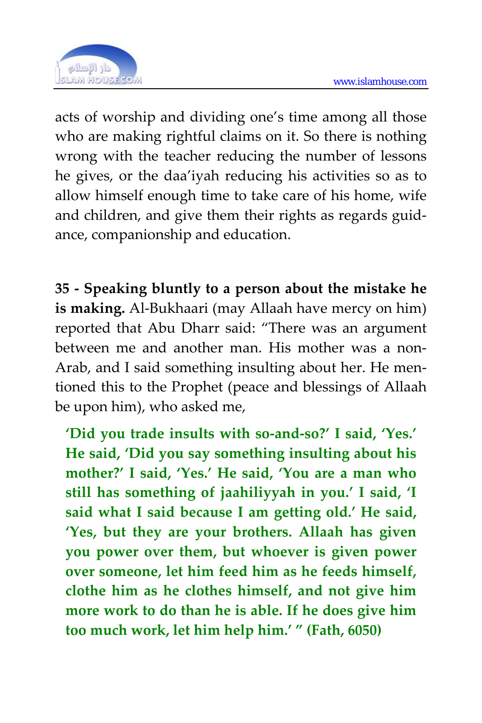

acts of worship and dividing one's time among all those who are making rightful claims on it. So there is nothing wrong with the teacher reducing the number of lessons he gives, or the daa'iyah reducing his activities so as to allow himself enough time to take care of his home, wife and children, and give them their rights as regards guid‐ ance, companionship and education.

**35 ‐ Speaking bluntly to a person about the mistake he is making.** Al‐Bukhaari (may Allaah have mercy on him) reported that Abu Dharr said: "There was an argument between me and another man. His mother was a non‐ Arab, and I said something insulting about her. He men‐ tioned this to the Prophet (peace and blessings of Allaah be upon him), who asked me,

**'Did you trade insults with so‐and‐so?' I said, 'Yes.' He said, 'Did you say something insulting about his mother?' I said, 'Yes.' He said, 'You are a man who still has something of jaahiliyyah in you.' I said, 'I said what I said because I am getting old.' He said, 'Yes, but they are your brothers. Allaah has given you power over them, but whoever is given power over someone, let him feed him as he feeds himself, clothe him as he clothes himself, and not give him more work to do than he is able. If he does give him too much work, let him help him.' " (Fath, 6050)**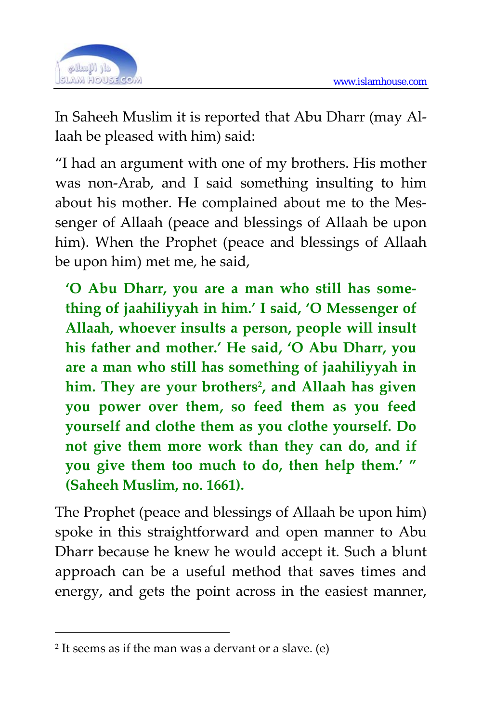

In Saheeh Muslim it is reported that Abu Dharr (may Al‐ laah be pleased with him) said:

"I had an argument with one of my brothers. His mother was non‐Arab, and I said something insulting to him about his mother. He complained about me to the Messenger of Allaah (peace and blessings of Allaah be upon him). When the Prophet (peace and blessings of Allaah be upon him) met me, he said,

**'O Abu Dharr, you are a man who still has some‐ thing of jaahiliyyah in him.' I said, 'O Messenger of Allaah, whoever insults a person, people will insult his father and mother.' He said, 'O Abu Dharr, you are a man who still has something of jaahiliyyah in him. They are your brothers2, and Allaah has given you power over them, so feed them as you feed yourself and clothe them as you clothe yourself. Do not give them more work than they can do, and if you give them too much to do, then help them.' " (Saheeh Muslim, no. 1661).**

The Prophet (peace and blessings of Allaah be upon him) spoke in this straightforward and open manner to Abu Dharr because he knew he would accept it. Such a blunt approach can be a useful method that saves times and energy, and gets the point across in the easiest manner,

1

<sup>2</sup> It seems as if the man was a dervant or a slave. (e)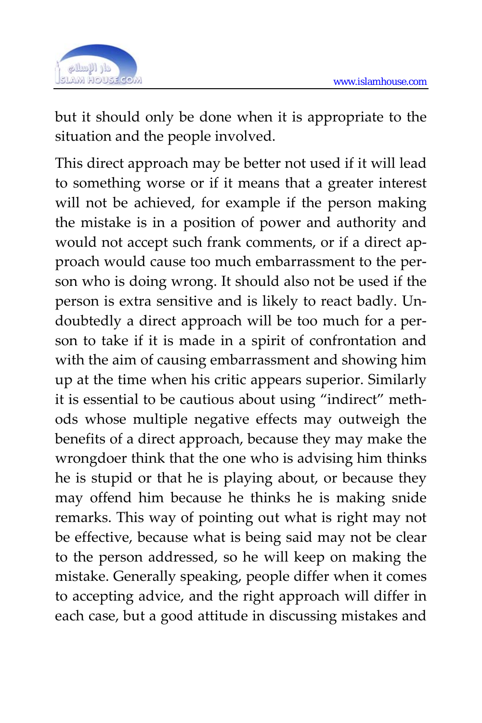

but it should only be done when it is appropriate to the situation and the people involved.

This direct approach may be better not used if it will lead to something worse or if it means that a greater interest will not be achieved, for example if the person making the mistake is in a position of power and authority and would not accept such frank comments, or if a direct approach would cause too much embarrassment to the per‐ son who is doing wrong. It should also not be used if the person is extra sensitive and is likely to react badly. Un‐ doubtedly a direct approach will be too much for a per‐ son to take if it is made in a spirit of confrontation and with the aim of causing embarrassment and showing him up at the time when his critic appears superior. Similarly it is essential to be cautious about using "indirect" meth‐ ods whose multiple negative effects may outweigh the benefits of a direct approach, because they may make the wrongdoer think that the one who is advising him thinks he is stupid or that he is playing about, or because they may offend him because he thinks he is making snide remarks. This way of pointing out what is right may not be effective, because what is being said may not be clear to the person addressed, so he will keep on making the mistake. Generally speaking, people differ when it comes to accepting advice, and the right approach will differ in each case, but a good attitude in discussing mistakes and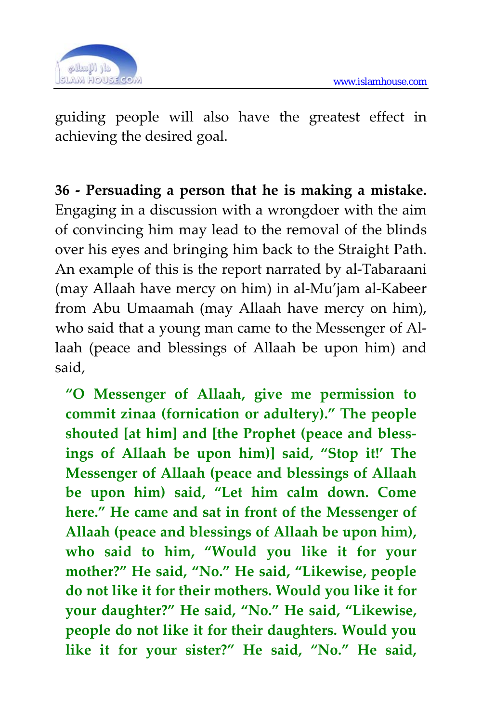

guiding people will also have the greatest effect in achieving the desired goal.

**36 ‐ Persuading a person that he is making a mistake.** Engaging in a discussion with a wrongdoer with the aim of convincing him may lead to the removal of the blinds over his eyes and bringing him back to the Straight Path. An example of this is the report narrated by al‐Tabaraani (may Allaah have mercy on him) in al‐Mu'jam al‐Kabeer from Abu Umaamah (may Allaah have mercy on him), who said that a young man came to the Messenger of Al‐ laah (peace and blessings of Allaah be upon him) and said,

**"O Messenger of Allaah, give me permission to commit zinaa (fornication or adultery)." The people shouted [at him] and [the Prophet (peace and bless‐ ings of Allaah be upon him)] said, "Stop it!' The Messenger of Allaah (peace and blessings of Allaah be upon him) said, "Let him calm down. Come here." He came and sat in front of the Messenger of Allaah (peace and blessings of Allaah be upon him), who said to him, "Would you like it for your mother?" He said, "No." He said, "Likewise, people do not like it for their mothers. Would you like it for your daughter?" He said, "No." He said, "Likewise, people do not like it for their daughters. Would you like it for your sister?" He said, "No." He said,**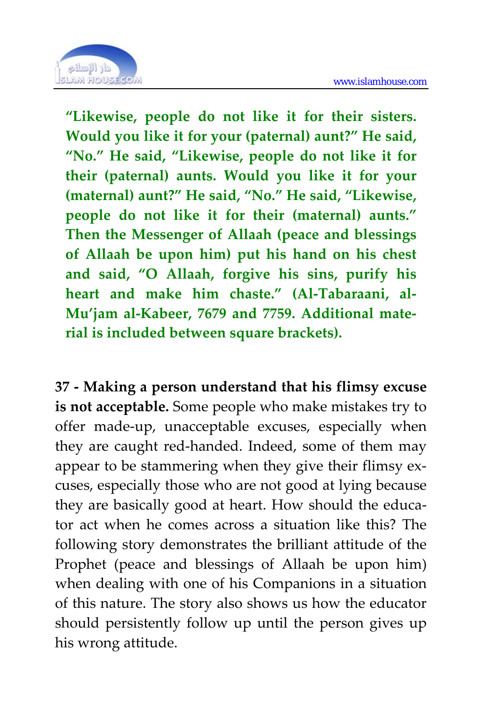

**"Likewise, people do not like it for their sisters. Would you like it for your (paternal) aunt?" He said, "No." He said, "Likewise, people do not like it for their (paternal) aunts. Would you like it for your (maternal) aunt?" He said, "No." He said, "Likewise, people do not like it for their (maternal) aunts." Then the Messenger of Allaah (peace and blessings of Allaah be upon him) put his hand on his chest and said, "O Allaah, forgive his sins, purify his heart and make him chaste." (Al‐Tabaraani, al‐ Mu'jam al‐Kabeer, 7679 and 7759. Additional mate‐ rial is included between square brackets).**

**37 ‐ Making a person understand that his flimsy excuse is not acceptable.** Some people who make mistakes try to offer made‐up, unacceptable excuses, especially when they are caught red‐handed. Indeed, some of them may appear to be stammering when they give their flimsy ex‐ cuses, especially those who are not good at lying because they are basically good at heart. How should the educa‐ tor act when he comes across a situation like this? The following story demonstrates the brilliant attitude of the Prophet (peace and blessings of Allaah be upon him) when dealing with one of his Companions in a situation of this nature. The story also shows us how the educator should persistently follow up until the person gives up his wrong attitude.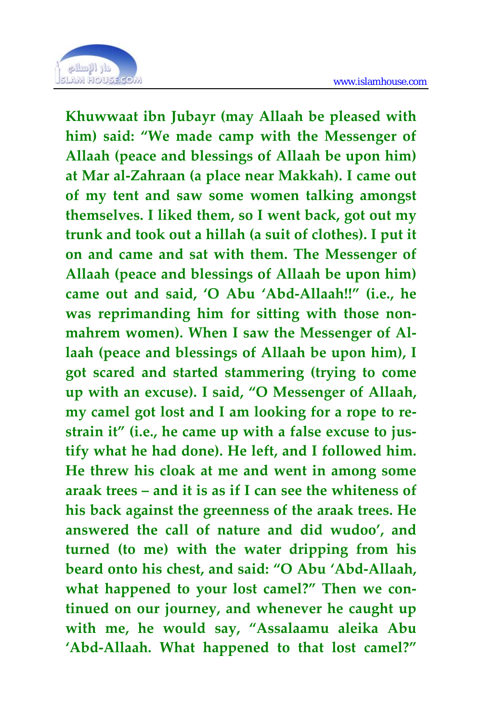

**Khuwwaat ibn Jubayr (may Allaah be pleased with him) said: "We made camp with the Messenger of Allaah (peace and blessings of Allaah be upon him) at Mar al‐Zahraan (a place near Makkah). I came out of my tent and saw some women talking amongst themselves. I liked them, so I went back, got out my trunk and took out a hillah (a suit of clothes). I put it on and came and sat with them. The Messenger of Allaah (peace and blessings of Allaah be upon him) came out and said, 'O Abu 'Abd‐Allaah!!" (i.e., he was reprimanding him for sitting with those non‐ mahrem women). When I saw the Messenger of Al‐ laah (peace and blessings of Allaah be upon him), I got scared and started stammering (trying to come up with an excuse). I said, "O Messenger of Allaah, my camel got lost and I am looking for a rope to re‐ strain it" (i.e., he came up with a false excuse to jus‐ tify what he had done). He left, and I followed him. He threw his cloak at me and went in among some araak trees – and it is as if I can see the whiteness of his back against the greenness of the araak trees. He answered the call of nature and did wudoo', and turned (to me) with the water dripping from his beard onto his chest, and said: "O Abu 'Abd‐Allaah, what happened to your lost camel?" Then we con‐ tinued on our journey, and whenever he caught up with me, he would say, "Assalaamu aleika Abu 'Abd‐Allaah. What happened to that lost camel?"**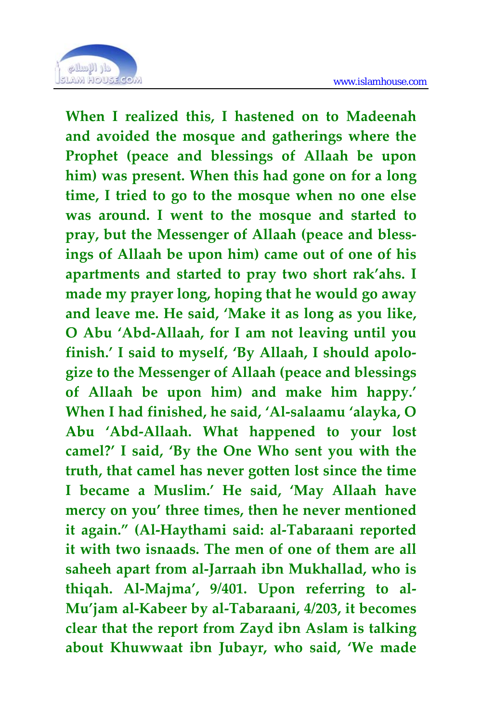

**When I realized this, I hastened on to Madeenah and avoided the mosque and gatherings where the Prophet (peace and blessings of Allaah be upon him) was present. When this had gone on for a long time, I tried to go to the mosque when no one else was around. I went to the mosque and started to pray, but the Messenger of Allaah (peace and bless‐ ings of Allaah be upon him) came out of one of his apartments and started to pray two short rak'ahs. I made my prayer long, hoping that he would go away and leave me. He said, 'Make it as long as you like, O Abu 'Abd‐Allaah, for I am not leaving until you finish.' I said to myself, 'By Allaah, I should apolo‐ gize to the Messenger of Allaah (peace and blessings of Allaah be upon him) and make him happy.' When I had finished, he said, 'Al‐salaamu 'alayka, O Abu 'Abd‐Allaah. What happened to your lost camel?' I said, 'By the One Who sent you with the truth, that camel has never gotten lost since the time I became a Muslim.' He said, 'May Allaah have mercy on you' three times, then he never mentioned it again." (Al‐Haythami said: al‐Tabaraani reported it with two isnaads. The men of one of them are all saheeh apart from al‐Jarraah ibn Mukhallad, who is thiqah. Al‐Majma', 9/401. Upon referring to al‐ Mu'jam al‐Kabeer by al‐Tabaraani, 4/203, it becomes clear that the report from Zayd ibn Aslam is talking about Khuwwaat ibn Jubayr, who said, 'We made**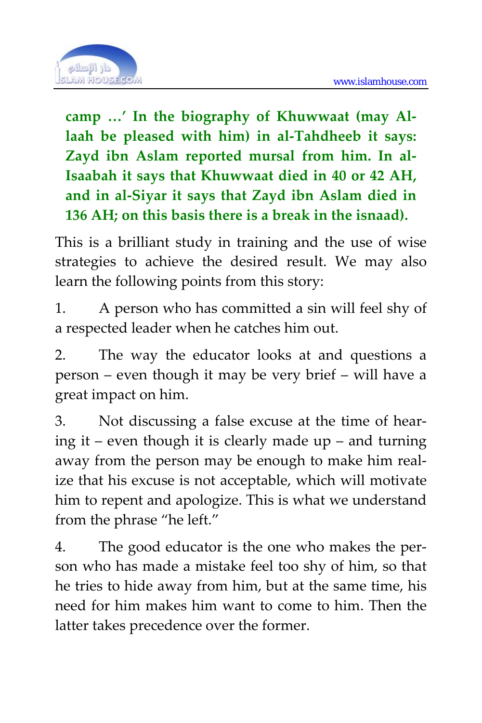

**camp …' In the biography of Khuwwaat (may Al‐ laah be pleased with him) in al‐Tahdheeb it says: Zayd ibn Aslam reported mursal from him. In al‐ Isaabah it says that Khuwwaat died in 40 or 42 AH, and in al‐Siyar it says that Zayd ibn Aslam died in 136 AH; on this basis there is a break in the isnaad).**

This is a brilliant study in training and the use of wise strategies to achieve the desired result. We may also learn the following points from this story:

1. A person who has committed a sin will feel shy of a respected leader when he catches him out.

2. The way the educator looks at and questions a person – even though it may be very brief – will have a great impact on him.

3. Not discussing a false excuse at the time of hear‐ ing it – even though it is clearly made up – and turning away from the person may be enough to make him real‐ ize that his excuse is not acceptable, which will motivate him to repent and apologize. This is what we understand from the phrase "he left."

4. The good educator is the one who makes the per‐ son who has made a mistake feel too shy of him, so that he tries to hide away from him, but at the same time, his need for him makes him want to come to him. Then the latter takes precedence over the former.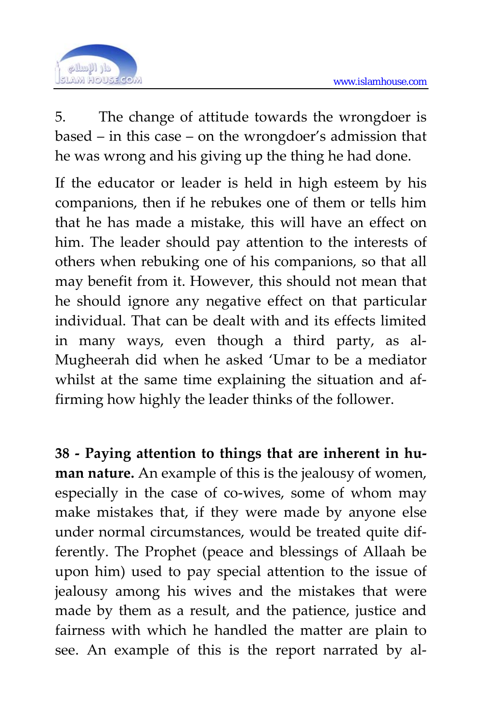

5. The change of attitude towards the wrongdoer is based – in this case – on the wrongdoer's admission that he was wrong and his giving up the thing he had done.

If the educator or leader is held in high esteem by his companions, then if he rebukes one of them or tells him that he has made a mistake, this will have an effect on him. The leader should pay attention to the interests of others when rebuking one of his companions, so that all may benefit from it. However, this should not mean that he should ignore any negative effect on that particular individual. That can be dealt with and its effects limited in many ways, even though a third party, as al‐ Mugheerah did when he asked 'Umar to be a mediator whilst at the same time explaining the situation and affirming how highly the leader thinks of the follower.

**38 ‐ Paying attention to things that are inherent in hu‐ man nature.** An example of this is the jealousy of women, especially in the case of co-wives, some of whom may make mistakes that, if they were made by anyone else under normal circumstances, would be treated quite dif‐ ferently. The Prophet (peace and blessings of Allaah be upon him) used to pay special attention to the issue of jealousy among his wives and the mistakes that were made by them as a result, and the patience, justice and fairness with which he handled the matter are plain to see. An example of this is the report narrated by al-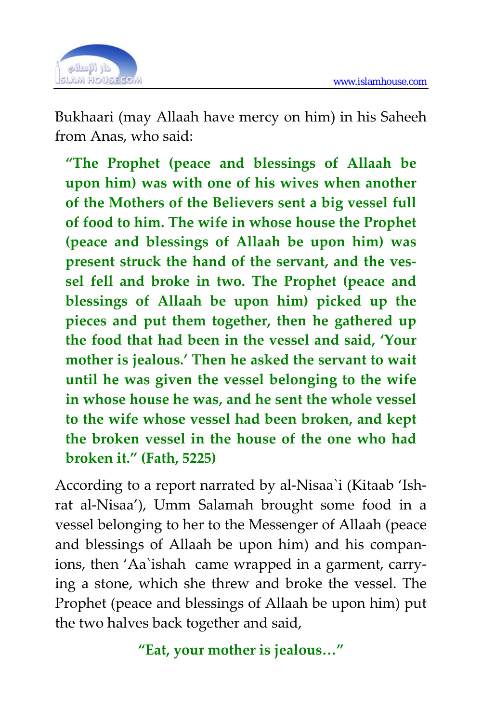

Bukhaari (may Allaah have mercy on him) in his Saheeh from Anas, who said:

**"The Prophet (peace and blessings of Allaah be upon him) was with one of his wives when another of the Mothers of the Believers sent a big vessel full of food to him. The wife in whose house the Prophet (peace and blessings of Allaah be upon him) was present struck the hand of the servant, and the ves‐ sel fell and broke in two. The Prophet (peace and blessings of Allaah be upon him) picked up the pieces and put them together, then he gathered up the food that had been in the vessel and said, 'Your mother is jealous.' Then he asked the servant to wait until he was given the vessel belonging to the wife in whose house he was, and he sent the whole vessel to the wife whose vessel had been broken, and kept the broken vessel in the house of the one who had broken it." (Fath, 5225)**

According to a report narrated by al‐Nisaa`i (Kitaab 'Ish‐ rat al‐Nisaa'), Umm Salamah brought some food in a vessel belonging to her to the Messenger of Allaah (peace and blessings of Allaah be upon him) and his compan‐ ions, then 'Aa`ishah came wrapped in a garment, carry‐ ing a stone, which she threw and broke the vessel. The Prophet (peace and blessings of Allaah be upon him) put the two halves back together and said,

**"Eat, your mother is jealous…"**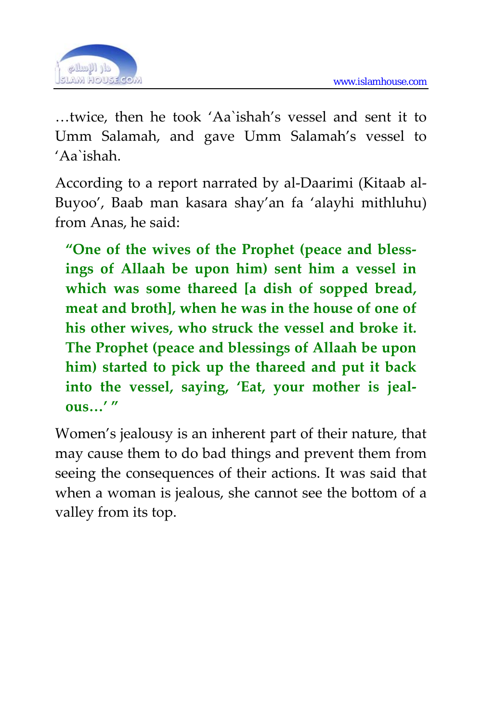

…twice, then he took 'Aa`ishah's vessel and sent it to Umm Salamah, and gave Umm Salamah's vessel to 'Aa`ishah.

According to a report narrated by al‐Daarimi (Kitaab al‐ Buyoo', Baab man kasara shay'an fa 'alayhi mithluhu) from Anas, he said:

**"One of the wives of the Prophet (peace and bless‐ ings of Allaah be upon him) sent him a vessel in which was some thareed [a dish of sopped bread, meat and broth], when he was in the house of one of his other wives, who struck the vessel and broke it. The Prophet (peace and blessings of Allaah be upon him) started to pick up the thareed and put it back into the vessel, saying, 'Eat, your mother is jeal‐ ous…' "**

Women's jealousy is an inherent part of their nature, that may cause them to do bad things and prevent them from seeing the consequences of their actions. It was said that when a woman is jealous, she cannot see the bottom of a valley from its top.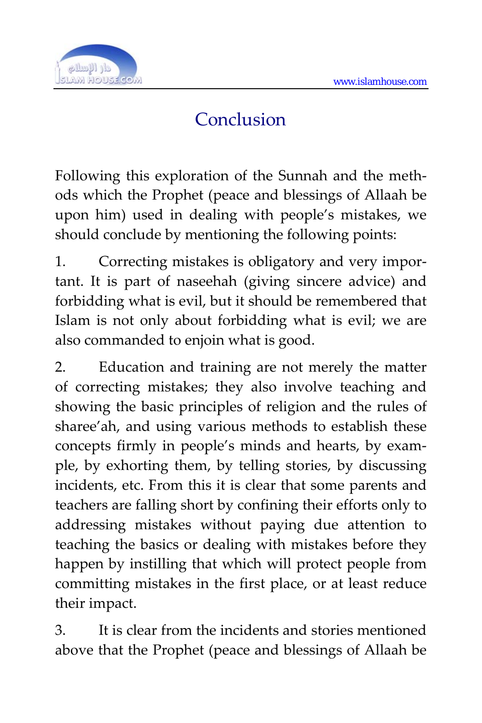

## Conclusion

Following this exploration of the Sunnah and the meth‐ ods which the Prophet (peace and blessings of Allaah be upon him) used in dealing with people's mistakes, we should conclude by mentioning the following points:

1. Correcting mistakes is obligatory and very impor‐ tant. It is part of naseehah (giving sincere advice) and forbidding what is evil, but it should be remembered that Islam is not only about forbidding what is evil; we are also commanded to enjoin what is good.

2. Education and training are not merely the matter of correcting mistakes; they also involve teaching and showing the basic principles of religion and the rules of sharee'ah, and using various methods to establish these concepts firmly in people's minds and hearts, by exam‐ ple, by exhorting them, by telling stories, by discussing incidents, etc. From this it is clear that some parents and teachers are falling short by confining their efforts only to addressing mistakes without paying due attention to teaching the basics or dealing with mistakes before they happen by instilling that which will protect people from committing mistakes in the first place, or at least reduce their impact.

3. It is clear from the incidents and stories mentioned above that the Prophet (peace and blessings of Allaah be